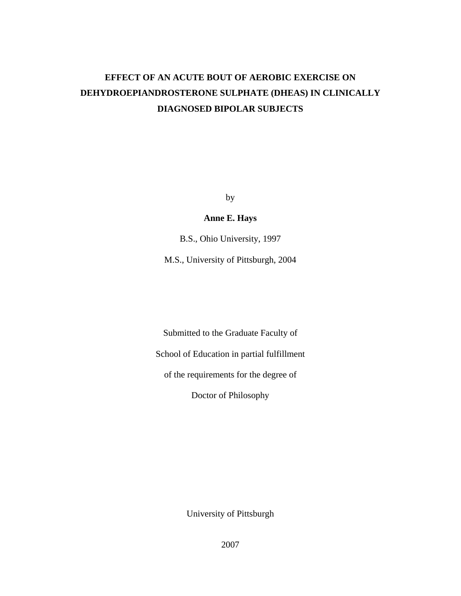# **EFFECT OF AN ACUTE BOUT OF AEROBIC EXERCISE ON DEHYDROEPIANDROSTERONE SULPHATE (DHEAS) IN CLINICALLY DIAGNOSED BIPOLAR SUBJECTS**

by

**Anne E. Hays**

B.S., Ohio University, 1997

M.S., University of Pittsburgh, 2004

Submitted to the Graduate Faculty of

School of Education in partial fulfillment

of the requirements for the degree of

Doctor of Philosophy

University of Pittsburgh

2007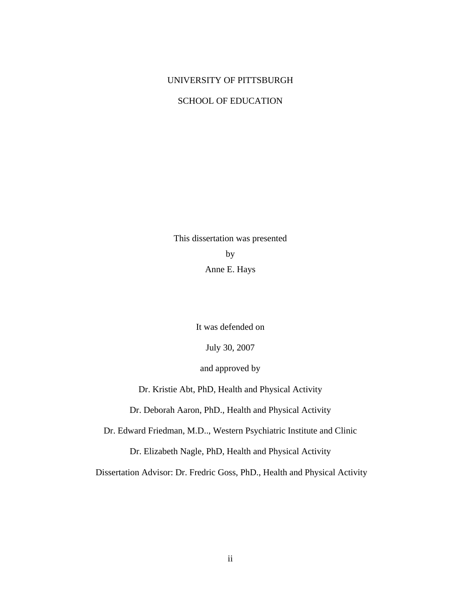# UNIVERSITY OF PITTSBURGH

# SCHOOL OF EDUCATION

This dissertation was presented by Anne E. Hays

It was defended on

July 30, 2007

and approved by

Dr. Kristie Abt, PhD, Health and Physical Activity

Dr. Deborah Aaron, PhD., Health and Physical Activity

Dr. Edward Friedman, M.D.., Western Psychiatric Institute and Clinic

Dr. Elizabeth Nagle, PhD, Health and Physical Activity

Dissertation Advisor: Dr. Fredric Goss, PhD., Health and Physical Activity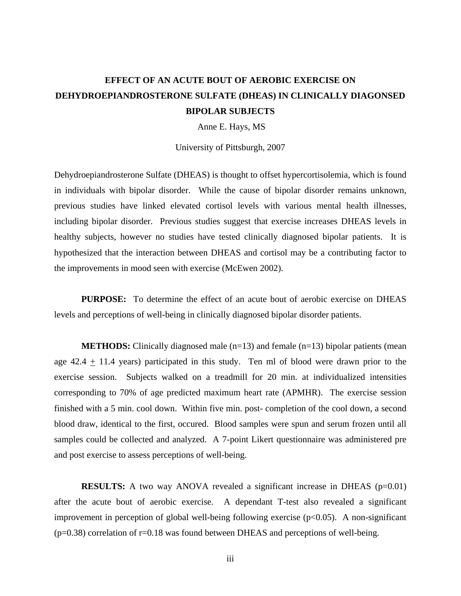# **EFFECT OF AN ACUTE BOUT OF AEROBIC EXERCISE ON DEHYDROEPIANDROSTERONE SULFATE (DHEAS) IN CLINICALLY DIAGONSED BIPOLAR SUBJECTS**

Anne E. Hays, MS

University of Pittsburgh, 2007

Dehydroepiandrosterone Sulfate (DHEAS) is thought to offset hypercortisolemia, which is found in individuals with bipolar disorder. While the cause of bipolar disorder remains unknown, previous studies have linked elevated cortisol levels with various mental health illnesses, including bipolar disorder. Previous studies suggest that exercise increases DHEAS levels in healthy subjects, however no studies have tested clinically diagnosed bipolar patients. It is hypothesized that the interaction between DHEAS and cortisol may be a contributing factor to the improvements in mood seen with exercise (McEwen 2002).

**PURPOSE:** To determine the effect of an acute bout of aerobic exercise on DHEAS levels and perceptions of well-being in clinically diagnosed bipolar disorder patients.

**METHODS:** Clinically diagnosed male  $(n=13)$  and female  $(n=13)$  bipolar patients (mean age  $42.4 \pm 11.4$  years) participated in this study. Ten ml of blood were drawn prior to the exercise session. Subjects walked on a treadmill for 20 min. at individualized intensities corresponding to 70% of age predicted maximum heart rate (APMHR). The exercise session finished with a 5 min. cool down. Within five min. post- completion of the cool down, a second blood draw, identical to the first, occured. Blood samples were spun and serum frozen until all samples could be collected and analyzed. A 7-point Likert questionnaire was administered pre and post exercise to assess perceptions of well-being.

**RESULTS:** A two way ANOVA revealed a significant increase in DHEAS ( $p=0.01$ ) after the acute bout of aerobic exercise. A dependant T-test also revealed a significant improvement in perception of global well-being following exercise  $(p<0.05)$ . A non-significant  $(p=0.38)$  correlation of r=0.18 was found between DHEAS and perceptions of well-being.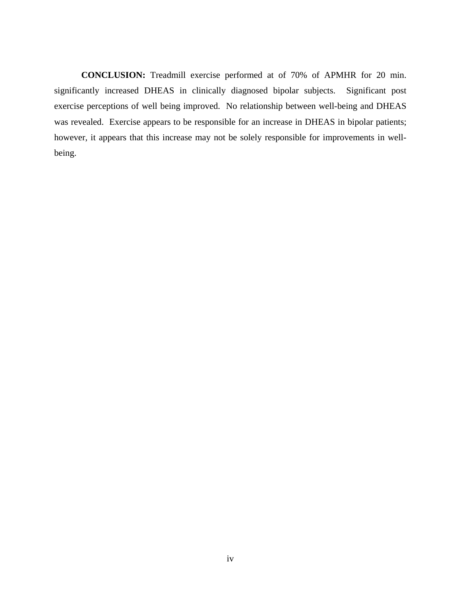**CONCLUSION:** Treadmill exercise performed at of 70% of APMHR for 20 min. significantly increased DHEAS in clinically diagnosed bipolar subjects. Significant post exercise perceptions of well being improved. No relationship between well-being and DHEAS was revealed. Exercise appears to be responsible for an increase in DHEAS in bipolar patients; however, it appears that this increase may not be solely responsible for improvements in wellbeing.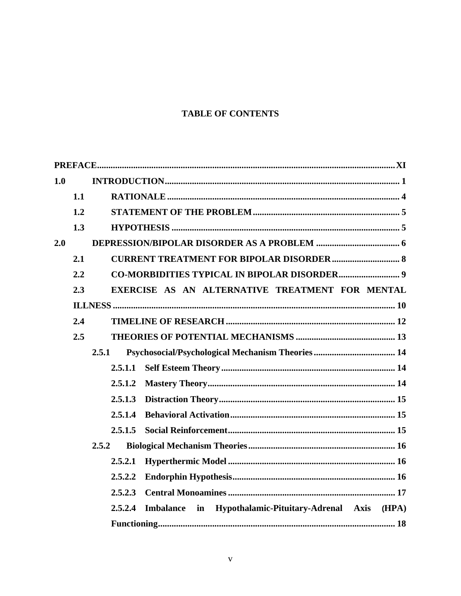# **TABLE OF CONTENTS**

| 1.0 |       |                                                                   |  |  |
|-----|-------|-------------------------------------------------------------------|--|--|
|     | 1.1   |                                                                   |  |  |
|     | 1.2   |                                                                   |  |  |
|     | 1.3   |                                                                   |  |  |
| 2.0 |       |                                                                   |  |  |
|     | 2.1   |                                                                   |  |  |
|     | 2.2   |                                                                   |  |  |
|     | 2.3   | EXERCISE AS AN ALTERNATIVE TREATMENT FOR MENTAL                   |  |  |
|     |       |                                                                   |  |  |
|     | 2.4   |                                                                   |  |  |
|     | 2.5   |                                                                   |  |  |
|     |       | 2.5.1                                                             |  |  |
|     |       | 2.5.1.1                                                           |  |  |
|     |       | 2.5.1.2                                                           |  |  |
|     |       | 2.5.1.3                                                           |  |  |
|     |       | 2.5.1.4                                                           |  |  |
|     |       | 2.5.1.5                                                           |  |  |
|     | 2.5.2 |                                                                   |  |  |
|     |       | 2.5.2.1                                                           |  |  |
|     |       | 2.5.2.2                                                           |  |  |
|     |       | 2.5.2.3                                                           |  |  |
|     |       | Imbalance in Hypothalamic-Pituitary-Adrenal Axis (HPA)<br>2.5.2.4 |  |  |
|     |       |                                                                   |  |  |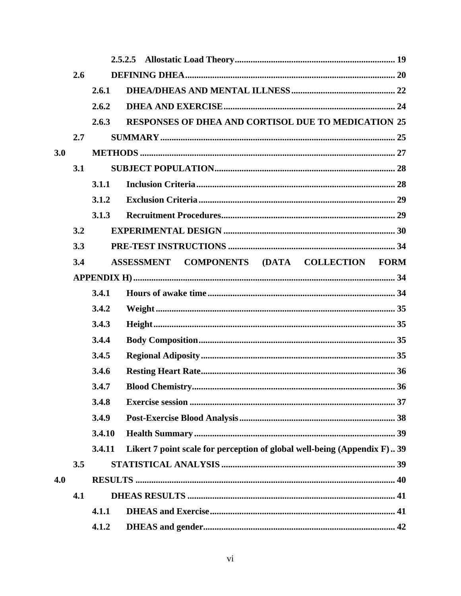|     | 2.6 |        |                                                                          |  |
|-----|-----|--------|--------------------------------------------------------------------------|--|
|     |     | 2.6.1  |                                                                          |  |
|     |     | 2.6.2  |                                                                          |  |
|     |     | 2.6.3  | RESPONSES OF DHEA AND CORTISOL DUE TO MEDICATION 25                      |  |
|     | 2.7 |        |                                                                          |  |
| 3.0 |     |        |                                                                          |  |
|     | 3.1 |        |                                                                          |  |
|     |     | 3.1.1  |                                                                          |  |
|     |     | 3.1.2  |                                                                          |  |
|     |     | 3.1.3  |                                                                          |  |
|     | 3.2 |        |                                                                          |  |
|     | 3.3 |        |                                                                          |  |
|     | 3.4 |        | COMPONENTS (DATA COLLECTION FORM<br><b>ASSESSMENT</b>                    |  |
|     |     |        |                                                                          |  |
|     |     | 3.4.1  |                                                                          |  |
|     |     | 3.4.2  |                                                                          |  |
|     |     | 3.4.3  |                                                                          |  |
|     |     | 3.4.4  |                                                                          |  |
|     |     | 3.4.5  |                                                                          |  |
|     |     | 3.4.6  |                                                                          |  |
|     |     | 3.4.7  |                                                                          |  |
|     |     | 3.4.8  |                                                                          |  |
|     |     | 3.4.9  |                                                                          |  |
|     |     | 3.4.10 |                                                                          |  |
|     |     | 3.4.11 | Likert 7 point scale for perception of global well-being (Appendix F) 39 |  |
|     | 3.5 |        |                                                                          |  |
| 4.0 |     |        |                                                                          |  |
|     | 4.1 |        |                                                                          |  |
|     |     | 4.1.1  |                                                                          |  |
|     |     | 4.1.2  |                                                                          |  |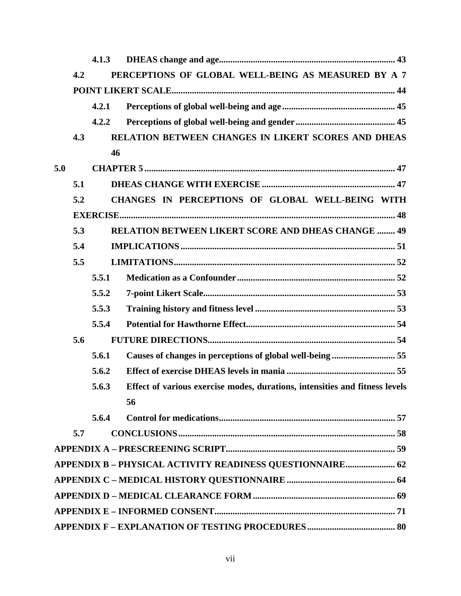|     |     | 4.1.3 |                                                                             |  |  |  |  |
|-----|-----|-------|-----------------------------------------------------------------------------|--|--|--|--|
|     | 4.2 |       | PERCEPTIONS OF GLOBAL WELL-BEING AS MEASURED BY A 7                         |  |  |  |  |
|     |     |       |                                                                             |  |  |  |  |
|     |     | 4.2.1 |                                                                             |  |  |  |  |
|     |     | 4.2.2 |                                                                             |  |  |  |  |
|     | 4.3 |       | RELATION BETWEEN CHANGES IN LIKERT SCORES AND DHEAS                         |  |  |  |  |
|     |     | 46    |                                                                             |  |  |  |  |
| 5.0 |     |       |                                                                             |  |  |  |  |
|     | 5.1 |       |                                                                             |  |  |  |  |
|     | 5.2 |       | CHANGES IN PERCEPTIONS OF GLOBAL WELL-BEING WITH                            |  |  |  |  |
|     |     |       |                                                                             |  |  |  |  |
|     | 5.3 |       | <b>RELATION BETWEEN LIKERT SCORE AND DHEAS CHANGE  49</b>                   |  |  |  |  |
|     | 5.4 |       |                                                                             |  |  |  |  |
|     | 5.5 |       |                                                                             |  |  |  |  |
|     |     | 5.5.1 |                                                                             |  |  |  |  |
|     |     | 5.5.2 |                                                                             |  |  |  |  |
|     |     | 5.5.3 |                                                                             |  |  |  |  |
|     |     | 5.5.4 |                                                                             |  |  |  |  |
|     | 5.6 |       |                                                                             |  |  |  |  |
|     |     | 5.6.1 | Causes of changes in perceptions of global well-being  55                   |  |  |  |  |
|     |     | 5.6.2 |                                                                             |  |  |  |  |
|     |     | 5.6.3 | Effect of various exercise modes, durations, intensities and fitness levels |  |  |  |  |
|     |     |       | 56                                                                          |  |  |  |  |
|     |     | 5.6.4 |                                                                             |  |  |  |  |
|     | 5.7 |       |                                                                             |  |  |  |  |
|     |     |       |                                                                             |  |  |  |  |
|     |     |       | APPENDIX B - PHYSICAL ACTIVITY READINESS QUESTIONNAIRE 62                   |  |  |  |  |
|     |     |       |                                                                             |  |  |  |  |
|     |     |       |                                                                             |  |  |  |  |
|     |     |       |                                                                             |  |  |  |  |
|     |     |       |                                                                             |  |  |  |  |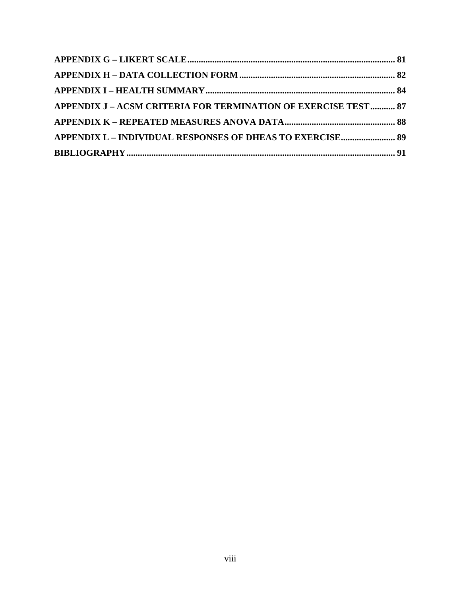| APPENDIX J - ACSM CRITERIA FOR TERMINATION OF EXERCISE TEST 87 |  |
|----------------------------------------------------------------|--|
|                                                                |  |
| APPENDIX L - INDIVIDUAL RESPONSES OF DHEAS TO EXERCISE 89      |  |
|                                                                |  |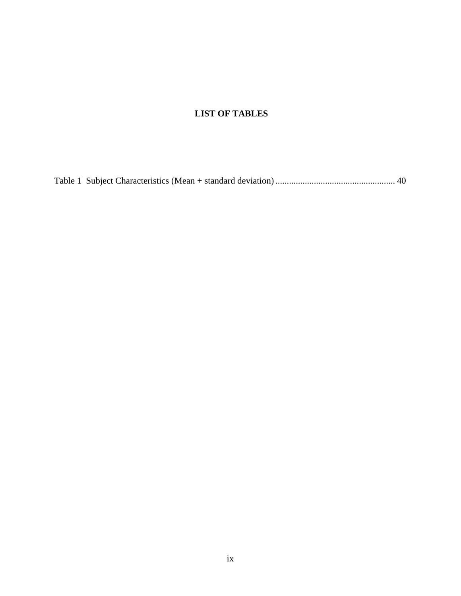# **LIST OF TABLES**

[Table 1 Subject Characteristics \(Mean + standard deviation\) ..................................................... 40](#page-50-0)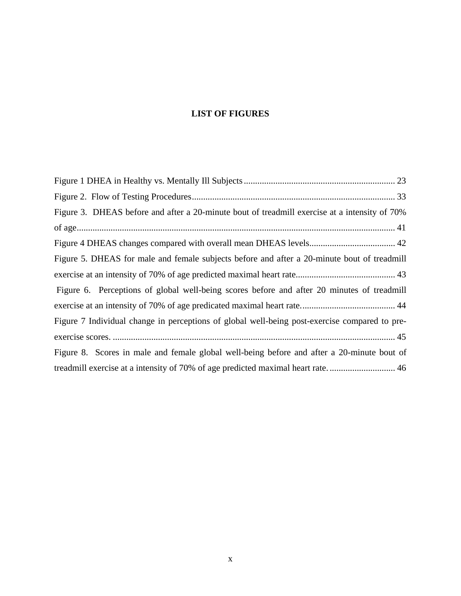# **LIST OF FIGURES**

| Figure 3. DHEAS before and after a 20-minute bout of treadmill exercise at a intensity of 70% |
|-----------------------------------------------------------------------------------------------|
|                                                                                               |
|                                                                                               |
| Figure 5. DHEAS for male and female subjects before and after a 20-minute bout of treadmill   |
|                                                                                               |
| Figure 6. Perceptions of global well-being scores before and after 20 minutes of treadmill    |
|                                                                                               |
| Figure 7 Individual change in perceptions of global well-being post-exercise compared to pre- |
|                                                                                               |
| Figure 8. Scores in male and female global well-being before and after a 20-minute bout of    |
| treadmill exercise at a intensity of 70% of age predicted maximal heart rate 46               |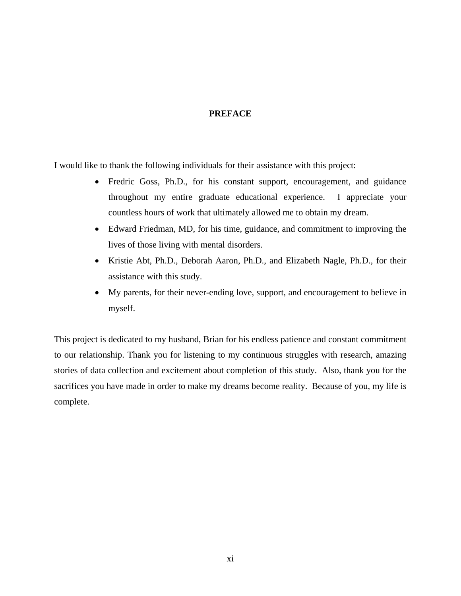# **PREFACE**

<span id="page-10-0"></span>I would like to thank the following individuals for their assistance with this project:

- Fredric Goss, Ph.D., for his constant support, encouragement, and guidance throughout my entire graduate educational experience. I appreciate your countless hours of work that ultimately allowed me to obtain my dream.
- Edward Friedman, MD, for his time, guidance, and commitment to improving the lives of those living with mental disorders.
- Kristie Abt, Ph.D., Deborah Aaron, Ph.D., and Elizabeth Nagle, Ph.D., for their assistance with this study.
- My parents, for their never-ending love, support, and encouragement to believe in myself.

This project is dedicated to my husband, Brian for his endless patience and constant commitment to our relationship. Thank you for listening to my continuous struggles with research, amazing stories of data collection and excitement about completion of this study. Also, thank you for the sacrifices you have made in order to make my dreams become reality. Because of you, my life is complete.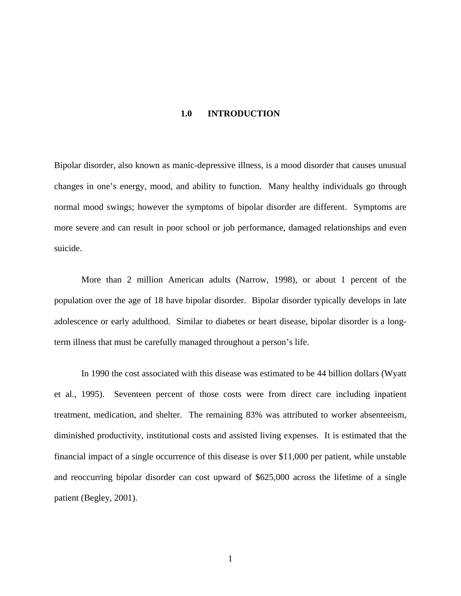## **1.0 INTRODUCTION**

<span id="page-11-0"></span>Bipolar disorder, also known as manic-depressive illness, is a mood disorder that causes unusual changes in one's energy, mood, and ability to function. Many healthy individuals go through normal mood swings; however the symptoms of bipolar disorder are different. Symptoms are more severe and can result in poor school or job performance, damaged relationships and even suicide.

More than 2 million American adults (Narrow, 1998), or about 1 percent of the population over the age of 18 have bipolar disorder. Bipolar disorder typically develops in late adolescence or early adulthood. Similar to diabetes or heart disease, bipolar disorder is a longterm illness that must be carefully managed throughout a person's life.

In 1990 the cost associated with this disease was estimated to be 44 billion dollars (Wyatt et al., 1995). Seventeen percent of those costs were from direct care including inpatient treatment, medication, and shelter. The remaining 83% was attributed to worker absenteeism, diminished productivity, institutional costs and assisted living expenses. It is estimated that the financial impact of a single occurrence of this disease is over \$11,000 per patient, while unstable and reoccurring bipolar disorder can cost upward of \$625,000 across the lifetime of a single patient (Begley, 2001).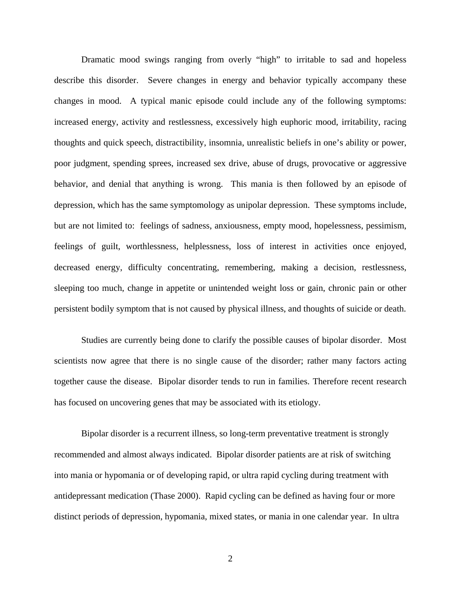Dramatic mood swings ranging from overly "high" to irritable to sad and hopeless describe this disorder. Severe changes in energy and behavior typically accompany these changes in mood. A typical manic episode could include any of the following symptoms: increased energy, activity and restlessness, excessively high euphoric mood, irritability, racing thoughts and quick speech, distractibility, insomnia, unrealistic beliefs in one's ability or power, poor judgment, spending sprees, increased sex drive, abuse of drugs, provocative or aggressive behavior, and denial that anything is wrong. This mania is then followed by an episode of depression, which has the same symptomology as unipolar depression. These symptoms include, but are not limited to: feelings of sadness, anxiousness, empty mood, hopelessness, pessimism, feelings of guilt, worthlessness, helplessness, loss of interest in activities once enjoyed, decreased energy, difficulty concentrating, remembering, making a decision, restlessness, sleeping too much, change in appetite or unintended weight loss or gain, chronic pain or other persistent bodily symptom that is not caused by physical illness, and thoughts of suicide or death.

Studies are currently being done to clarify the possible causes of bipolar disorder. Most scientists now agree that there is no single cause of the disorder; rather many factors acting together cause the disease. Bipolar disorder tends to run in families. Therefore recent research has focused on uncovering genes that may be associated with its etiology.

Bipolar disorder is a recurrent illness, so long-term preventative treatment is strongly recommended and almost always indicated. Bipolar disorder patients are at risk of switching into mania or hypomania or of developing rapid, or ultra rapid cycling during treatment with antidepressant medication (Thase 2000). Rapid cycling can be defined as having four or more distinct periods of depression, hypomania, mixed states, or mania in one calendar year. In ultra

2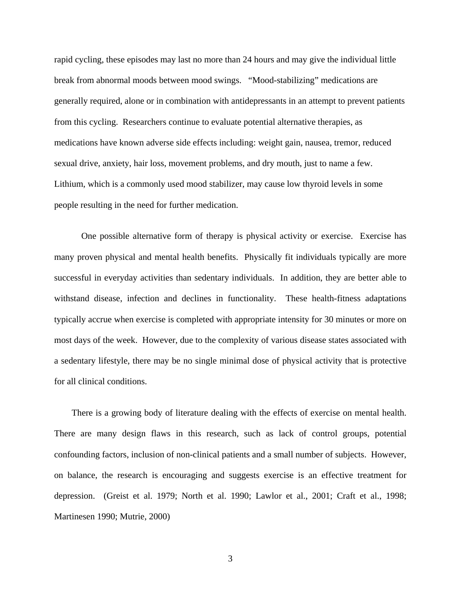rapid cycling, these episodes may last no more than 24 hours and may give the individual little break from abnormal moods between mood swings. "Mood-stabilizing" medications are generally required, alone or in combination with antidepressants in an attempt to prevent patients from this cycling. Researchers continue to evaluate potential alternative therapies, as medications have known adverse side effects including: weight gain, nausea, tremor, reduced sexual drive, anxiety, hair loss, movement problems, and dry mouth, just to name a few. Lithium, which is a commonly used mood stabilizer, may cause low thyroid levels in some people resulting in the need for further medication.

One possible alternative form of therapy is physical activity or exercise. Exercise has many proven physical and mental health benefits. Physically fit individuals typically are more successful in everyday activities than sedentary individuals. In addition, they are better able to withstand disease, infection and declines in functionality. These health-fitness adaptations typically accrue when exercise is completed with appropriate intensity for 30 minutes or more on most days of the week. However, due to the complexity of various disease states associated with a sedentary lifestyle, there may be no single minimal dose of physical activity that is protective for all clinical conditions.

There is a growing body of literature dealing with the effects of exercise on mental health. There are many design flaws in this research, such as lack of control groups, potential confounding factors, inclusion of non-clinical patients and a small number of subjects. However, on balance, the research is encouraging and suggests exercise is an effective treatment for depression. (Greist et al. 1979; North et al. 1990; Lawlor et al., 2001; Craft et al., 1998; Martinesen 1990; Mutrie, 2000)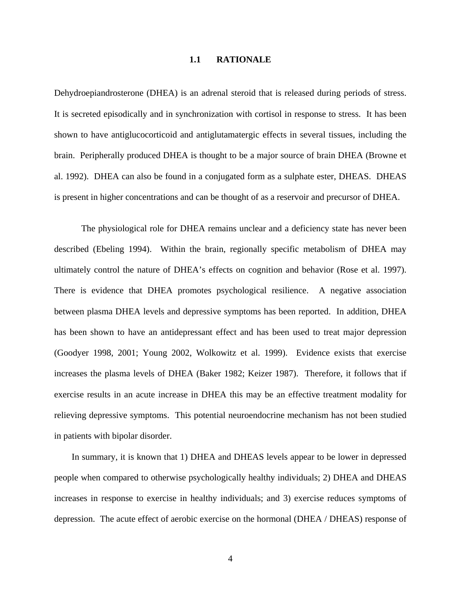## **1.1 RATIONALE**

<span id="page-14-0"></span>Dehydroepiandrosterone (DHEA) is an adrenal steroid that is released during periods of stress. It is secreted episodically and in synchronization with cortisol in response to stress. It has been shown to have antiglucocorticoid and antiglutamatergic effects in several tissues, including the brain. Peripherally produced DHEA is thought to be a major source of brain DHEA (Browne et al. 1992). DHEA can also be found in a conjugated form as a sulphate ester, DHEAS. DHEAS is present in higher concentrations and can be thought of as a reservoir and precursor of DHEA.

The physiological role for DHEA remains unclear and a deficiency state has never been described (Ebeling 1994).Within the brain, regionally specific metabolism of DHEA may ultimately control the nature of DHEA's effects on cognition and behavior (Rose et al. 1997). There is evidence that DHEA promotes psychological resilience. A negative association between plasma DHEA levels and depressive symptoms has been reported. In addition, DHEA has been shown to have an antidepressant effect and has been used to treat major depression (Goodyer 1998, 2001; Young 2002, Wolkowitz et al. 1999). Evidence exists that exercise increases the plasma levels of DHEA (Baker 1982; Keizer 1987). Therefore, it follows that if exercise results in an acute increase in DHEA this may be an effective treatment modality for relieving depressive symptoms. This potential neuroendocrine mechanism has not been studied in patients with bipolar disorder.

In summary, it is known that 1) DHEA and DHEAS levels appear to be lower in depressed people when compared to otherwise psychologically healthy individuals; 2) DHEA and DHEAS increases in response to exercise in healthy individuals; and 3) exercise reduces symptoms of depression. The acute effect of aerobic exercise on the hormonal (DHEA / DHEAS) response of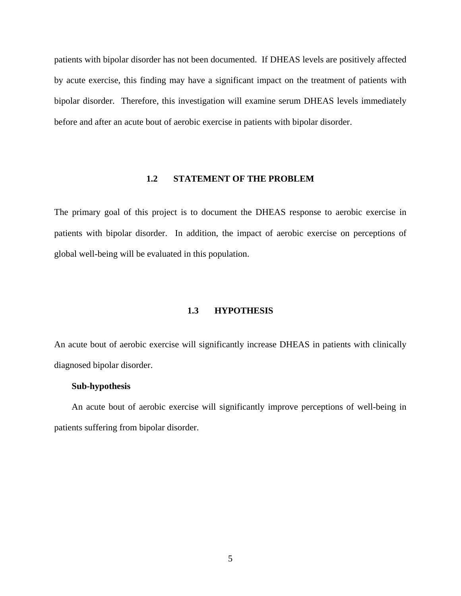<span id="page-15-0"></span>patients with bipolar disorder has not been documented. If DHEAS levels are positively affected by acute exercise, this finding may have a significant impact on the treatment of patients with bipolar disorder. Therefore, this investigation will examine serum DHEAS levels immediately before and after an acute bout of aerobic exercise in patients with bipolar disorder.

# **1.2 STATEMENT OF THE PROBLEM**

The primary goal of this project is to document the DHEAS response to aerobic exercise in patients with bipolar disorder. In addition, the impact of aerobic exercise on perceptions of global well-being will be evaluated in this population.

# **1.3 HYPOTHESIS**

An acute bout of aerobic exercise will significantly increase DHEAS in patients with clinically diagnosed bipolar disorder.

#### **Sub-hypothesis**

An acute bout of aerobic exercise will significantly improve perceptions of well-being in patients suffering from bipolar disorder.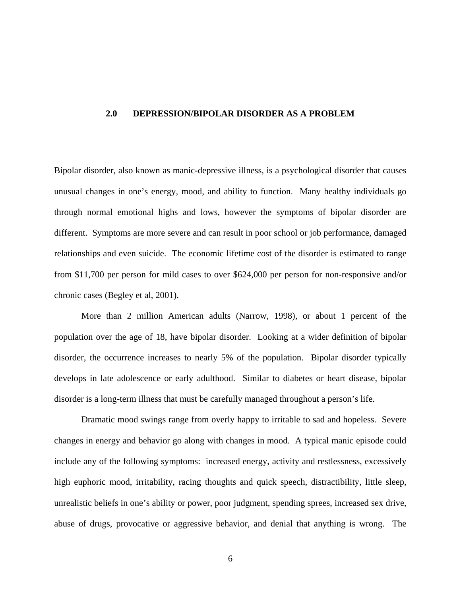## <span id="page-16-0"></span>**2.0 DEPRESSION/BIPOLAR DISORDER AS A PROBLEM**

Bipolar disorder, also known as manic-depressive illness, is a psychological disorder that causes unusual changes in one's energy, mood, and ability to function. Many healthy individuals go through normal emotional highs and lows, however the symptoms of bipolar disorder are different. Symptoms are more severe and can result in poor school or job performance, damaged relationships and even suicide. The economic lifetime cost of the disorder is estimated to range from \$11,700 per person for mild cases to over \$624,000 per person for non-responsive and/or chronic cases (Begley et al, 2001).

More than 2 million American adults (Narrow, 1998), or about 1 percent of the population over the age of 18, have bipolar disorder. Looking at a wider definition of bipolar disorder, the occurrence increases to nearly 5% of the population. Bipolar disorder typically develops in late adolescence or early adulthood. Similar to diabetes or heart disease, bipolar disorder is a long-term illness that must be carefully managed throughout a person's life.

Dramatic mood swings range from overly happy to irritable to sad and hopeless. Severe changes in energy and behavior go along with changes in mood. A typical manic episode could include any of the following symptoms: increased energy, activity and restlessness, excessively high euphoric mood, irritability, racing thoughts and quick speech, distractibility, little sleep, unrealistic beliefs in one's ability or power, poor judgment, spending sprees, increased sex drive, abuse of drugs, provocative or aggressive behavior, and denial that anything is wrong. The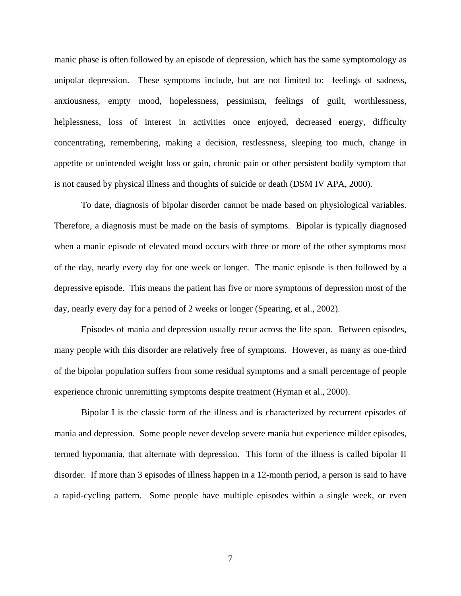manic phase is often followed by an episode of depression, which has the same symptomology as unipolar depression. These symptoms include, but are not limited to: feelings of sadness, anxiousness, empty mood, hopelessness, pessimism, feelings of guilt, worthlessness, helplessness, loss of interest in activities once enjoyed, decreased energy, difficulty concentrating, remembering, making a decision, restlessness, sleeping too much, change in appetite or unintended weight loss or gain, chronic pain or other persistent bodily symptom that is not caused by physical illness and thoughts of suicide or death (DSM IV APA, 2000).

To date, diagnosis of bipolar disorder cannot be made based on physiological variables. Therefore, a diagnosis must be made on the basis of symptoms. Bipolar is typically diagnosed when a manic episode of elevated mood occurs with three or more of the other symptoms most of the day, nearly every day for one week or longer. The manic episode is then followed by a depressive episode. This means the patient has five or more symptoms of depression most of the day, nearly every day for a period of 2 weeks or longer (Spearing, et al., 2002).

Episodes of mania and depression usually recur across the life span. Between episodes, many people with this disorder are relatively free of symptoms. However, as many as one-third of the bipolar population suffers from some residual symptoms and a small percentage of people experience chronic unremitting symptoms despite treatment (Hyman et al., 2000).

Bipolar I is the classic form of the illness and is characterized by recurrent episodes of mania and depression. Some people never develop severe mania but experience milder episodes, termed hypomania, that alternate with depression. This form of the illness is called bipolar II disorder. If more than 3 episodes of illness happen in a 12-month period, a person is said to have a rapid-cycling pattern. Some people have multiple episodes within a single week, or even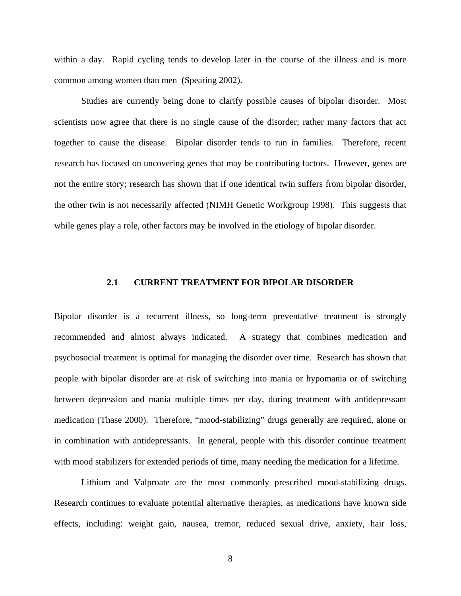<span id="page-18-0"></span>within a day. Rapid cycling tends to develop later in the course of the illness and is more common among women than men (Spearing 2002).

Studies are currently being done to clarify possible causes of bipolar disorder. Most scientists now agree that there is no single cause of the disorder; rather many factors that act together to cause the disease. Bipolar disorder tends to run in families. Therefore, recent research has focused on uncovering genes that may be contributing factors. However, genes are not the entire story; research has shown that if one identical twin suffers from bipolar disorder, the other twin is not necessarily affected (NIMH Genetic Workgroup 1998). This suggests that while genes play a role, other factors may be involved in the etiology of bipolar disorder.

#### **2.1 CURRENT TREATMENT FOR BIPOLAR DISORDER**

Bipolar disorder is a recurrent illness, so long-term preventative treatment is strongly recommended and almost always indicated. A strategy that combines medication and psychosocial treatment is optimal for managing the disorder over time. Research has shown that people with bipolar disorder are at risk of switching into mania or hypomania or of switching between depression and mania multiple times per day, during treatment with antidepressant medication (Thase 2000). Therefore, "mood-stabilizing" drugs generally are required, alone or in combination with antidepressants. In general, people with this disorder continue treatment with mood stabilizers for extended periods of time, many needing the medication for a lifetime.

Lithium and Valproate are the most commonly prescribed mood-stabilizing drugs. Research continues to evaluate potential alternative therapies, as medications have known side effects, including: weight gain, nausea, tremor, reduced sexual drive, anxiety, hair loss,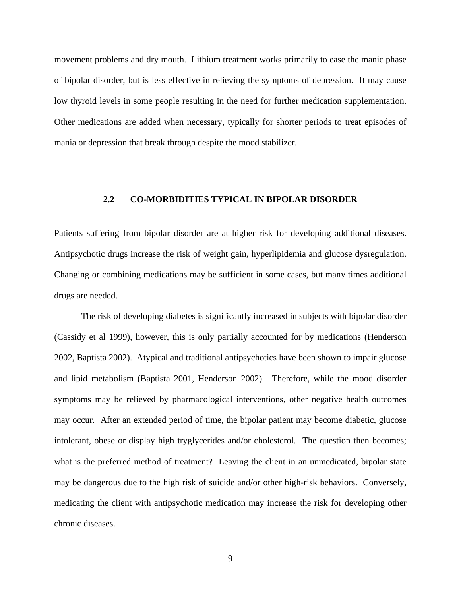<span id="page-19-0"></span>movement problems and dry mouth. Lithium treatment works primarily to ease the manic phase of bipolar disorder, but is less effective in relieving the symptoms of depression. It may cause low thyroid levels in some people resulting in the need for further medication supplementation. Other medications are added when necessary, typically for shorter periods to treat episodes of mania or depression that break through despite the mood stabilizer.

# **2.2 CO-MORBIDITIES TYPICAL IN BIPOLAR DISORDER**

Patients suffering from bipolar disorder are at higher risk for developing additional diseases. Antipsychotic drugs increase the risk of weight gain, hyperlipidemia and glucose dysregulation. Changing or combining medications may be sufficient in some cases, but many times additional drugs are needed.

The risk of developing diabetes is significantly increased in subjects with bipolar disorder (Cassidy et al 1999), however, this is only partially accounted for by medications (Henderson 2002, Baptista 2002). Atypical and traditional antipsychotics have been shown to impair glucose and lipid metabolism (Baptista 2001, Henderson 2002). Therefore, while the mood disorder symptoms may be relieved by pharmacological interventions, other negative health outcomes may occur. After an extended period of time, the bipolar patient may become diabetic, glucose intolerant, obese or display high tryglycerides and/or cholesterol. The question then becomes; what is the preferred method of treatment? Leaving the client in an unmedicated, bipolar state may be dangerous due to the high risk of suicide and/or other high-risk behaviors. Conversely, medicating the client with antipsychotic medication may increase the risk for developing other chronic diseases.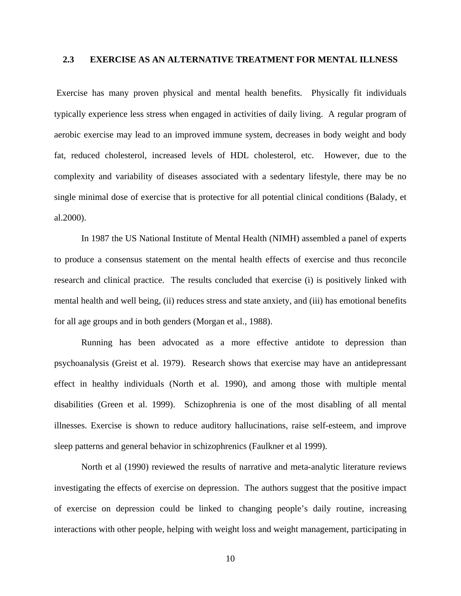# <span id="page-20-0"></span>**2.3 EXERCISE AS AN ALTERNATIVE TREATMENT FOR MENTAL ILLNESS**

 Exercise has many proven physical and mental health benefits. Physically fit individuals typically experience less stress when engaged in activities of daily living. A regular program of aerobic exercise may lead to an improved immune system, decreases in body weight and body fat, reduced cholesterol, increased levels of HDL cholesterol, etc. However, due to the complexity and variability of diseases associated with a sedentary lifestyle, there may be no single minimal dose of exercise that is protective for all potential clinical conditions (Balady, et al.2000).

In 1987 the US National Institute of Mental Health (NIMH) assembled a panel of experts to produce a consensus statement on the mental health effects of exercise and thus reconcile research and clinical practice. The results concluded that exercise (i) is positively linked with mental health and well being, (ii) reduces stress and state anxiety, and (iii) has emotional benefits for all age groups and in both genders (Morgan et al., 1988).

Running has been advocated as a more effective antidote to depression than psychoanalysis (Greist et al. 1979). Research shows that exercise may have an antidepressant effect in healthy individuals (North et al. 1990), and among those with multiple mental disabilities (Green et al. 1999). Schizophrenia is one of the most disabling of all mental illnesses. Exercise is shown to reduce auditory hallucinations, raise self-esteem, and improve sleep patterns and general behavior in schizophrenics (Faulkner et al 1999).

North et al (1990) reviewed the results of narrative and meta-analytic literature reviews investigating the effects of exercise on depression. The authors suggest that the positive impact of exercise on depression could be linked to changing people's daily routine, increasing interactions with other people, helping with weight loss and weight management, participating in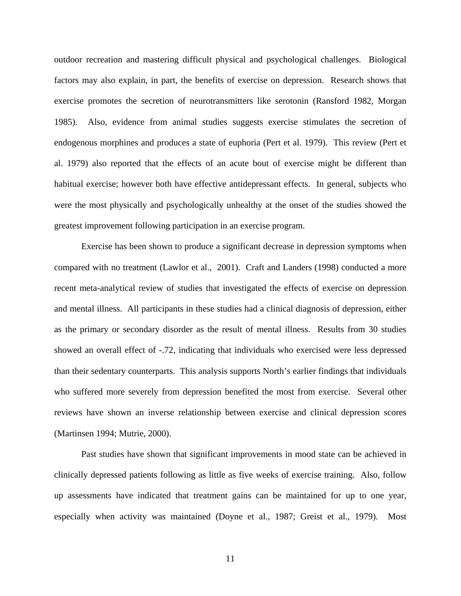outdoor recreation and mastering difficult physical and psychological challenges. Biological factors may also explain, in part, the benefits of exercise on depression. Research shows that exercise promotes the secretion of neurotransmitters like serotonin (Ransford 1982, Morgan 1985). Also, evidence from animal studies suggests exercise stimulates the secretion of endogenous morphines and produces a state of euphoria (Pert et al. 1979). This review (Pert et al. 1979) also reported that the effects of an acute bout of exercise might be different than habitual exercise; however both have effective antidepressant effects. In general, subjects who were the most physically and psychologically unhealthy at the onset of the studies showed the greatest improvement following participation in an exercise program.

Exercise has been shown to produce a significant decrease in depression symptoms when compared with no treatment (Lawlor et al., 2001). Craft and Landers (1998) conducted a more recent meta-analytical review of studies that investigated the effects of exercise on depression and mental illness. All participants in these studies had a clinical diagnosis of depression, either as the primary or secondary disorder as the result of mental illness. Results from 30 studies showed an overall effect of -.72, indicating that individuals who exercised were less depressed than their sedentary counterparts. This analysis supports North's earlier findings that individuals who suffered more severely from depression benefited the most from exercise. Several other reviews have shown an inverse relationship between exercise and clinical depression scores (Martinsen 1994; Mutrie, 2000).

Past studies have shown that significant improvements in mood state can be achieved in clinically depressed patients following as little as five weeks of exercise training. Also, follow up assessments have indicated that treatment gains can be maintained for up to one year, especially when activity was maintained (Doyne et al., 1987; Greist et al., 1979). Most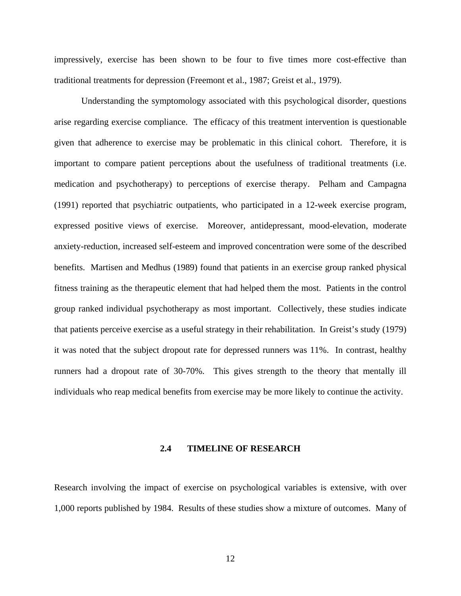<span id="page-22-0"></span>impressively, exercise has been shown to be four to five times more cost-effective than traditional treatments for depression (Freemont et al., 1987; Greist et al., 1979).

Understanding the symptomology associated with this psychological disorder, questions arise regarding exercise compliance. The efficacy of this treatment intervention is questionable given that adherence to exercise may be problematic in this clinical cohort. Therefore, it is important to compare patient perceptions about the usefulness of traditional treatments (i.e. medication and psychotherapy) to perceptions of exercise therapy. Pelham and Campagna (1991) reported that psychiatric outpatients, who participated in a 12-week exercise program, expressed positive views of exercise. Moreover, antidepressant, mood-elevation, moderate anxiety-reduction, increased self-esteem and improved concentration were some of the described benefits. Martisen and Medhus (1989) found that patients in an exercise group ranked physical fitness training as the therapeutic element that had helped them the most. Patients in the control group ranked individual psychotherapy as most important. Collectively, these studies indicate that patients perceive exercise as a useful strategy in their rehabilitation. In Greist's study (1979) it was noted that the subject dropout rate for depressed runners was 11%. In contrast, healthy runners had a dropout rate of 30-70%. This gives strength to the theory that mentally ill individuals who reap medical benefits from exercise may be more likely to continue the activity.

# **2.4 TIMELINE OF RESEARCH**

Research involving the impact of exercise on psychological variables is extensive, with over 1,000 reports published by 1984. Results of these studies show a mixture of outcomes. Many of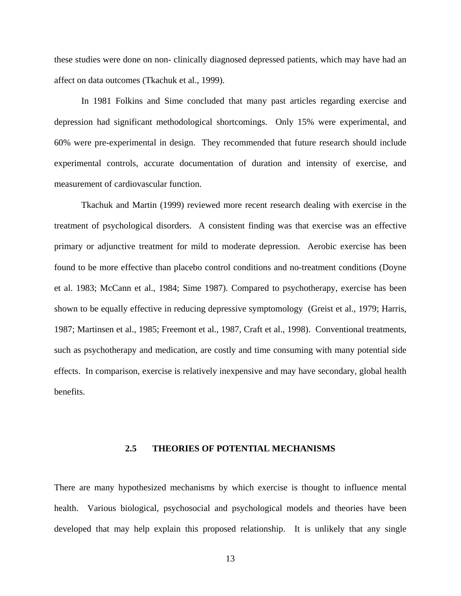<span id="page-23-0"></span>these studies were done on non- clinically diagnosed depressed patients, which may have had an affect on data outcomes (Tkachuk et al., 1999).

In 1981 Folkins and Sime concluded that many past articles regarding exercise and depression had significant methodological shortcomings. Only 15% were experimental, and 60% were pre-experimental in design. They recommended that future research should include experimental controls, accurate documentation of duration and intensity of exercise, and measurement of cardiovascular function.

Tkachuk and Martin (1999) reviewed more recent research dealing with exercise in the treatment of psychological disorders. A consistent finding was that exercise was an effective primary or adjunctive treatment for mild to moderate depression. Aerobic exercise has been found to be more effective than placebo control conditions and no-treatment conditions (Doyne et al. 1983; McCann et al., 1984; Sime 1987). Compared to psychotherapy, exercise has been shown to be equally effective in reducing depressive symptomology (Greist et al., 1979; Harris, 1987; Martinsen et al., 1985; Freemont et al., 1987, Craft et al., 1998). Conventional treatments, such as psychotherapy and medication, are costly and time consuming with many potential side effects. In comparison, exercise is relatively inexpensive and may have secondary, global health benefits.

# **2.5 THEORIES OF POTENTIAL MECHANISMS**

There are many hypothesized mechanisms by which exercise is thought to influence mental health. Various biological, psychosocial and psychological models and theories have been developed that may help explain this proposed relationship. It is unlikely that any single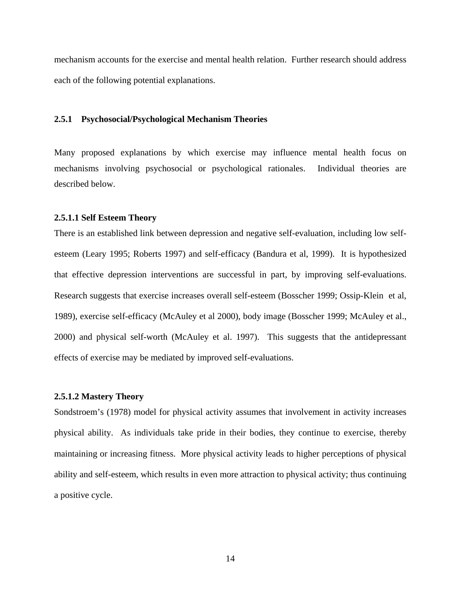<span id="page-24-0"></span>mechanism accounts for the exercise and mental health relation. Further research should address each of the following potential explanations.

#### **2.5.1 Psychosocial/Psychological Mechanism Theories**

Many proposed explanations by which exercise may influence mental health focus on mechanisms involving psychosocial or psychological rationales. Individual theories are described below.

#### **2.5.1.1 Self Esteem Theory**

There is an established link between depression and negative self-evaluation, including low selfesteem (Leary 1995; Roberts 1997) and self-efficacy (Bandura et al, 1999). It is hypothesized that effective depression interventions are successful in part, by improving self-evaluations. Research suggests that exercise increases overall self-esteem (Bosscher 1999; Ossip-Klein et al, 1989), exercise self-efficacy (McAuley et al 2000), body image (Bosscher 1999; McAuley et al., 2000) and physical self-worth (McAuley et al. 1997). This suggests that the antidepressant effects of exercise may be mediated by improved self-evaluations.

#### **2.5.1.2 Mastery Theory**

Sondstroem's (1978) model for physical activity assumes that involvement in activity increases physical ability. As individuals take pride in their bodies, they continue to exercise, thereby maintaining or increasing fitness. More physical activity leads to higher perceptions of physical ability and self-esteem, which results in even more attraction to physical activity; thus continuing a positive cycle.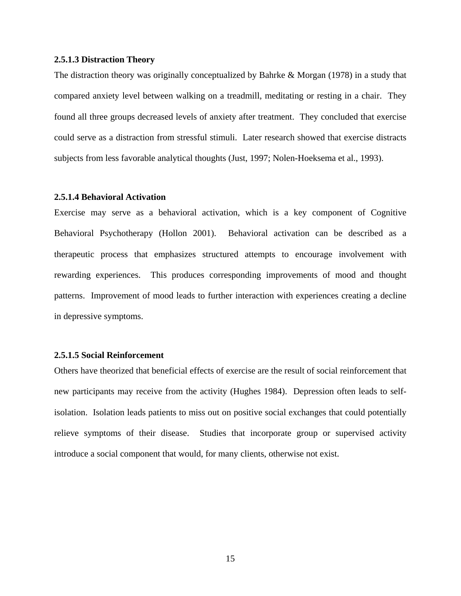## <span id="page-25-0"></span>**2.5.1.3 Distraction Theory**

The distraction theory was originally conceptualized by Bahrke & Morgan (1978) in a study that compared anxiety level between walking on a treadmill, meditating or resting in a chair. They found all three groups decreased levels of anxiety after treatment. They concluded that exercise could serve as a distraction from stressful stimuli. Later research showed that exercise distracts subjects from less favorable analytical thoughts (Just, 1997; Nolen-Hoeksema et al., 1993).

## **2.5.1.4 Behavioral Activation**

Exercise may serve as a behavioral activation, which is a key component of Cognitive Behavioral Psychotherapy (Hollon 2001). Behavioral activation can be described as a therapeutic process that emphasizes structured attempts to encourage involvement with rewarding experiences. This produces corresponding improvements of mood and thought patterns. Improvement of mood leads to further interaction with experiences creating a decline in depressive symptoms.

## **2.5.1.5 Social Reinforcement**

Others have theorized that beneficial effects of exercise are the result of social reinforcement that new participants may receive from the activity (Hughes 1984). Depression often leads to selfisolation. Isolation leads patients to miss out on positive social exchanges that could potentially relieve symptoms of their disease. Studies that incorporate group or supervised activity introduce a social component that would, for many clients, otherwise not exist.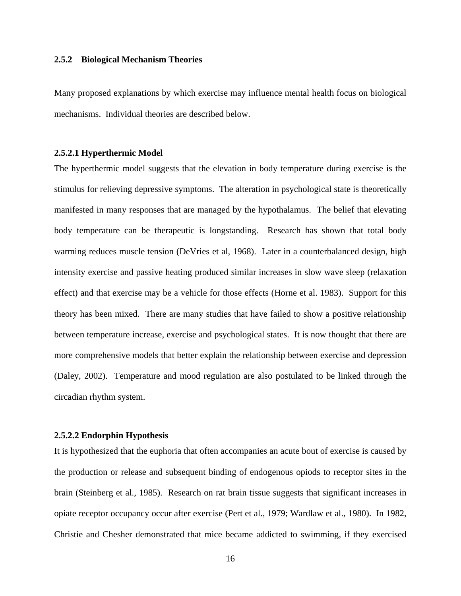## <span id="page-26-0"></span>**2.5.2 Biological Mechanism Theories**

Many proposed explanations by which exercise may influence mental health focus on biological mechanisms. Individual theories are described below.

## **2.5.2.1 Hyperthermic Model**

The hyperthermic model suggests that the elevation in body temperature during exercise is the stimulus for relieving depressive symptoms. The alteration in psychological state is theoretically manifested in many responses that are managed by the hypothalamus. The belief that elevating body temperature can be therapeutic is longstanding. Research has shown that total body warming reduces muscle tension (DeVries et al, 1968). Later in a counterbalanced design, high intensity exercise and passive heating produced similar increases in slow wave sleep (relaxation effect) and that exercise may be a vehicle for those effects (Horne et al. 1983). Support for this theory has been mixed. There are many studies that have failed to show a positive relationship between temperature increase, exercise and psychological states. It is now thought that there are more comprehensive models that better explain the relationship between exercise and depression (Daley, 2002). Temperature and mood regulation are also postulated to be linked through the circadian rhythm system.

## **2.5.2.2 Endorphin Hypothesis**

It is hypothesized that the euphoria that often accompanies an acute bout of exercise is caused by the production or release and subsequent binding of endogenous opiods to receptor sites in the brain (Steinberg et al., 1985). Research on rat brain tissue suggests that significant increases in opiate receptor occupancy occur after exercise (Pert et al., 1979; Wardlaw et al., 1980). In 1982, Christie and Chesher demonstrated that mice became addicted to swimming, if they exercised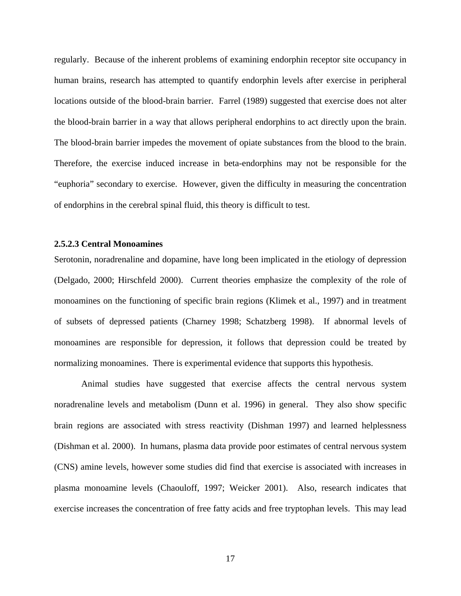<span id="page-27-0"></span>regularly. Because of the inherent problems of examining endorphin receptor site occupancy in human brains, research has attempted to quantify endorphin levels after exercise in peripheral locations outside of the blood-brain barrier. Farrel (1989) suggested that exercise does not alter the blood-brain barrier in a way that allows peripheral endorphins to act directly upon the brain. The blood-brain barrier impedes the movement of opiate substances from the blood to the brain. Therefore, the exercise induced increase in beta-endorphins may not be responsible for the "euphoria" secondary to exercise. However, given the difficulty in measuring the concentration of endorphins in the cerebral spinal fluid, this theory is difficult to test.

## **2.5.2.3 Central Monoamines**

Serotonin, noradrenaline and dopamine, have long been implicated in the etiology of depression (Delgado, 2000; Hirschfeld 2000). Current theories emphasize the complexity of the role of monoamines on the functioning of specific brain regions (Klimek et al., 1997) and in treatment of subsets of depressed patients (Charney 1998; Schatzberg 1998). If abnormal levels of monoamines are responsible for depression, it follows that depression could be treated by normalizing monoamines. There is experimental evidence that supports this hypothesis.

Animal studies have suggested that exercise affects the central nervous system noradrenaline levels and metabolism (Dunn et al. 1996) in general. They also show specific brain regions are associated with stress reactivity (Dishman 1997) and learned helplessness (Dishman et al. 2000). In humans, plasma data provide poor estimates of central nervous system (CNS) amine levels, however some studies did find that exercise is associated with increases in plasma monoamine levels (Chaouloff, 1997; Weicker 2001). Also, research indicates that exercise increases the concentration of free fatty acids and free tryptophan levels. This may lead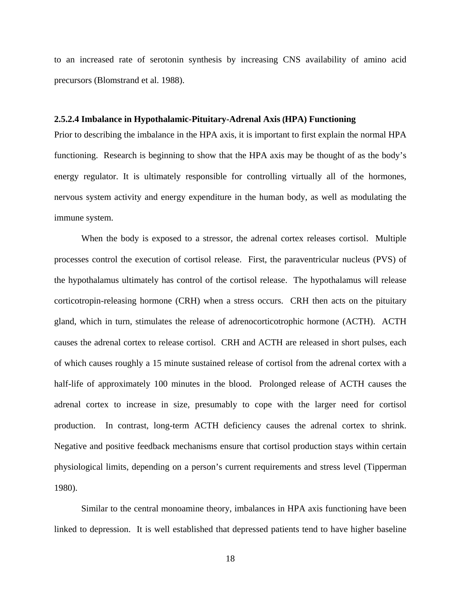<span id="page-28-0"></span>to an increased rate of serotonin synthesis by increasing CNS availability of amino acid precursors (Blomstrand et al. 1988).

#### **2.5.2.4 Imbalance in Hypothalamic-Pituitary-Adrenal Axis (HPA) Functioning**

Prior to describing the imbalance in the HPA axis, it is important to first explain the normal HPA functioning. Research is beginning to show that the HPA axis may be thought of as the body's energy regulator. It is ultimately responsible for controlling virtually all of the hormones, nervous system activity and energy expenditure in the human body, as well as modulating the immune system.

When the body is exposed to a stressor, the adrenal cortex releases cortisol. Multiple processes control the execution of cortisol release. First, the paraventricular nucleus (PVS) of the hypothalamus ultimately has control of the cortisol release. The hypothalamus will release corticotropin-releasing hormone (CRH) when a stress occurs. CRH then acts on the pituitary gland, which in turn, stimulates the release of adrenocorticotrophic hormone (ACTH). ACTH causes the adrenal cortex to release cortisol. CRH and ACTH are released in short pulses, each of which causes roughly a 15 minute sustained release of cortisol from the adrenal cortex with a half-life of approximately 100 minutes in the blood. Prolonged release of ACTH causes the adrenal cortex to increase in size, presumably to cope with the larger need for cortisol production. In contrast, long-term ACTH deficiency causes the adrenal cortex to shrink. Negative and positive feedback mechanisms ensure that cortisol production stays within certain physiological limits, depending on a person's current requirements and stress level (Tipperman 1980).

Similar to the central monoamine theory, imbalances in HPA axis functioning have been linked to depression. It is well established that depressed patients tend to have higher baseline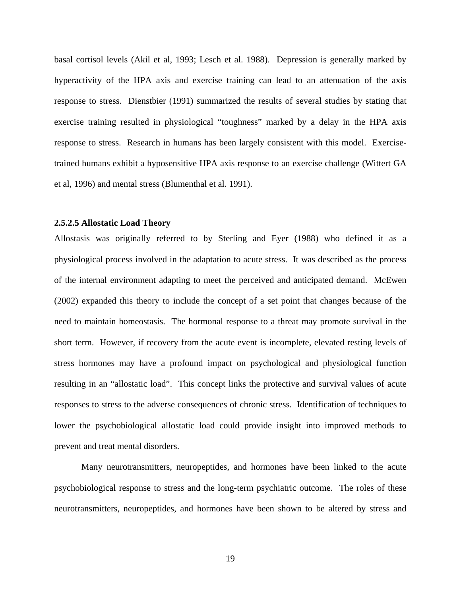<span id="page-29-0"></span>basal cortisol levels (Akil et al, 1993; Lesch et al. 1988). Depression is generally marked by hyperactivity of the HPA axis and exercise training can lead to an attenuation of the axis response to stress. Dienstbier (1991) summarized the results of several studies by stating that exercise training resulted in physiological "toughness" marked by a delay in the HPA axis response to stress. Research in humans has been largely consistent with this model. Exercisetrained humans exhibit a hyposensitive HPA axis response to an exercise challenge (Wittert GA et al, 1996) and mental stress (Blumenthal et al. 1991).

## **2.5.2.5 Allostatic Load Theory**

Allostasis was originally referred to by Sterling and Eyer (1988) who defined it as a physiological process involved in the adaptation to acute stress. It was described as the process of the internal environment adapting to meet the perceived and anticipated demand. McEwen (2002) expanded this theory to include the concept of a set point that changes because of the need to maintain homeostasis. The hormonal response to a threat may promote survival in the short term. However, if recovery from the acute event is incomplete, elevated resting levels of stress hormones may have a profound impact on psychological and physiological function resulting in an "allostatic load". This concept links the protective and survival values of acute responses to stress to the adverse consequences of chronic stress. Identification of techniques to lower the psychobiological allostatic load could provide insight into improved methods to prevent and treat mental disorders.

Many neurotransmitters, neuropeptides, and hormones have been linked to the acute psychobiological response to stress and the long-term psychiatric outcome. The roles of these neurotransmitters, neuropeptides, and hormones have been shown to be altered by stress and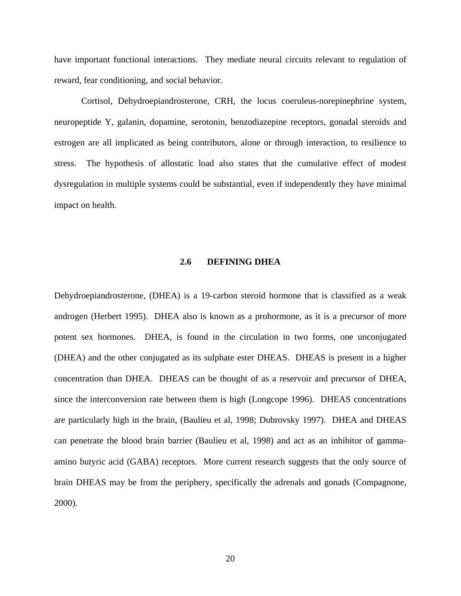<span id="page-30-0"></span>have important functional interactions. They mediate neural circuits relevant to regulation of reward, fear conditioning, and social behavior.

Cortisol, Dehydroepiandrosterone, CRH, the locus coeruleus-norepinephrine system, neuropeptide Y, galanin, dopamine, serotonin, benzodiazepine receptors, gonadal steroids and estrogen are all implicated as being contributors, alone or through interaction, to resilience to stress. The hypothesis of allostatic load also states that the cumulative effect of modest dysregulation in multiple systems could be substantial, even if independently they have minimal impact on health.

# **2.6 DEFINING DHEA**

Dehydroepiandrosterone, (DHEA) is a 19-carbon steroid hormone that is classified as a weak androgen (Herbert 1995). DHEA also is known as a prohormone, as it is a precursor of more potent sex hormones. DHEA, is found in the circulation in two forms, one unconjugated (DHEA) and the other conjugated as its sulphate ester DHEAS. DHEAS is present in a higher concentration than DHEA. DHEAS can be thought of as a reservoir and precursor of DHEA, since the interconversion rate between them is high (Longcope 1996). DHEAS concentrations are particularly high in the brain, (Baulieu et al, 1998; Dubrovsky 1997). DHEA and DHEAS can penetrate the blood brain barrier (Baulieu et al, 1998) and act as an inhibitor of gammaamino butyric acid (GABA) receptors. More current research suggests that the only source of brain DHEAS may be from the periphery, specifically the adrenals and gonads (Compagnone, 2000).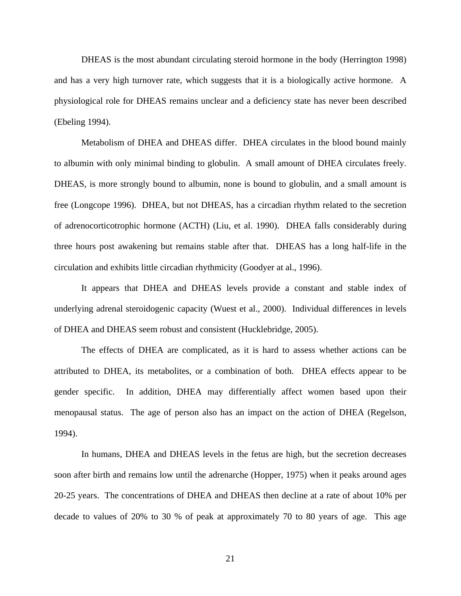DHEAS is the most abundant circulating steroid hormone in the body (Herrington 1998) and has a very high turnover rate, which suggests that it is a biologically active hormone. A physiological role for DHEAS remains unclear and a deficiency state has never been described (Ebeling 1994).

Metabolism of DHEA and DHEAS differ. DHEA circulates in the blood bound mainly to albumin with only minimal binding to globulin. A small amount of DHEA circulates freely. DHEAS, is more strongly bound to albumin, none is bound to globulin, and a small amount is free (Longcope 1996). DHEA, but not DHEAS, has a circadian rhythm related to the secretion of adrenocorticotrophic hormone (ACTH) (Liu, et al. 1990). DHEA falls considerably during three hours post awakening but remains stable after that. DHEAS has a long half-life in the circulation and exhibits little circadian rhythmicity (Goodyer at al., 1996).

It appears that DHEA and DHEAS levels provide a constant and stable index of underlying adrenal steroidogenic capacity (Wuest et al., 2000). Individual differences in levels of DHEA and DHEAS seem robust and consistent (Hucklebridge, 2005).

The effects of DHEA are complicated, as it is hard to assess whether actions can be attributed to DHEA, its metabolites, or a combination of both. DHEA effects appear to be gender specific. In addition, DHEA may differentially affect women based upon their menopausal status. The age of person also has an impact on the action of DHEA (Regelson, 1994).

In humans, DHEA and DHEAS levels in the fetus are high, but the secretion decreases soon after birth and remains low until the adrenarche (Hopper, 1975) when it peaks around ages 20-25 years. The concentrations of DHEA and DHEAS then decline at a rate of about 10% per decade to values of 20% to 30 % of peak at approximately 70 to 80 years of age. This age

21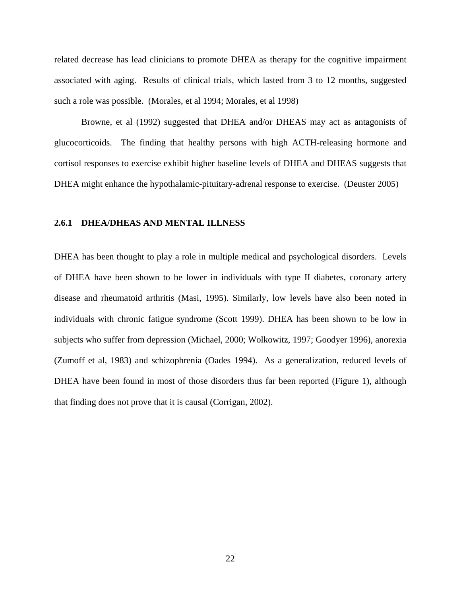<span id="page-32-0"></span>related decrease has lead clinicians to promote DHEA as therapy for the cognitive impairment associated with aging. Results of clinical trials, which lasted from 3 to 12 months, suggested such a role was possible. (Morales, et al 1994; Morales, et al 1998)

Browne, et al (1992) suggested that DHEA and/or DHEAS may act as antagonists of glucocorticoids. The finding that healthy persons with high ACTH-releasing hormone and cortisol responses to exercise exhibit higher baseline levels of DHEA and DHEAS suggests that DHEA might enhance the hypothalamic-pituitary-adrenal response to exercise. (Deuster 2005)

## **2.6.1 DHEA/DHEAS AND MENTAL ILLNESS**

DHEA has been thought to play a role in multiple medical and psychological disorders. Levels of DHEA have been shown to be lower in individuals with type II diabetes, coronary artery disease and rheumatoid arthritis (Masi, 1995). Similarly, low levels have also been noted in individuals with chronic fatigue syndrome (Scott 1999). DHEA has been shown to be low in subjects who suffer from depression (Michael, 2000; Wolkowitz, 1997; Goodyer 1996), anorexia (Zumoff et al, 1983) and schizophrenia (Oades 1994). As a generalization, reduced levels of DHEA have been found in most of those disorders thus far been reported (Figure 1), although that finding does not prove that it is causal (Corrigan, 2002).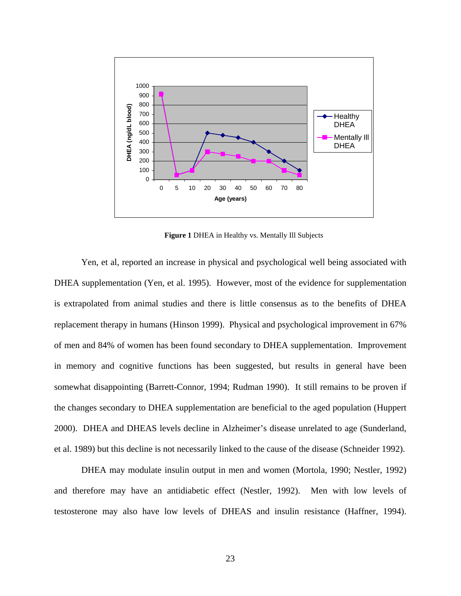<span id="page-33-0"></span>

**Figure 1** DHEA in Healthy vs. Mentally Ill Subjects

Yen, et al, reported an increase in physical and psychological well being associated with DHEA supplementation (Yen, et al. 1995). However, most of the evidence for supplementation is extrapolated from animal studies and there is little consensus as to the benefits of DHEA replacement therapy in humans (Hinson 1999). Physical and psychological improvement in 67% of men and 84% of women has been found secondary to DHEA supplementation. Improvement in memory and cognitive functions has been suggested, but results in general have been somewhat disappointing (Barrett-Connor, 1994; Rudman 1990). It still remains to be proven if the changes secondary to DHEA supplementation are beneficial to the aged population (Huppert 2000). DHEA and DHEAS levels decline in Alzheimer's disease unrelated to age (Sunderland, et al. 1989) but this decline is not necessarily linked to the cause of the disease (Schneider 1992).

DHEA may modulate insulin output in men and women (Mortola, 1990; Nestler, 1992) and therefore may have an antidiabetic effect (Nestler, 1992). Men with low levels of testosterone may also have low levels of DHEAS and insulin resistance (Haffner, 1994).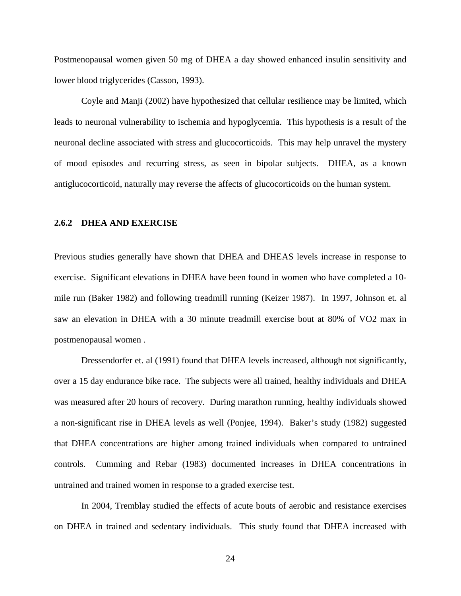<span id="page-34-0"></span>Postmenopausal women given 50 mg of DHEA a day showed enhanced insulin sensitivity and lower blood triglycerides (Casson, 1993).

Coyle and Manji (2002) have hypothesized that cellular resilience may be limited, which leads to neuronal vulnerability to ischemia and hypoglycemia. This hypothesis is a result of the neuronal decline associated with stress and glucocorticoids. This may help unravel the mystery of mood episodes and recurring stress, as seen in bipolar subjects. DHEA, as a known antiglucocorticoid, naturally may reverse the affects of glucocorticoids on the human system.

## **2.6.2 DHEA AND EXERCISE**

Previous studies generally have shown that DHEA and DHEAS levels increase in response to exercise. Significant elevations in DHEA have been found in women who have completed a 10 mile run (Baker 1982) and following treadmill running (Keizer 1987). In 1997, Johnson et. al saw an elevation in DHEA with a 30 minute treadmill exercise bout at 80% of VO2 max in postmenopausal women .

Dressendorfer et. al (1991) found that DHEA levels increased, although not significantly, over a 15 day endurance bike race. The subjects were all trained, healthy individuals and DHEA was measured after 20 hours of recovery. During marathon running, healthy individuals showed a non-significant rise in DHEA levels as well (Ponjee, 1994). Baker's study (1982) suggested that DHEA concentrations are higher among trained individuals when compared to untrained controls. Cumming and Rebar (1983) documented increases in DHEA concentrations in untrained and trained women in response to a graded exercise test.

In 2004, Tremblay studied the effects of acute bouts of aerobic and resistance exercises on DHEA in trained and sedentary individuals. This study found that DHEA increased with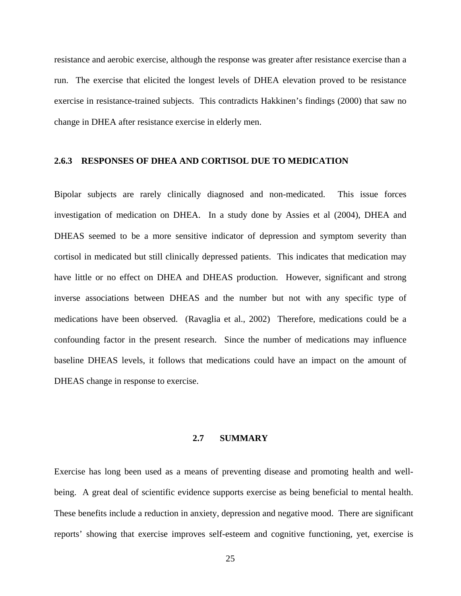<span id="page-35-0"></span>resistance and aerobic exercise, although the response was greater after resistance exercise than a run. The exercise that elicited the longest levels of DHEA elevation proved to be resistance exercise in resistance-trained subjects. This contradicts Hakkinen's findings (2000) that saw no change in DHEA after resistance exercise in elderly men.

## **2.6.3 RESPONSES OF DHEA AND CORTISOL DUE TO MEDICATION**

Bipolar subjects are rarely clinically diagnosed and non-medicated. This issue forces investigation of medication on DHEA. In a study done by Assies et al (2004), DHEA and DHEAS seemed to be a more sensitive indicator of depression and symptom severity than cortisol in medicated but still clinically depressed patients. This indicates that medication may have little or no effect on DHEA and DHEAS production. However, significant and strong inverse associations between DHEAS and the number but not with any specific type of medications have been observed. (Ravaglia et al., 2002) Therefore, medications could be a confounding factor in the present research. Since the number of medications may influence baseline DHEAS levels, it follows that medications could have an impact on the amount of DHEAS change in response to exercise.

## **2.7 SUMMARY**

Exercise has long been used as a means of preventing disease and promoting health and wellbeing. A great deal of scientific evidence supports exercise as being beneficial to mental health. These benefits include a reduction in anxiety, depression and negative mood. There are significant reports' showing that exercise improves self-esteem and cognitive functioning, yet, exercise is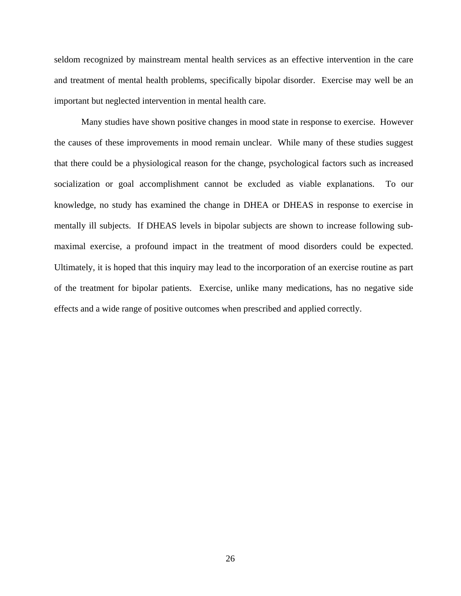seldom recognized by mainstream mental health services as an effective intervention in the care and treatment of mental health problems, specifically bipolar disorder. Exercise may well be an important but neglected intervention in mental health care.

Many studies have shown positive changes in mood state in response to exercise. However the causes of these improvements in mood remain unclear. While many of these studies suggest that there could be a physiological reason for the change, psychological factors such as increased socialization or goal accomplishment cannot be excluded as viable explanations. To our knowledge, no study has examined the change in DHEA or DHEAS in response to exercise in mentally ill subjects. If DHEAS levels in bipolar subjects are shown to increase following submaximal exercise, a profound impact in the treatment of mood disorders could be expected. Ultimately, it is hoped that this inquiry may lead to the incorporation of an exercise routine as part of the treatment for bipolar patients. Exercise, unlike many medications, has no negative side effects and a wide range of positive outcomes when prescribed and applied correctly.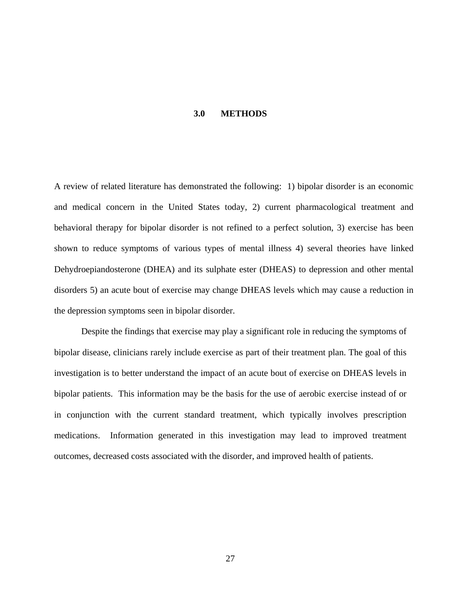#### **3.0 METHODS**

A review of related literature has demonstrated the following: 1) bipolar disorder is an economic and medical concern in the United States today, 2) current pharmacological treatment and behavioral therapy for bipolar disorder is not refined to a perfect solution, 3) exercise has been shown to reduce symptoms of various types of mental illness 4) several theories have linked Dehydroepiandosterone (DHEA) and its sulphate ester (DHEAS) to depression and other mental disorders 5) an acute bout of exercise may change DHEAS levels which may cause a reduction in the depression symptoms seen in bipolar disorder.

Despite the findings that exercise may play a significant role in reducing the symptoms of bipolar disease, clinicians rarely include exercise as part of their treatment plan. The goal of this investigation is to better understand the impact of an acute bout of exercise on DHEAS levels in bipolar patients. This information may be the basis for the use of aerobic exercise instead of or in conjunction with the current standard treatment, which typically involves prescription medications. Information generated in this investigation may lead to improved treatment outcomes, decreased costs associated with the disorder, and improved health of patients.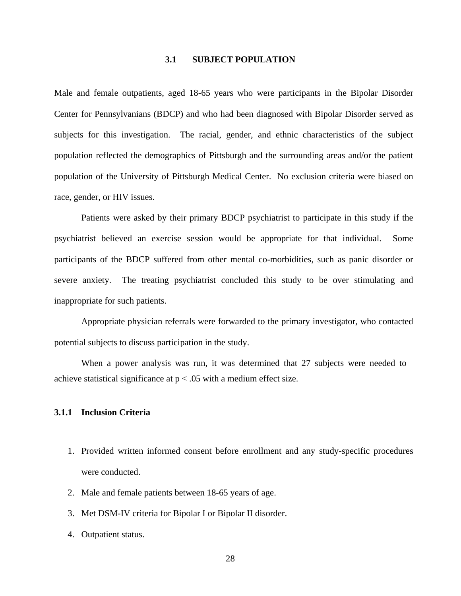#### **3.1 SUBJECT POPULATION**

Male and female outpatients, aged 18-65 years who were participants in the Bipolar Disorder Center for Pennsylvanians (BDCP) and who had been diagnosed with Bipolar Disorder served as subjects for this investigation. The racial, gender, and ethnic characteristics of the subject population reflected the demographics of Pittsburgh and the surrounding areas and/or the patient population of the University of Pittsburgh Medical Center. No exclusion criteria were biased on race, gender, or HIV issues.

Patients were asked by their primary BDCP psychiatrist to participate in this study if the psychiatrist believed an exercise session would be appropriate for that individual. Some participants of the BDCP suffered from other mental co-morbidities, such as panic disorder or severe anxiety. The treating psychiatrist concluded this study to be over stimulating and inappropriate for such patients.

Appropriate physician referrals were forwarded to the primary investigator, who contacted potential subjects to discuss participation in the study.

When a power analysis was run, it was determined that 27 subjects were needed to achieve statistical significance at  $p < .05$  with a medium effect size.

## **3.1.1 Inclusion Criteria**

- 1. Provided written informed consent before enrollment and any study-specific procedures were conducted.
- 2. Male and female patients between 18-65 years of age.
- 3. Met DSM-IV criteria for Bipolar I or Bipolar II disorder.
- 4. Outpatient status.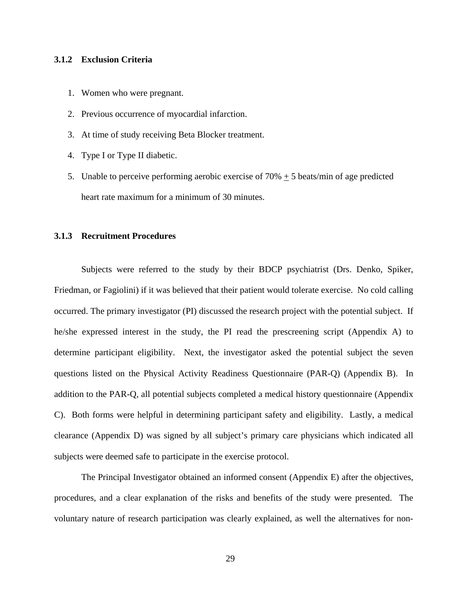## **3.1.2 Exclusion Criteria**

- 1. Women who were pregnant.
- 2. Previous occurrence of myocardial infarction.
- 3. At time of study receiving Beta Blocker treatment.
- 4. Type I or Type II diabetic.
- 5. Unable to perceive performing aerobic exercise of  $70\% + 5$  beats/min of age predicted heart rate maximum for a minimum of 30 minutes.

# **3.1.3 Recruitment Procedures**

Subjects were referred to the study by their BDCP psychiatrist (Drs. Denko, Spiker, Friedman, or Fagiolini) if it was believed that their patient would tolerate exercise. No cold calling occurred. The primary investigator (PI) discussed the research project with the potential subject. If he/she expressed interest in the study, the PI read the prescreening script (Appendix A) to determine participant eligibility. Next, the investigator asked the potential subject the seven questions listed on the Physical Activity Readiness Questionnaire (PAR-Q) (Appendix B). In addition to the PAR-Q, all potential subjects completed a medical history questionnaire (Appendix C). Both forms were helpful in determining participant safety and eligibility. Lastly, a medical clearance (Appendix D) was signed by all subject's primary care physicians which indicated all subjects were deemed safe to participate in the exercise protocol.

The Principal Investigator obtained an informed consent (Appendix E) after the objectives, procedures, and a clear explanation of the risks and benefits of the study were presented. The voluntary nature of research participation was clearly explained, as well the alternatives for non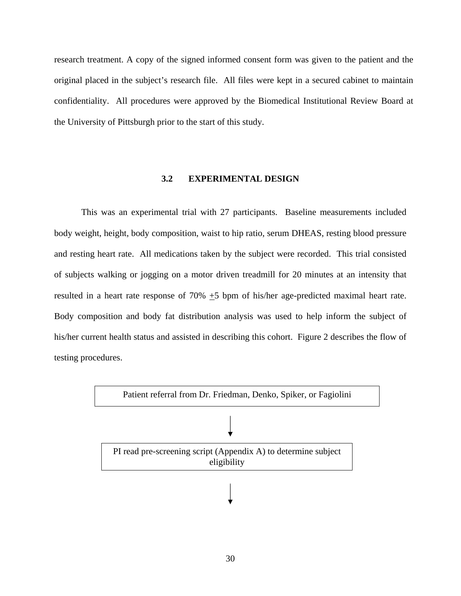research treatment. A copy of the signed informed consent form was given to the patient and the original placed in the subject's research file. All files were kept in a secured cabinet to maintain confidentiality. All procedures were approved by the Biomedical Institutional Review Board at the University of Pittsburgh prior to the start of this study.

# **3.2 EXPERIMENTAL DESIGN**

This was an experimental trial with 27 participants. Baseline measurements included body weight, height, body composition, waist to hip ratio, serum DHEAS, resting blood pressure and resting heart rate. All medications taken by the subject were recorded. This trial consisted of subjects walking or jogging on a motor driven treadmill for 20 minutes at an intensity that resulted in a heart rate response of 70% +5 bpm of his/her age-predicted maximal heart rate. Body composition and body fat distribution analysis was used to help inform the subject of his/her current health status and assisted in describing this cohort. Figure 2 describes the flow of testing procedures.

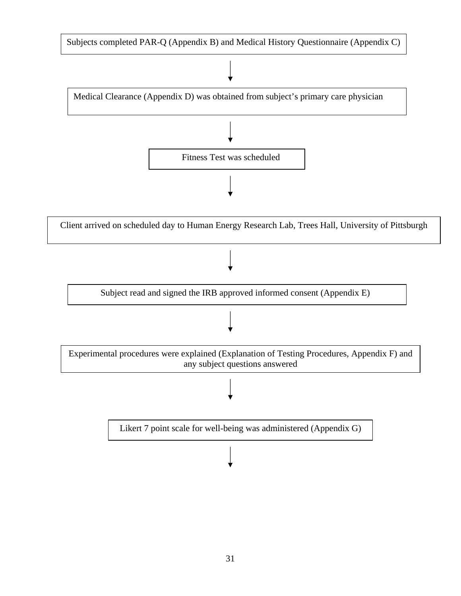

31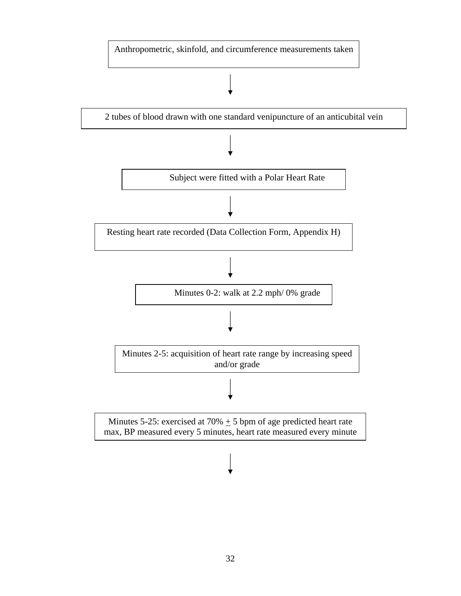Anthropometric, skinfold, and circumference measurements taken

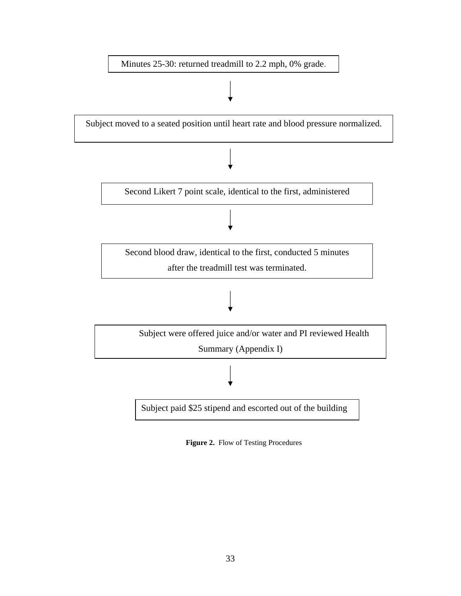

**Figure 2.** Flow of Testing Procedures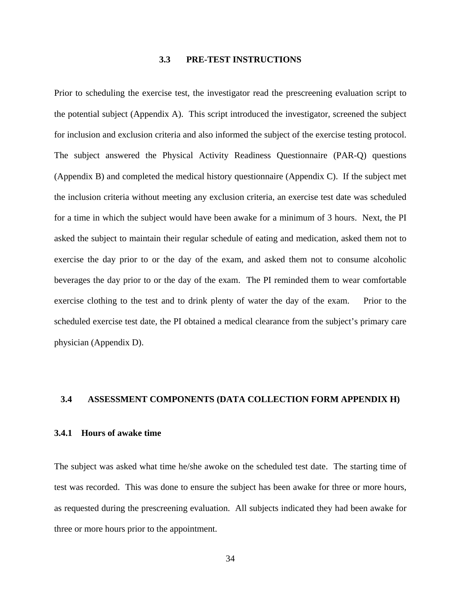# **3.3 PRE-TEST INSTRUCTIONS**

Prior to scheduling the exercise test, the investigator read the prescreening evaluation script to the potential subject (Appendix A). This script introduced the investigator, screened the subject for inclusion and exclusion criteria and also informed the subject of the exercise testing protocol. The subject answered the Physical Activity Readiness Questionnaire (PAR-Q) questions (Appendix B) and completed the medical history questionnaire (Appendix C). If the subject met the inclusion criteria without meeting any exclusion criteria, an exercise test date was scheduled for a time in which the subject would have been awake for a minimum of 3 hours. Next, the PI asked the subject to maintain their regular schedule of eating and medication, asked them not to exercise the day prior to or the day of the exam, and asked them not to consume alcoholic beverages the day prior to or the day of the exam. The PI reminded them to wear comfortable exercise clothing to the test and to drink plenty of water the day of the exam. Prior to the scheduled exercise test date, the PI obtained a medical clearance from the subject's primary care physician (Appendix D).

# **3.4 ASSESSMENT COMPONENTS (DATA COLLECTION FORM APPENDIX H)**

#### **3.4.1 Hours of awake time**

The subject was asked what time he/she awoke on the scheduled test date. The starting time of test was recorded. This was done to ensure the subject has been awake for three or more hours, as requested during the prescreening evaluation. All subjects indicated they had been awake for three or more hours prior to the appointment.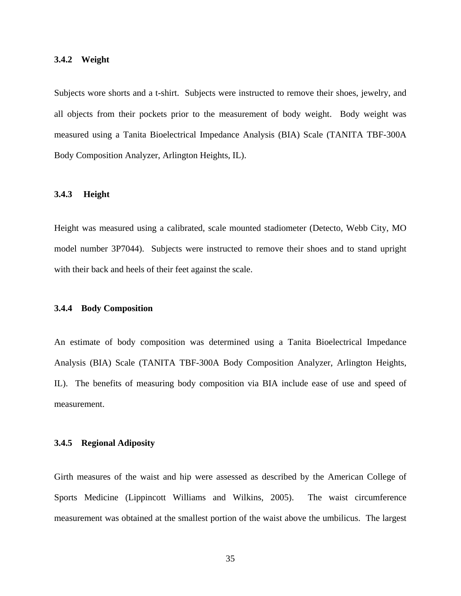#### **3.4.2 Weight**

Subjects wore shorts and a t-shirt. Subjects were instructed to remove their shoes, jewelry, and all objects from their pockets prior to the measurement of body weight. Body weight was measured using a Tanita Bioelectrical Impedance Analysis (BIA) Scale (TANITA TBF-300A Body Composition Analyzer, Arlington Heights, IL).

## **3.4.3 Height**

Height was measured using a calibrated, scale mounted stadiometer (Detecto, Webb City, MO model number 3P7044). Subjects were instructed to remove their shoes and to stand upright with their back and heels of their feet against the scale.

## **3.4.4 Body Composition**

An estimate of body composition was determined using a Tanita Bioelectrical Impedance Analysis (BIA) Scale (TANITA TBF-300A Body Composition Analyzer, Arlington Heights, IL). The benefits of measuring body composition via BIA include ease of use and speed of measurement.

#### **3.4.5 Regional Adiposity**

Girth measures of the waist and hip were assessed as described by the American College of Sports Medicine (Lippincott Williams and Wilkins, 2005). The waist circumference measurement was obtained at the smallest portion of the waist above the umbilicus. The largest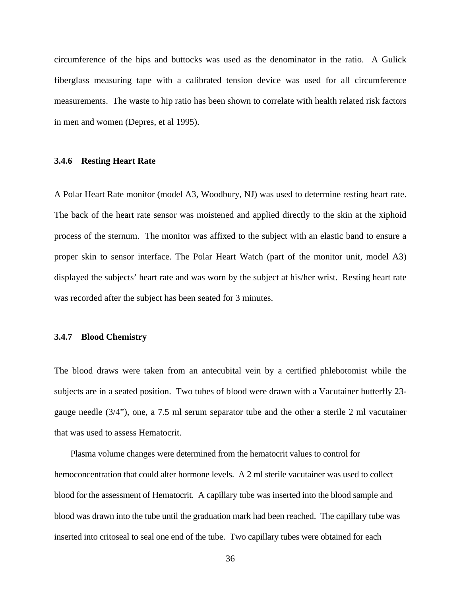circumference of the hips and buttocks was used as the denominator in the ratio. A Gulick fiberglass measuring tape with a calibrated tension device was used for all circumference measurements. The waste to hip ratio has been shown to correlate with health related risk factors in men and women (Depres, et al 1995).

# **3.4.6 Resting Heart Rate**

A Polar Heart Rate monitor (model A3, Woodbury, NJ) was used to determine resting heart rate. The back of the heart rate sensor was moistened and applied directly to the skin at the xiphoid process of the sternum. The monitor was affixed to the subject with an elastic band to ensure a proper skin to sensor interface. The Polar Heart Watch (part of the monitor unit, model A3) displayed the subjects' heart rate and was worn by the subject at his/her wrist. Resting heart rate was recorded after the subject has been seated for 3 minutes.

#### **3.4.7 Blood Chemistry**

The blood draws were taken from an antecubital vein by a certified phlebotomist while the subjects are in a seated position. Two tubes of blood were drawn with a Vacutainer butterfly 23 gauge needle (3/4"), one, a 7.5 ml serum separator tube and the other a sterile 2 ml vacutainer that was used to assess Hematocrit.

 Plasma volume changes were determined from the hematocrit values to control for hemoconcentration that could alter hormone levels. A 2 ml sterile vacutainer was used to collect blood for the assessment of Hematocrit. A capillary tube was inserted into the blood sample and blood was drawn into the tube until the graduation mark had been reached. The capillary tube was inserted into critoseal to seal one end of the tube. Two capillary tubes were obtained for each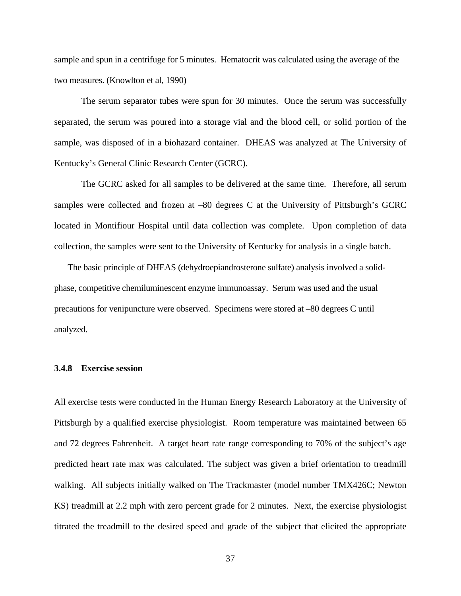sample and spun in a centrifuge for 5 minutes. Hematocrit was calculated using the average of the two measures. (Knowlton et al, 1990)

The serum separator tubes were spun for 30 minutes. Once the serum was successfully separated, the serum was poured into a storage vial and the blood cell, or solid portion of the sample, was disposed of in a biohazard container. DHEAS was analyzed at The University of Kentucky's General Clinic Research Center (GCRC).

The GCRC asked for all samples to be delivered at the same time. Therefore, all serum samples were collected and frozen at –80 degrees C at the University of Pittsburgh's GCRC located in Montifiour Hospital until data collection was complete. Upon completion of data collection, the samples were sent to the University of Kentucky for analysis in a single batch.

 The basic principle of DHEAS (dehydroepiandrosterone sulfate) analysis involved a solidphase, competitive chemiluminescent enzyme immunoassay. Serum was used and the usual precautions for venipuncture were observed. Specimens were stored at –80 degrees C until analyzed.

# **3.4.8 Exercise session**

All exercise tests were conducted in the Human Energy Research Laboratory at the University of Pittsburgh by a qualified exercise physiologist. Room temperature was maintained between 65 and 72 degrees Fahrenheit. A target heart rate range corresponding to 70% of the subject's age predicted heart rate max was calculated. The subject was given a brief orientation to treadmill walking. All subjects initially walked on The Trackmaster (model number TMX426C; Newton KS) treadmill at 2.2 mph with zero percent grade for 2 minutes. Next, the exercise physiologist titrated the treadmill to the desired speed and grade of the subject that elicited the appropriate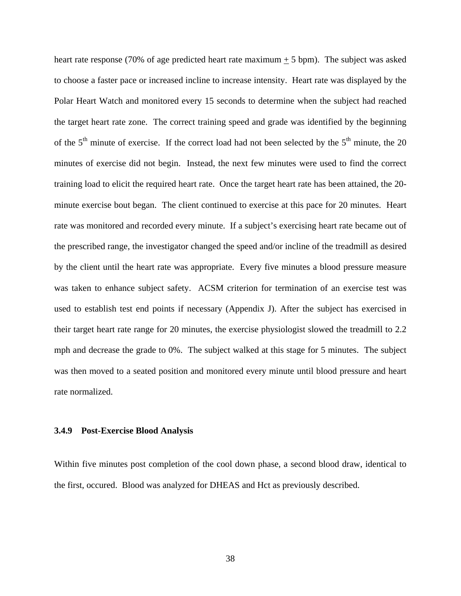heart rate response (70% of age predicted heart rate maximum + 5 bpm). The subject was asked to choose a faster pace or increased incline to increase intensity. Heart rate was displayed by the Polar Heart Watch and monitored every 15 seconds to determine when the subject had reached the target heart rate zone. The correct training speed and grade was identified by the beginning of the  $5<sup>th</sup>$  minute of exercise. If the correct load had not been selected by the  $5<sup>th</sup>$  minute, the 20 minutes of exercise did not begin. Instead, the next few minutes were used to find the correct training load to elicit the required heart rate. Once the target heart rate has been attained, the 20 minute exercise bout began. The client continued to exercise at this pace for 20 minutes. Heart rate was monitored and recorded every minute. If a subject's exercising heart rate became out of the prescribed range, the investigator changed the speed and/or incline of the treadmill as desired by the client until the heart rate was appropriate. Every five minutes a blood pressure measure was taken to enhance subject safety. ACSM criterion for termination of an exercise test was used to establish test end points if necessary (Appendix J). After the subject has exercised in their target heart rate range for 20 minutes, the exercise physiologist slowed the treadmill to 2.2 mph and decrease the grade to 0%. The subject walked at this stage for 5 minutes. The subject was then moved to a seated position and monitored every minute until blood pressure and heart rate normalized.

# **3.4.9 Post-Exercise Blood Analysis**

Within five minutes post completion of the cool down phase, a second blood draw, identical to the first, occured. Blood was analyzed for DHEAS and Hct as previously described.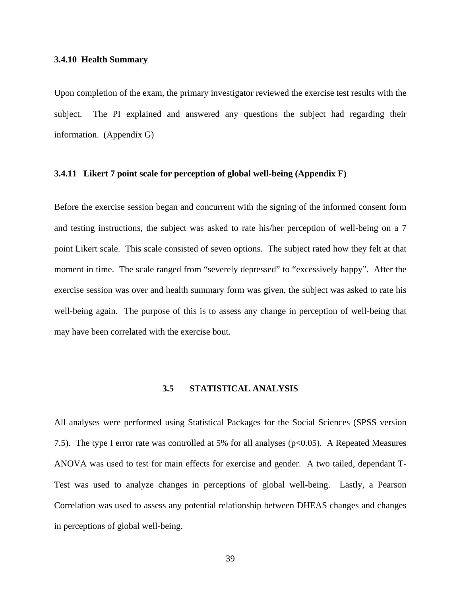#### **3.4.10 Health Summary**

Upon completion of the exam, the primary investigator reviewed the exercise test results with the subject. The PI explained and answered any questions the subject had regarding their information. (Appendix G)

# **3.4.11 Likert 7 point scale for perception of global well-being (Appendix F)**

Before the exercise session began and concurrent with the signing of the informed consent form and testing instructions, the subject was asked to rate his/her perception of well-being on a 7 point Likert scale. This scale consisted of seven options. The subject rated how they felt at that moment in time. The scale ranged from "severely depressed" to "excessively happy". After the exercise session was over and health summary form was given, the subject was asked to rate his well-being again. The purpose of this is to assess any change in perception of well-being that may have been correlated with the exercise bout.

#### **3.5 STATISTICAL ANALYSIS**

All analyses were performed using Statistical Packages for the Social Sciences (SPSS version 7.5). The type I error rate was controlled at 5% for all analyses ( $p<0.05$ ). A Repeated Measures ANOVA was used to test for main effects for exercise and gender. A two tailed, dependant T-Test was used to analyze changes in perceptions of global well-being. Lastly, a Pearson Correlation was used to assess any potential relationship between DHEAS changes and changes in perceptions of global well-being.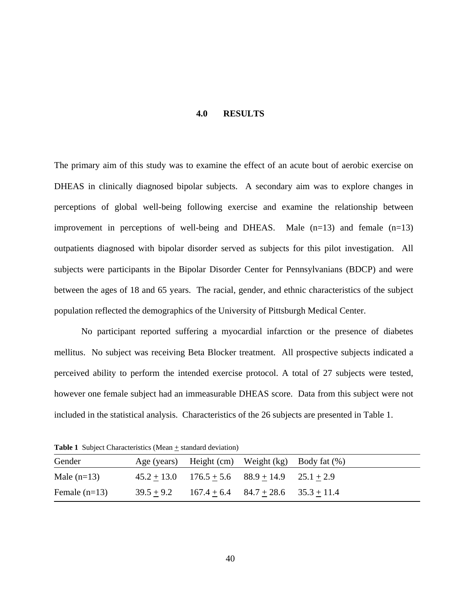#### **4.0 RESULTS**

The primary aim of this study was to examine the effect of an acute bout of aerobic exercise on DHEAS in clinically diagnosed bipolar subjects. A secondary aim was to explore changes in perceptions of global well-being following exercise and examine the relationship between improvement in perceptions of well-being and DHEAS. Male  $(n=13)$  and female  $(n=13)$ outpatients diagnosed with bipolar disorder served as subjects for this pilot investigation. All subjects were participants in the Bipolar Disorder Center for Pennsylvanians (BDCP) and were between the ages of 18 and 65 years. The racial, gender, and ethnic characteristics of the subject population reflected the demographics of the University of Pittsburgh Medical Center.

No participant reported suffering a myocardial infarction or the presence of diabetes mellitus. No subject was receiving Beta Blocker treatment. All prospective subjects indicated a perceived ability to perform the intended exercise protocol. A total of 27 subjects were tested, however one female subject had an immeasurable DHEAS score. Data from this subject were not included in the statistical analysis. Characteristics of the 26 subjects are presented in Table 1.

**Table 1** Subject Characteristics (Mean  $+$  standard deviation)

| Gender          | Age (years) Height (cm) Weight (kg) Body fat (%)       |  |
|-----------------|--------------------------------------------------------|--|
| Male $(n=13)$   | $45.2 + 13.0$ $176.5 + 5.6$ $88.9 + 14.9$ $25.1 + 2.9$ |  |
| Female $(n=13)$ | $39.5 + 9.2$ $167.4 + 6.4$ $84.7 + 28.6$ $35.3 + 11.4$ |  |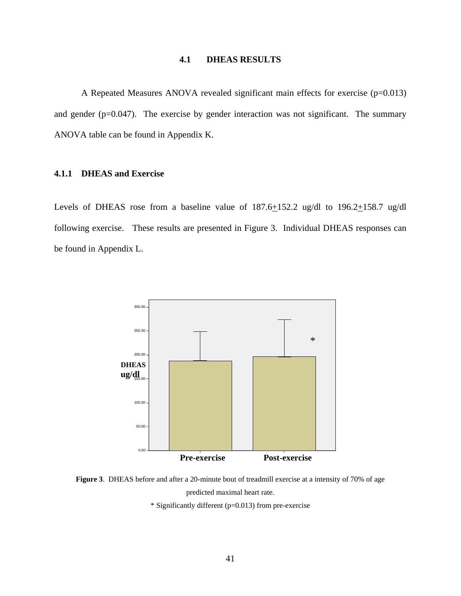## **4.1 DHEAS RESULTS**

A Repeated Measures ANOVA revealed significant main effects for exercise (p=0.013) and gender (p=0.047). The exercise by gender interaction was not significant. The summary ANOVA table can be found in Appendix K.

# **4.1.1 DHEAS and Exercise**

Levels of DHEAS rose from a baseline value of 187.6+152.2 ug/dl to 196.2+158.7 ug/dl following exercise. These results are presented in Figure 3. Individual DHEAS responses can be found in Appendix L.



**Figure 3**. DHEAS before and after a 20-minute bout of treadmill exercise at a intensity of 70% of age predicted maximal heart rate. \* Significantly different (p=0.013) from pre-exercise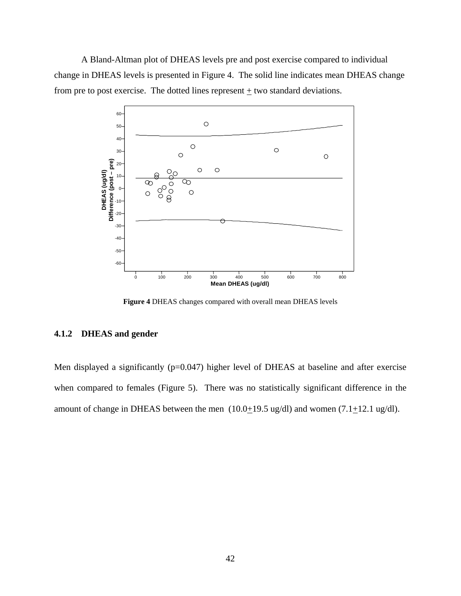A Bland-Altman plot of DHEAS levels pre and post exercise compared to individual change in DHEAS levels is presented in Figure 4. The solid line indicates mean DHEAS change from pre to post exercise. The dotted lines represent  $\pm$  two standard deviations.



**Figure 4** DHEAS changes compared with overall mean DHEAS levels

# **4.1.2 DHEAS and gender**

Men displayed a significantly (p=0.047) higher level of DHEAS at baseline and after exercise when compared to females (Figure 5). There was no statistically significant difference in the amount of change in DHEAS between the men  $(10.0+19.5 \text{ ug/dI})$  and women  $(7.1+12.1 \text{ ug/dI})$ .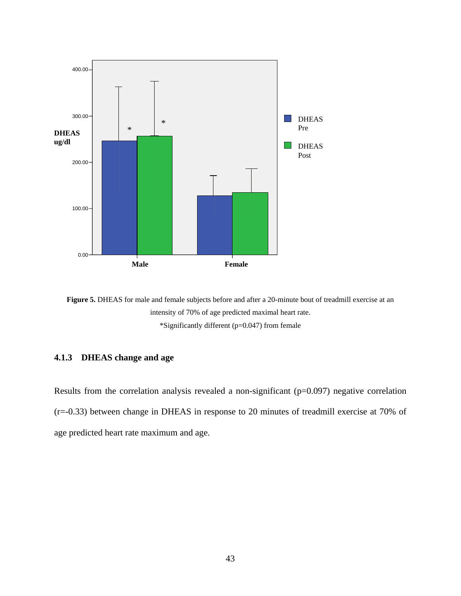



\*Significantly different (p=0.047) from female

# **4.1.3 DHEAS change and age**

Results from the correlation analysis revealed a non-significant (p=0.097) negative correlation (r=-0.33) between change in DHEAS in response to 20 minutes of treadmill exercise at 70% of age predicted heart rate maximum and age.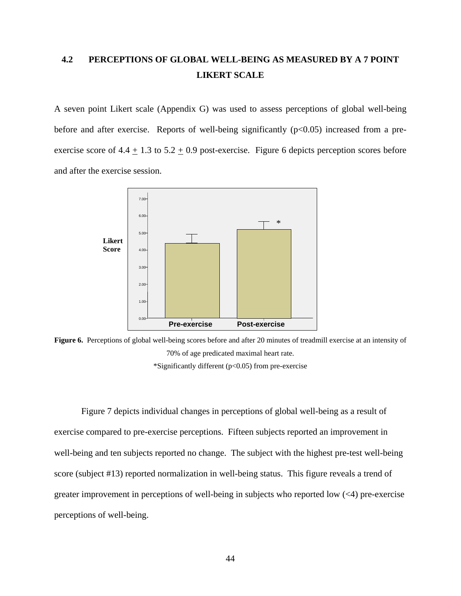# **4.2 PERCEPTIONS OF GLOBAL WELL-BEING AS MEASURED BY A 7 POINT LIKERT SCALE**

A seven point Likert scale (Appendix G) was used to assess perceptions of global well-being before and after exercise. Reports of well-being significantly  $(p<0.05)$  increased from a preexercise score of 4.4  $\pm$  1.3 to 5.2  $\pm$  0.9 post-exercise. Figure 6 depicts perception scores before and after the exercise session.



**Figure 6.** Perceptions of global well-being scores before and after 20 minutes of treadmill exercise at an intensity of 70% of age predicated maximal heart rate. \*Significantly different ( $p<0.05$ ) from pre-exercise

 Figure 7 depicts individual changes in perceptions of global well-being as a result of exercise compared to pre-exercise perceptions. Fifteen subjects reported an improvement in well-being and ten subjects reported no change. The subject with the highest pre-test well-being score (subject #13) reported normalization in well-being status. This figure reveals a trend of greater improvement in perceptions of well-being in subjects who reported low  $(\leq 4)$  pre-exercise perceptions of well-being.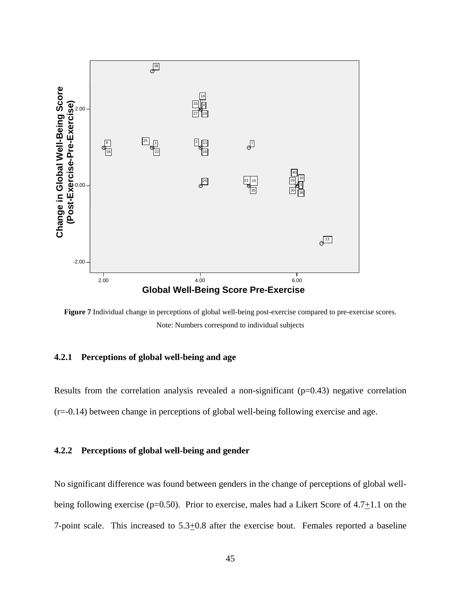

**Figure 7** Individual change in perceptions of global well-being post-exercise compared to pre-exercise scores. Note: Numbers correspond to individual subjects

## **4.2.1 Perceptions of global well-being and age**

Results from the correlation analysis revealed a non-significant  $(p=0.43)$  negative correlation (r=-0.14) between change in perceptions of global well-being following exercise and age.

#### **4.2.2 Perceptions of global well-being and gender**

No significant difference was found between genders in the change of perceptions of global wellbeing following exercise (p=0.50). Prior to exercise, males had a Likert Score of  $4.7 \pm 1.1$  on the 7-point scale. This increased to 5.3+0.8 after the exercise bout. Females reported a baseline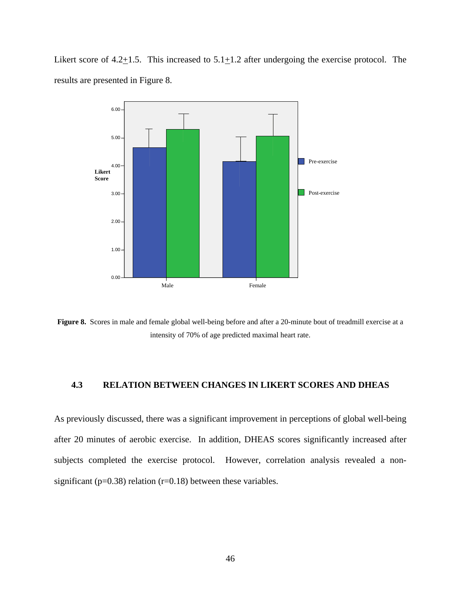Likert score of 4.2 $\pm$ 1.5. This increased to 5.1 $\pm$ 1.2 after undergoing the exercise protocol. The results are presented in Figure 8.



**Figure 8.** Scores in male and female global well-being before and after a 20-minute bout of treadmill exercise at a intensity of 70% of age predicted maximal heart rate.

# **4.3 RELATION BETWEEN CHANGES IN LIKERT SCORES AND DHEAS**

As previously discussed, there was a significant improvement in perceptions of global well-being after 20 minutes of aerobic exercise. In addition, DHEAS scores significantly increased after subjects completed the exercise protocol. However, correlation analysis revealed a nonsignificant ( $p=0.38$ ) relation ( $r=0.18$ ) between these variables.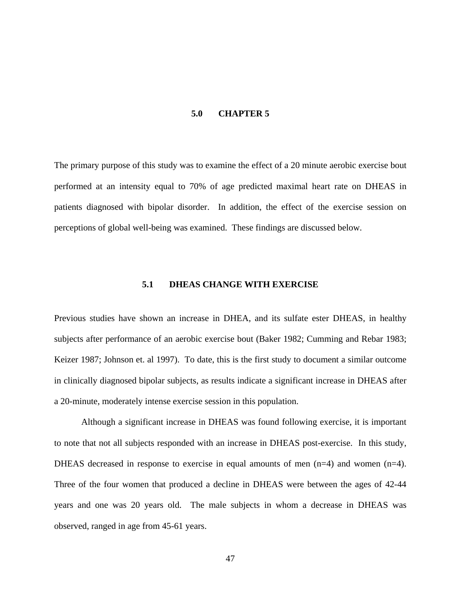#### **5.0 CHAPTER 5**

The primary purpose of this study was to examine the effect of a 20 minute aerobic exercise bout performed at an intensity equal to 70% of age predicted maximal heart rate on DHEAS in patients diagnosed with bipolar disorder. In addition, the effect of the exercise session on perceptions of global well-being was examined. These findings are discussed below.

### **5.1 DHEAS CHANGE WITH EXERCISE**

Previous studies have shown an increase in DHEA, and its sulfate ester DHEAS, in healthy subjects after performance of an aerobic exercise bout (Baker 1982; Cumming and Rebar 1983; Keizer 1987; Johnson et. al 1997). To date, this is the first study to document a similar outcome in clinically diagnosed bipolar subjects, as results indicate a significant increase in DHEAS after a 20-minute, moderately intense exercise session in this population.

Although a significant increase in DHEAS was found following exercise, it is important to note that not all subjects responded with an increase in DHEAS post-exercise. In this study, DHEAS decreased in response to exercise in equal amounts of men (n=4) and women (n=4). Three of the four women that produced a decline in DHEAS were between the ages of 42-44 years and one was 20 years old. The male subjects in whom a decrease in DHEAS was observed, ranged in age from 45-61 years.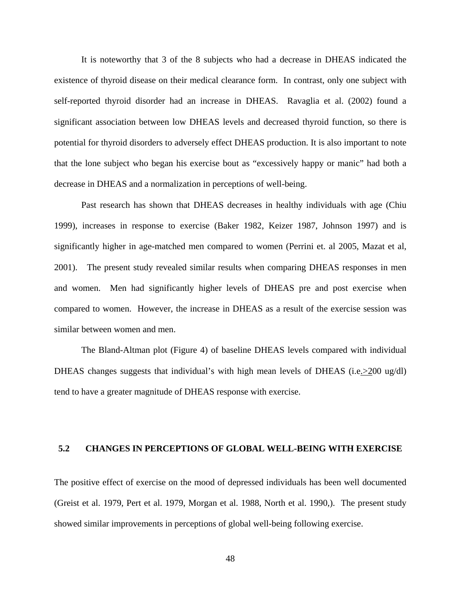It is noteworthy that 3 of the 8 subjects who had a decrease in DHEAS indicated the existence of thyroid disease on their medical clearance form. In contrast, only one subject with self-reported thyroid disorder had an increase in DHEAS. Ravaglia et al. (2002) found a significant association between low DHEAS levels and decreased thyroid function, so there is potential for thyroid disorders to adversely effect DHEAS production. It is also important to note that the lone subject who began his exercise bout as "excessively happy or manic" had both a decrease in DHEAS and a normalization in perceptions of well-being.

Past research has shown that DHEAS decreases in healthy individuals with age (Chiu 1999), increases in response to exercise (Baker 1982, Keizer 1987, Johnson 1997) and is significantly higher in age-matched men compared to women (Perrini et. al 2005, Mazat et al, 2001). The present study revealed similar results when comparing DHEAS responses in men and women. Men had significantly higher levels of DHEAS pre and post exercise when compared to women. However, the increase in DHEAS as a result of the exercise session was similar between women and men.

The Bland-Altman plot (Figure 4) of baseline DHEAS levels compared with individual DHEAS changes suggests that individual's with high mean levels of DHEAS (i.e. > 200 ug/dl) tend to have a greater magnitude of DHEAS response with exercise.

# **5.2 CHANGES IN PERCEPTIONS OF GLOBAL WELL-BEING WITH EXERCISE**

The positive effect of exercise on the mood of depressed individuals has been well documented (Greist et al. 1979, Pert et al. 1979, Morgan et al. 1988, North et al. 1990,). The present study showed similar improvements in perceptions of global well-being following exercise.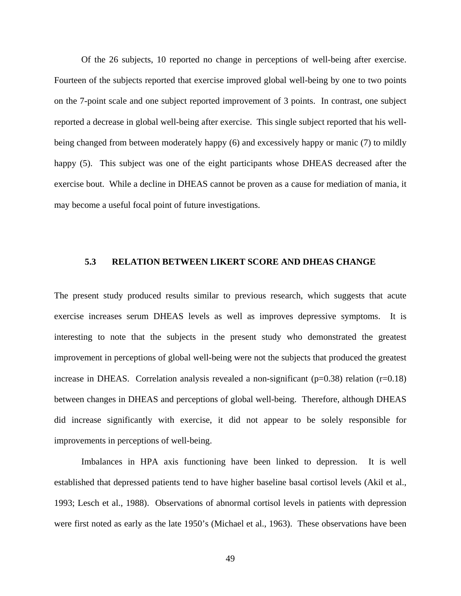Of the 26 subjects, 10 reported no change in perceptions of well-being after exercise. Fourteen of the subjects reported that exercise improved global well-being by one to two points on the 7-point scale and one subject reported improvement of 3 points. In contrast, one subject reported a decrease in global well-being after exercise. This single subject reported that his wellbeing changed from between moderately happy (6) and excessively happy or manic (7) to mildly happy (5). This subject was one of the eight participants whose DHEAS decreased after the exercise bout. While a decline in DHEAS cannot be proven as a cause for mediation of mania, it may become a useful focal point of future investigations.

# **5.3 RELATION BETWEEN LIKERT SCORE AND DHEAS CHANGE**

The present study produced results similar to previous research, which suggests that acute exercise increases serum DHEAS levels as well as improves depressive symptoms. It is interesting to note that the subjects in the present study who demonstrated the greatest improvement in perceptions of global well-being were not the subjects that produced the greatest increase in DHEAS. Correlation analysis revealed a non-significant ( $p=0.38$ ) relation ( $r=0.18$ ) between changes in DHEAS and perceptions of global well-being. Therefore, although DHEAS did increase significantly with exercise, it did not appear to be solely responsible for improvements in perceptions of well-being.

Imbalances in HPA axis functioning have been linked to depression. It is well established that depressed patients tend to have higher baseline basal cortisol levels (Akil et al., 1993; Lesch et al., 1988). Observations of abnormal cortisol levels in patients with depression were first noted as early as the late 1950's (Michael et al., 1963). These observations have been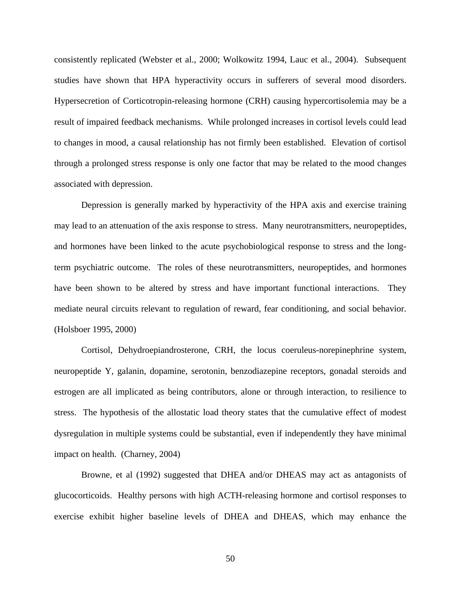consistently replicated (Webster et al., 2000; Wolkowitz 1994, Lauc et al., 2004). Subsequent studies have shown that HPA hyperactivity occurs in sufferers of several mood disorders. Hypersecretion of Corticotropin-releasing hormone (CRH) causing hypercortisolemia may be a result of impaired feedback mechanisms. While prolonged increases in cortisol levels could lead to changes in mood, a causal relationship has not firmly been established. Elevation of cortisol through a prolonged stress response is only one factor that may be related to the mood changes associated with depression.

Depression is generally marked by hyperactivity of the HPA axis and exercise training may lead to an attenuation of the axis response to stress. Many neurotransmitters, neuropeptides, and hormones have been linked to the acute psychobiological response to stress and the longterm psychiatric outcome. The roles of these neurotransmitters, neuropeptides, and hormones have been shown to be altered by stress and have important functional interactions. They mediate neural circuits relevant to regulation of reward, fear conditioning, and social behavior. (Holsboer 1995, 2000)

Cortisol, Dehydroepiandrosterone, CRH, the locus coeruleus-norepinephrine system, neuropeptide Y, galanin, dopamine, serotonin, benzodiazepine receptors, gonadal steroids and estrogen are all implicated as being contributors, alone or through interaction, to resilience to stress. The hypothesis of the allostatic load theory states that the cumulative effect of modest dysregulation in multiple systems could be substantial, even if independently they have minimal impact on health. (Charney, 2004)

Browne, et al (1992) suggested that DHEA and/or DHEAS may act as antagonists of glucocorticoids. Healthy persons with high ACTH-releasing hormone and cortisol responses to exercise exhibit higher baseline levels of DHEA and DHEAS, which may enhance the

50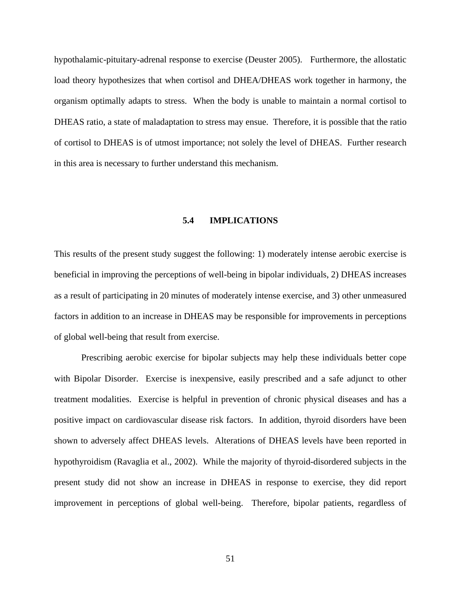hypothalamic-pituitary-adrenal response to exercise (Deuster 2005). Furthermore, the allostatic load theory hypothesizes that when cortisol and DHEA/DHEAS work together in harmony, the organism optimally adapts to stress. When the body is unable to maintain a normal cortisol to DHEAS ratio, a state of maladaptation to stress may ensue. Therefore, it is possible that the ratio of cortisol to DHEAS is of utmost importance; not solely the level of DHEAS. Further research in this area is necessary to further understand this mechanism.

#### **5.4 IMPLICATIONS**

This results of the present study suggest the following: 1) moderately intense aerobic exercise is beneficial in improving the perceptions of well-being in bipolar individuals, 2) DHEAS increases as a result of participating in 20 minutes of moderately intense exercise, and 3) other unmeasured factors in addition to an increase in DHEAS may be responsible for improvements in perceptions of global well-being that result from exercise.

Prescribing aerobic exercise for bipolar subjects may help these individuals better cope with Bipolar Disorder. Exercise is inexpensive, easily prescribed and a safe adjunct to other treatment modalities. Exercise is helpful in prevention of chronic physical diseases and has a positive impact on cardiovascular disease risk factors. In addition, thyroid disorders have been shown to adversely affect DHEAS levels. Alterations of DHEAS levels have been reported in hypothyroidism (Ravaglia et al., 2002). While the majority of thyroid-disordered subjects in the present study did not show an increase in DHEAS in response to exercise, they did report improvement in perceptions of global well-being. Therefore, bipolar patients, regardless of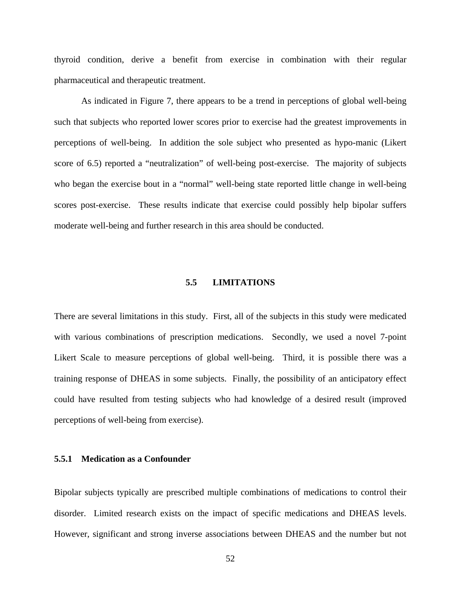thyroid condition, derive a benefit from exercise in combination with their regular pharmaceutical and therapeutic treatment.

As indicated in Figure 7, there appears to be a trend in perceptions of global well-being such that subjects who reported lower scores prior to exercise had the greatest improvements in perceptions of well-being. In addition the sole subject who presented as hypo-manic (Likert score of 6.5) reported a "neutralization" of well-being post-exercise. The majority of subjects who began the exercise bout in a "normal" well-being state reported little change in well-being scores post-exercise. These results indicate that exercise could possibly help bipolar suffers moderate well-being and further research in this area should be conducted.

## **5.5 LIMITATIONS**

There are several limitations in this study. First, all of the subjects in this study were medicated with various combinations of prescription medications. Secondly, we used a novel 7-point Likert Scale to measure perceptions of global well-being. Third, it is possible there was a training response of DHEAS in some subjects. Finally, the possibility of an anticipatory effect could have resulted from testing subjects who had knowledge of a desired result (improved perceptions of well-being from exercise).

## **5.5.1 Medication as a Confounder**

Bipolar subjects typically are prescribed multiple combinations of medications to control their disorder. Limited research exists on the impact of specific medications and DHEAS levels. However, significant and strong inverse associations between DHEAS and the number but not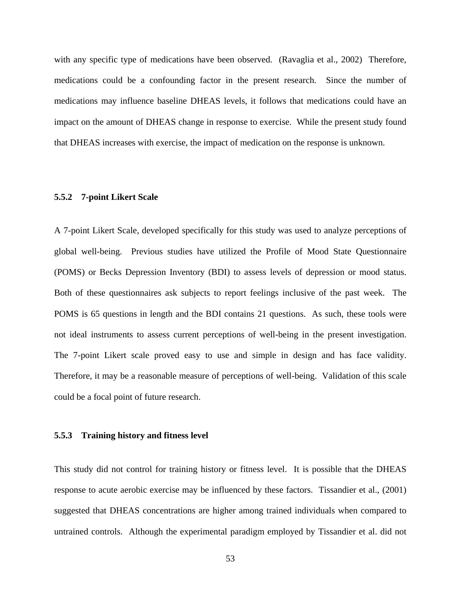with any specific type of medications have been observed. (Ravaglia et al., 2002) Therefore, medications could be a confounding factor in the present research. Since the number of medications may influence baseline DHEAS levels, it follows that medications could have an impact on the amount of DHEAS change in response to exercise. While the present study found that DHEAS increases with exercise, the impact of medication on the response is unknown.

# **5.5.2 7-point Likert Scale**

A 7-point Likert Scale, developed specifically for this study was used to analyze perceptions of global well-being. Previous studies have utilized the Profile of Mood State Questionnaire (POMS) or Becks Depression Inventory (BDI) to assess levels of depression or mood status. Both of these questionnaires ask subjects to report feelings inclusive of the past week. The POMS is 65 questions in length and the BDI contains 21 questions. As such, these tools were not ideal instruments to assess current perceptions of well-being in the present investigation. The 7-point Likert scale proved easy to use and simple in design and has face validity. Therefore, it may be a reasonable measure of perceptions of well-being. Validation of this scale could be a focal point of future research.

#### **5.5.3 Training history and fitness level**

This study did not control for training history or fitness level. It is possible that the DHEAS response to acute aerobic exercise may be influenced by these factors. Tissandier et al., (2001) suggested that DHEAS concentrations are higher among trained individuals when compared to untrained controls. Although the experimental paradigm employed by Tissandier et al. did not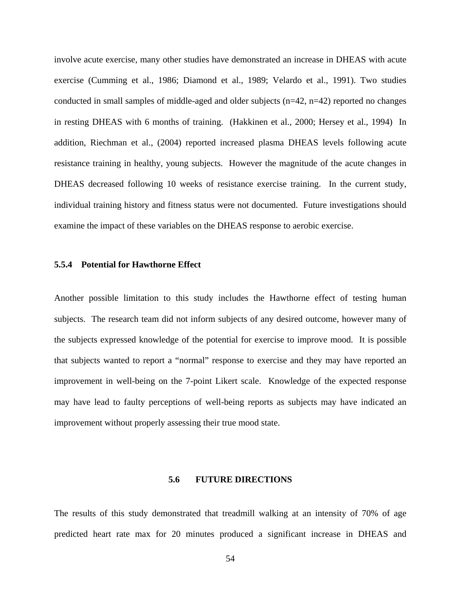involve acute exercise, many other studies have demonstrated an increase in DHEAS with acute exercise (Cumming et al., 1986; Diamond et al., 1989; Velardo et al., 1991). Two studies conducted in small samples of middle-aged and older subjects (n=42, n=42) reported no changes in resting DHEAS with 6 months of training. (Hakkinen et al., 2000; Hersey et al., 1994) In addition, Riechman et al., (2004) reported increased plasma DHEAS levels following acute resistance training in healthy, young subjects. However the magnitude of the acute changes in DHEAS decreased following 10 weeks of resistance exercise training. In the current study, individual training history and fitness status were not documented. Future investigations should examine the impact of these variables on the DHEAS response to aerobic exercise.

#### **5.5.4 Potential for Hawthorne Effect**

Another possible limitation to this study includes the Hawthorne effect of testing human subjects. The research team did not inform subjects of any desired outcome, however many of the subjects expressed knowledge of the potential for exercise to improve mood. It is possible that subjects wanted to report a "normal" response to exercise and they may have reported an improvement in well-being on the 7-point Likert scale. Knowledge of the expected response may have lead to faulty perceptions of well-being reports as subjects may have indicated an improvement without properly assessing their true mood state.

#### **5.6 FUTURE DIRECTIONS**

The results of this study demonstrated that treadmill walking at an intensity of 70% of age predicted heart rate max for 20 minutes produced a significant increase in DHEAS and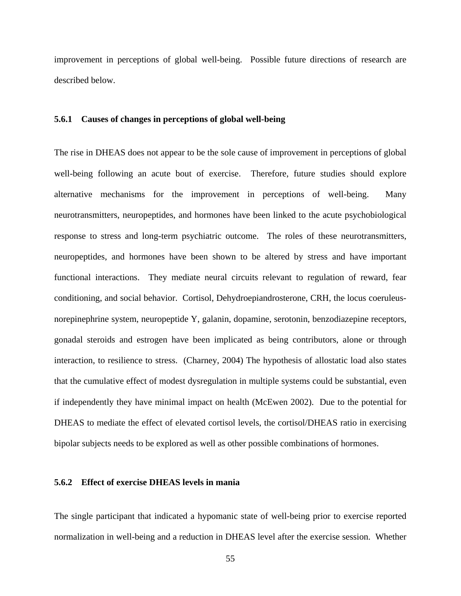improvement in perceptions of global well-being. Possible future directions of research are described below.

#### **5.6.1 Causes of changes in perceptions of global well-being**

The rise in DHEAS does not appear to be the sole cause of improvement in perceptions of global well-being following an acute bout of exercise. Therefore, future studies should explore alternative mechanisms for the improvement in perceptions of well-being. Many neurotransmitters, neuropeptides, and hormones have been linked to the acute psychobiological response to stress and long-term psychiatric outcome. The roles of these neurotransmitters, neuropeptides, and hormones have been shown to be altered by stress and have important functional interactions. They mediate neural circuits relevant to regulation of reward, fear conditioning, and social behavior. Cortisol, Dehydroepiandrosterone, CRH, the locus coeruleusnorepinephrine system, neuropeptide Y, galanin, dopamine, serotonin, benzodiazepine receptors, gonadal steroids and estrogen have been implicated as being contributors, alone or through interaction, to resilience to stress. (Charney, 2004) The hypothesis of allostatic load also states that the cumulative effect of modest dysregulation in multiple systems could be substantial, even if independently they have minimal impact on health (McEwen 2002). Due to the potential for DHEAS to mediate the effect of elevated cortisol levels, the cortisol/DHEAS ratio in exercising bipolar subjects needs to be explored as well as other possible combinations of hormones.

#### **5.6.2 Effect of exercise DHEAS levels in mania**

The single participant that indicated a hypomanic state of well-being prior to exercise reported normalization in well-being and a reduction in DHEAS level after the exercise session. Whether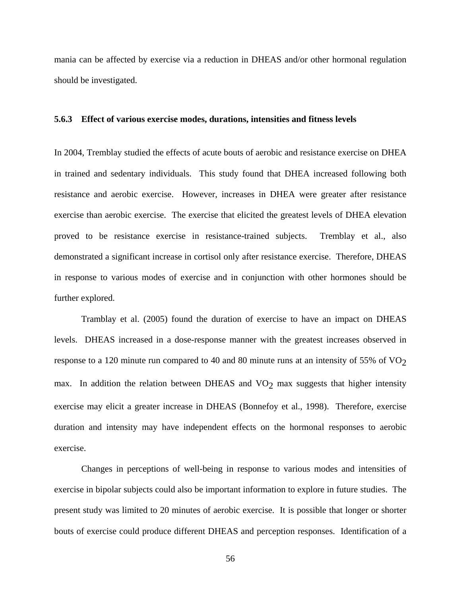mania can be affected by exercise via a reduction in DHEAS and/or other hormonal regulation should be investigated.

#### **5.6.3 Effect of various exercise modes, durations, intensities and fitness levels**

In 2004, Tremblay studied the effects of acute bouts of aerobic and resistance exercise on DHEA in trained and sedentary individuals. This study found that DHEA increased following both resistance and aerobic exercise. However, increases in DHEA were greater after resistance exercise than aerobic exercise. The exercise that elicited the greatest levels of DHEA elevation proved to be resistance exercise in resistance-trained subjects. Tremblay et al., also demonstrated a significant increase in cortisol only after resistance exercise. Therefore, DHEAS in response to various modes of exercise and in conjunction with other hormones should be further explored.

Tramblay et al. (2005) found the duration of exercise to have an impact on DHEAS levels. DHEAS increased in a dose-response manner with the greatest increases observed in response to a 120 minute run compared to 40 and 80 minute runs at an intensity of 55% of  $VO<sub>2</sub>$ max. In addition the relation between DHEAS and  $VO<sub>2</sub>$  max suggests that higher intensity exercise may elicit a greater increase in DHEAS (Bonnefoy et al., 1998). Therefore, exercise duration and intensity may have independent effects on the hormonal responses to aerobic exercise.

Changes in perceptions of well-being in response to various modes and intensities of exercise in bipolar subjects could also be important information to explore in future studies. The present study was limited to 20 minutes of aerobic exercise. It is possible that longer or shorter bouts of exercise could produce different DHEAS and perception responses. Identification of a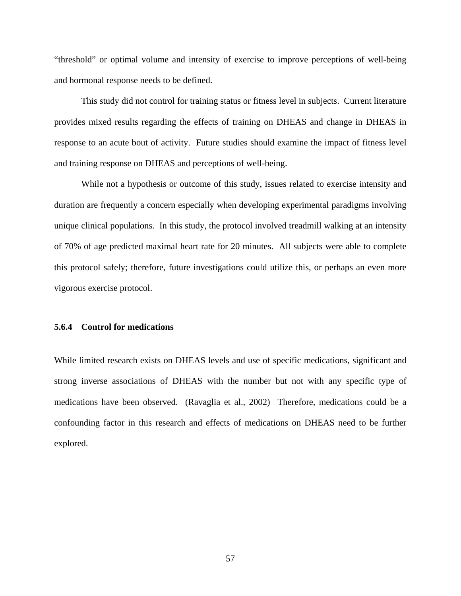"threshold" or optimal volume and intensity of exercise to improve perceptions of well-being and hormonal response needs to be defined.

This study did not control for training status or fitness level in subjects. Current literature provides mixed results regarding the effects of training on DHEAS and change in DHEAS in response to an acute bout of activity. Future studies should examine the impact of fitness level and training response on DHEAS and perceptions of well-being.

While not a hypothesis or outcome of this study, issues related to exercise intensity and duration are frequently a concern especially when developing experimental paradigms involving unique clinical populations. In this study, the protocol involved treadmill walking at an intensity of 70% of age predicted maximal heart rate for 20 minutes. All subjects were able to complete this protocol safely; therefore, future investigations could utilize this, or perhaps an even more vigorous exercise protocol.

# **5.6.4 Control for medications**

While limited research exists on DHEAS levels and use of specific medications, significant and strong inverse associations of DHEAS with the number but not with any specific type of medications have been observed. (Ravaglia et al., 2002) Therefore, medications could be a confounding factor in this research and effects of medications on DHEAS need to be further explored.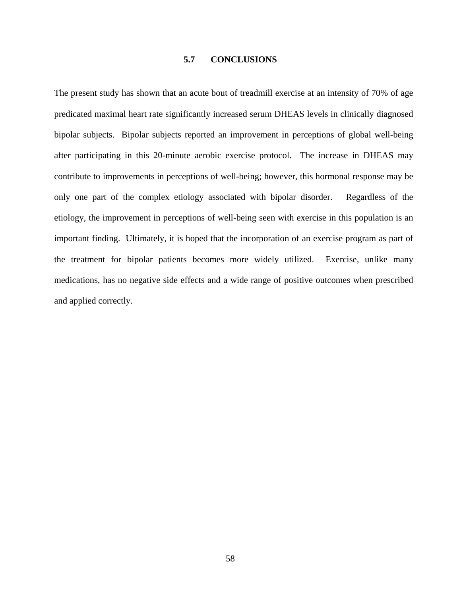# **5.7 CONCLUSIONS**

The present study has shown that an acute bout of treadmill exercise at an intensity of 70% of age predicated maximal heart rate significantly increased serum DHEAS levels in clinically diagnosed bipolar subjects. Bipolar subjects reported an improvement in perceptions of global well-being after participating in this 20-minute aerobic exercise protocol. The increase in DHEAS may contribute to improvements in perceptions of well-being; however, this hormonal response may be only one part of the complex etiology associated with bipolar disorder. Regardless of the etiology, the improvement in perceptions of well-being seen with exercise in this population is an important finding. Ultimately, it is hoped that the incorporation of an exercise program as part of the treatment for bipolar patients becomes more widely utilized. Exercise, unlike many medications, has no negative side effects and a wide range of positive outcomes when prescribed and applied correctly.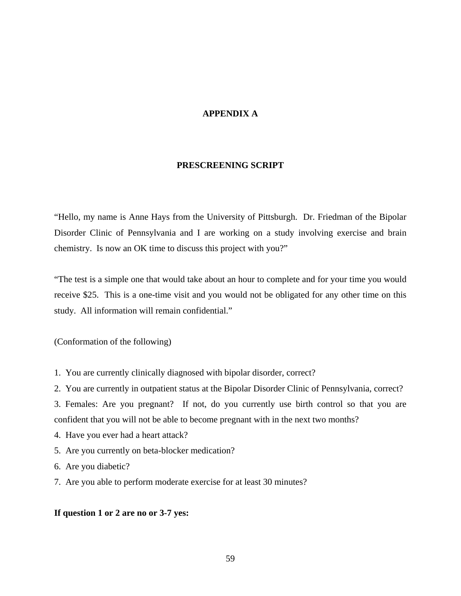# **APPENDIX A**

### **PRESCREENING SCRIPT**

"Hello, my name is Anne Hays from the University of Pittsburgh. Dr. Friedman of the Bipolar Disorder Clinic of Pennsylvania and I are working on a study involving exercise and brain chemistry. Is now an OK time to discuss this project with you?"

"The test is a simple one that would take about an hour to complete and for your time you would receive \$25. This is a one-time visit and you would not be obligated for any other time on this study. All information will remain confidential."

(Conformation of the following)

- 1. You are currently clinically diagnosed with bipolar disorder, correct?
- 2. You are currently in outpatient status at the Bipolar Disorder Clinic of Pennsylvania, correct?

3. Females: Are you pregnant? If not, do you currently use birth control so that you are confident that you will not be able to become pregnant with in the next two months?

- 4. Have you ever had a heart attack?
- 5. Are you currently on beta-blocker medication?
- 6. Are you diabetic?
- 7. Are you able to perform moderate exercise for at least 30 minutes?

# **If question 1 or 2 are no or 3-7 yes:**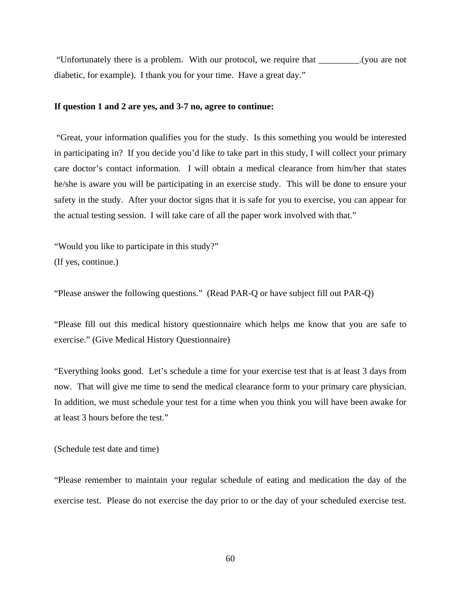"Unfortunately there is a problem. With our protocol, we require that \_\_\_\_\_\_\_\_\_.(you are not diabetic, for example). I thank you for your time. Have a great day."

#### **If question 1 and 2 are yes, and 3-7 no, agree to continue:**

 "Great, your information qualifies you for the study. Is this something you would be interested in participating in? If you decide you'd like to take part in this study, I will collect your primary care doctor's contact information. I will obtain a medical clearance from him/her that states he/she is aware you will be participating in an exercise study. This will be done to ensure your safety in the study. After your doctor signs that it is safe for you to exercise, you can appear for the actual testing session. I will take care of all the paper work involved with that."

"Would you like to participate in this study?" (If yes, continue.)

"Please answer the following questions." (Read PAR-Q or have subject fill out PAR-Q)

"Please fill out this medical history questionnaire which helps me know that you are safe to exercise." (Give Medical History Questionnaire)

"Everything looks good. Let's schedule a time for your exercise test that is at least 3 days from now. That will give me time to send the medical clearance form to your primary care physician. In addition, we must schedule your test for a time when you think you will have been awake for at least 3 hours before the test."

#### (Schedule test date and time)

"Please remember to maintain your regular schedule of eating and medication the day of the exercise test. Please do not exercise the day prior to or the day of your scheduled exercise test.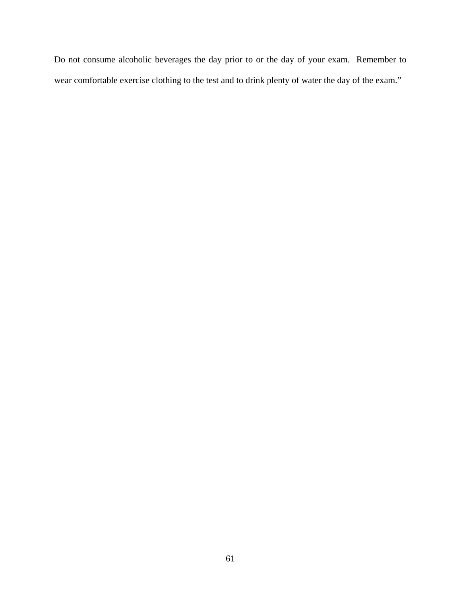Do not consume alcoholic beverages the day prior to or the day of your exam. Remember to wear comfortable exercise clothing to the test and to drink plenty of water the day of the exam."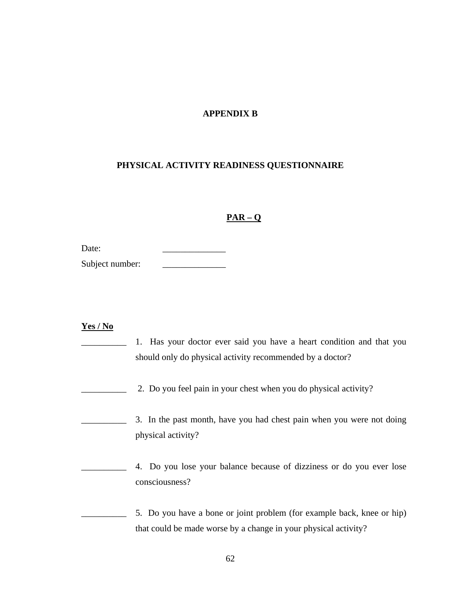# **APPENDIX B**

# **PHYSICAL ACTIVITY READINESS QUESTIONNAIRE**

# **PAR – Q**

| Subject number: |  |
|-----------------|--|
|-----------------|--|

# **Yes / No**

| 1. Has your doctor ever said you have a heart condition and that you<br>should only do physical activity recommended by a doctor?         |
|-------------------------------------------------------------------------------------------------------------------------------------------|
| 2. Do you feel pain in your chest when you do physical activity?                                                                          |
| 3. In the past month, have you had chest pain when you were not doing<br>physical activity?                                               |
| 4. Do you lose your balance because of dizziness or do you ever lose<br>consciousness?                                                    |
| 5. Do you have a bone or joint problem (for example back, knee or hip)<br>that could be made worse by a change in your physical activity? |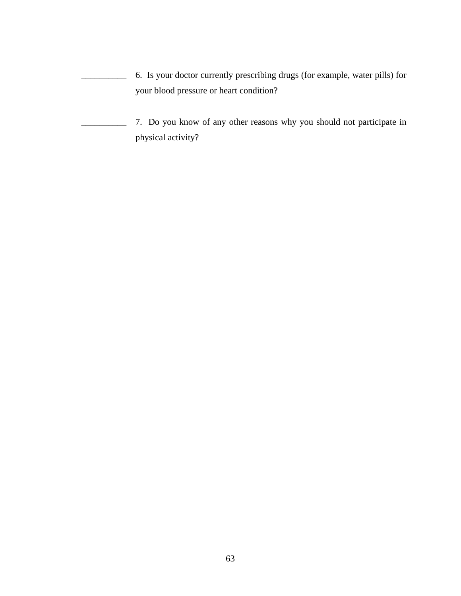\_\_\_\_\_\_\_\_\_\_ 6. Is your doctor currently prescribing drugs (for example, water pills) for your blood pressure or heart condition?

\_\_\_\_\_\_\_\_\_\_ 7. Do you know of any other reasons why you should not participate in physical activity?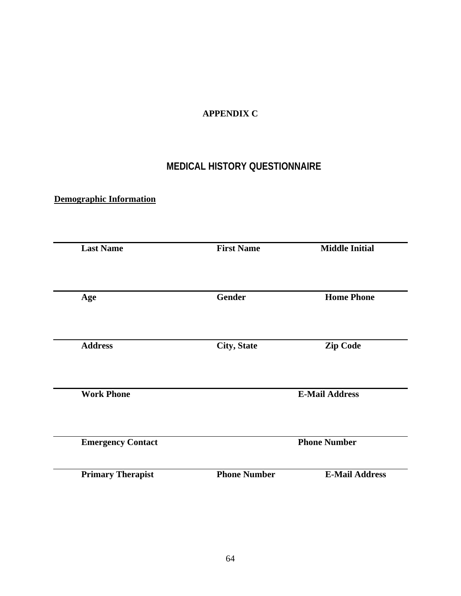# **APPENDIX C**

# **MEDICAL HISTORY QUESTIONNAIRE**

# **Demographic Information**

| <b>Last Name</b>         | <b>First Name</b>   | <b>Middle Initial</b> |
|--------------------------|---------------------|-----------------------|
| Age                      | Gender              | <b>Home Phone</b>     |
| <b>Address</b>           | <b>City, State</b>  | <b>Zip Code</b>       |
| <b>Work Phone</b>        |                     | <b>E-Mail Address</b> |
| <b>Emergency Contact</b> |                     | <b>Phone Number</b>   |
| <b>Primary Therapist</b> | <b>Phone Number</b> | <b>E-Mail Address</b> |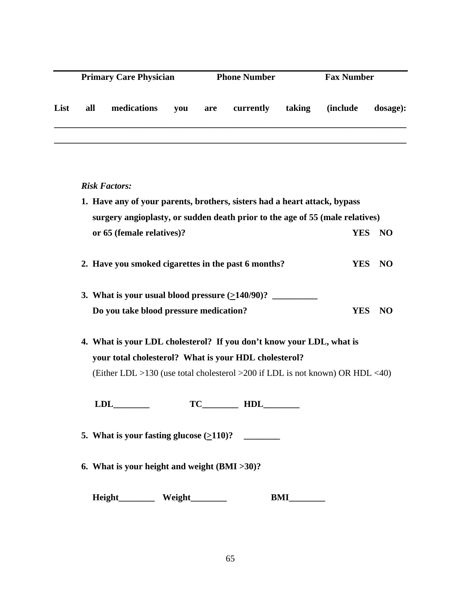|      | <b>Primary Care Physician</b> |             | <b>Phone Number</b> |     |           | <b>Fax Number</b> |                  |          |
|------|-------------------------------|-------------|---------------------|-----|-----------|-------------------|------------------|----------|
| List | all                           | medications | vou                 | are | currently | taking            | <i>(include)</i> | dosage): |
|      |                               |             |                     |     |           |                   |                  |          |

## *Risk Factors:*

- **1. Have any of your parents, brothers, sisters had a heart attack, bypass surgery angioplasty, or sudden death prior to the age of 55 (male relatives) or 65 (female relatives)? YES NO**
- **2. Have you smoked cigarettes in the past 6 months? YES NO**
- **3. What is your usual blood pressure**  $(2140/90)$ **?** \_\_\_\_\_\_\_\_\_\_  **Do you take blood pressure medication? YES NO**
- **4. What is your LDL cholesterol? If you don't know your LDL, what is your total cholesterol? What is your HDL cholesterol?** (Either LDL >130 (use total cholesterol >200 if LDL is not known) OR HDL <40)

**LDL\_\_\_\_\_\_\_\_ TC\_\_\_\_\_\_\_\_ HDL\_\_\_\_\_\_\_\_** 

- **5. What is your fasting glucose**  $(2110)$ ?
- **6. What is your height and weight (BMI >30)?**

 **Height\_\_\_\_\_\_\_\_ Weight\_\_\_\_\_\_\_\_ BMI\_\_\_\_\_\_\_\_**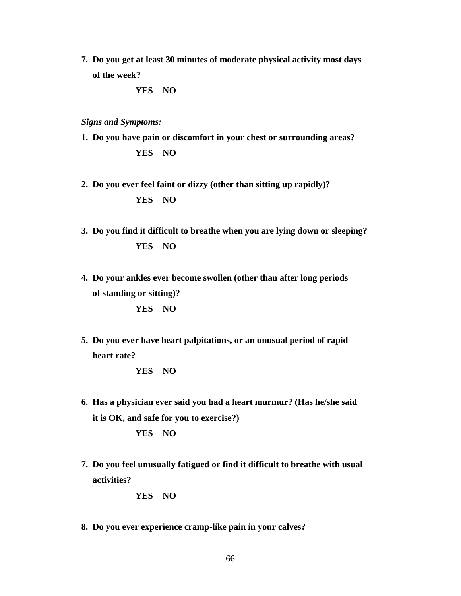**7. Do you get at least 30 minutes of moderate physical activity most days of the week?** 

**YES NO** 

*Signs and Symptoms:* 

- **1. Do you have pain or discomfort in your chest or surrounding areas? YES NO**
- **2. Do you ever feel faint or dizzy (other than sitting up rapidly)? YES NO**
- **3. Do you find it difficult to breathe when you are lying down or sleeping? YES NO**
- **4. Do your ankles ever become swollen (other than after long periods of standing or sitting)? YES NO**
- **5. Do you ever have heart palpitations, or an unusual period of rapid heart rate?**

**YES NO** 

- **6. Has a physician ever said you had a heart murmur? (Has he/she said it is OK, and safe for you to exercise?) YES NO**
- **7. Do you feel unusually fatigued or find it difficult to breathe with usual activities?**

**YES NO** 

**8. Do you ever experience cramp-like pain in your calves?**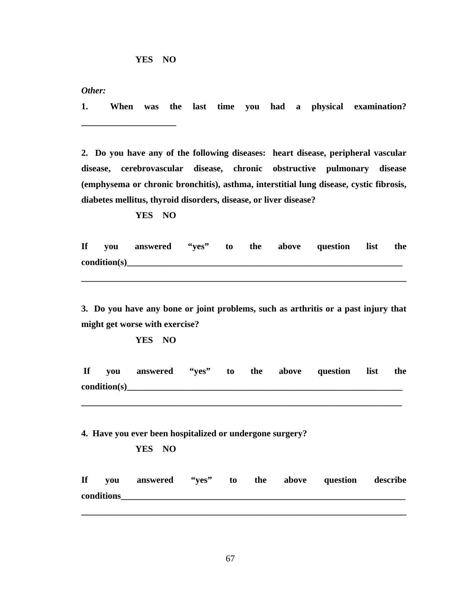*Other:* 

**1. When was the last time you had a physical examination? \_\_\_\_\_\_\_\_\_\_\_\_\_\_\_\_\_\_\_\_\_** 

**2. Do you have any of the following diseases: heart disease, peripheral vascular disease, cerebrovascular disease, chronic obstructive pulmonary disease (emphysema or chronic bronchitis), asthma, interstitial lung disease, cystic fibrosis, diabetes mellitus, thyroid disorders, disease, or liver disease?** 

 **YES NO** 

**If you answered "yes" to the above question list the**  condition(s)

**\_\_\_\_\_\_\_\_\_\_\_\_\_\_\_\_\_\_\_\_\_\_\_\_\_\_\_\_\_\_\_\_\_\_\_\_\_\_\_\_\_\_\_\_\_\_\_\_\_\_\_\_\_\_\_\_\_\_\_\_\_\_\_\_\_\_\_\_\_\_\_\_** 

**3. Do you have any bone or joint problems, such as arthritis or a past injury that might get worse with exercise?** 

**YES NO** 

**If you answered "yes" to the above question list the**  condition(s)

**\_\_\_\_\_\_\_\_\_\_\_\_\_\_\_\_\_\_\_\_\_\_\_\_\_\_\_\_\_\_\_\_\_\_\_\_\_\_\_\_\_\_\_\_\_\_\_\_\_\_\_\_\_\_\_\_\_\_\_\_\_\_\_\_\_\_\_\_\_\_\_** 

**4. Have you ever been hospitalized or undergone surgery?** 

#### **YES NO**

**If you answered "yes" to the above question describe conditions\_\_\_\_\_\_\_\_\_\_\_\_\_\_\_\_\_\_\_\_\_\_\_\_\_\_\_\_\_\_\_\_\_\_\_\_\_\_\_\_\_\_\_\_\_\_\_\_\_\_\_\_\_\_\_\_\_\_\_\_\_\_\_**

**\_\_\_\_\_\_\_\_\_\_\_\_\_\_\_\_\_\_\_\_\_\_\_\_\_\_\_\_\_\_\_\_\_\_\_\_\_\_\_\_\_\_\_\_\_\_\_\_\_\_\_\_\_\_\_\_\_\_\_\_\_\_\_\_\_\_\_\_\_\_\_\_**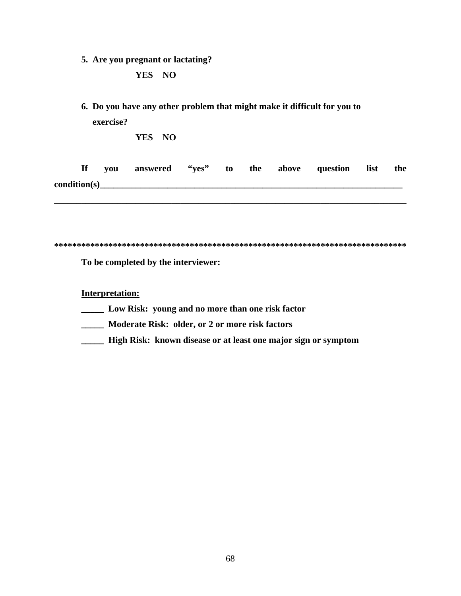**5. Are you pregnant or lactating?** 

## **YES NO**

**6. Do you have any other problem that might make it difficult for you to exercise?** 

**YES NO** 

| If           | vou | answered | ``yes" | to |  | the above question | list | the |
|--------------|-----|----------|--------|----|--|--------------------|------|-----|
| condition(s) |     |          |        |    |  |                    |      |     |

**\_\_\_\_\_\_\_\_\_\_\_\_\_\_\_\_\_\_\_\_\_\_\_\_\_\_\_\_\_\_\_\_\_\_\_\_\_\_\_\_\_\_\_\_\_\_\_\_\_\_\_\_\_\_\_\_\_\_\_\_\_\_\_\_\_\_\_\_\_\_\_\_\_\_\_\_\_\_** 

| $\sim$ $\sim$<br>- - |
|----------------------|
|                      |

**To be completed by the interviewer:** 

**Interpretation:**

- **\_\_\_\_\_ Low Risk: young and no more than one risk factor**
- **\_\_\_\_\_ Moderate Risk: older, or 2 or more risk factors**
- **\_\_\_\_\_ High Risk: known disease or at least one major sign or symptom**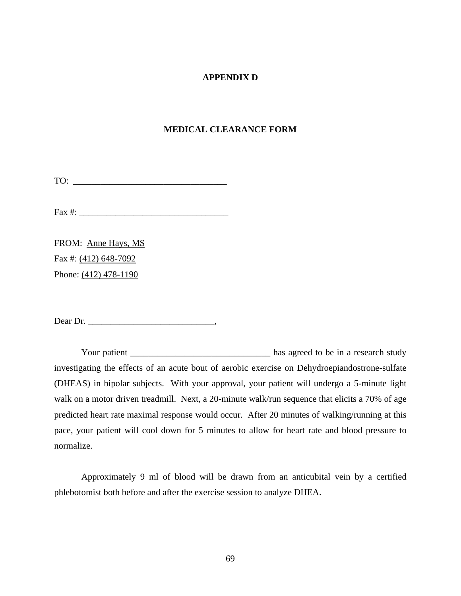### **APPENDIX D**

#### **MEDICAL CLEARANCE FORM**

TO: \_\_\_\_\_\_\_\_\_\_\_\_\_\_\_\_\_\_\_\_\_\_\_\_\_\_\_\_\_\_\_\_\_\_

Fax  $\#$ :

FROM: Anne Hays, MS Fax #: (412) 648-7092 Phone: (412) 478-1190

Dear Dr. \_\_\_\_\_\_\_\_\_\_\_\_\_\_\_\_\_\_\_\_\_\_\_\_\_\_\_\_,

Your patient \_\_\_\_\_\_\_\_\_\_\_\_\_\_\_\_\_\_\_\_\_\_\_\_\_\_\_\_\_\_\_\_\_\_\_ has agreed to be in a research study investigating the effects of an acute bout of aerobic exercise on Dehydroepiandostrone-sulfate (DHEAS) in bipolar subjects. With your approval, your patient will undergo a 5-minute light walk on a motor driven treadmill. Next, a 20-minute walk/run sequence that elicits a 70% of age predicted heart rate maximal response would occur. After 20 minutes of walking/running at this pace, your patient will cool down for 5 minutes to allow for heart rate and blood pressure to normalize.

Approximately 9 ml of blood will be drawn from an anticubital vein by a certified phlebotomist both before and after the exercise session to analyze DHEA.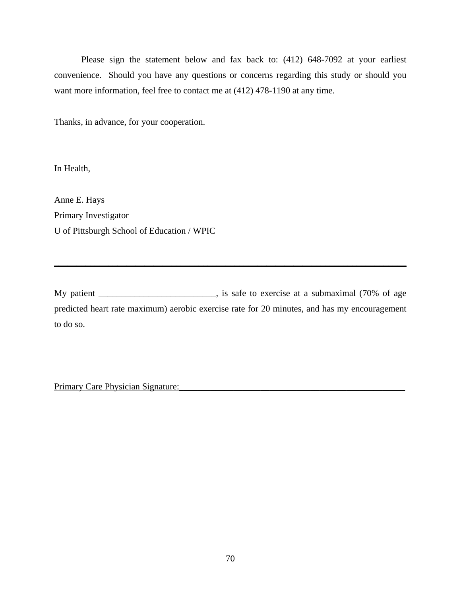Please sign the statement below and fax back to: (412) 648-7092 at your earliest convenience. Should you have any questions or concerns regarding this study or should you want more information, feel free to contact me at (412) 478-1190 at any time.

Thanks, in advance, for your cooperation.

In Health,

Anne E. Hays Primary Investigator U of Pittsburgh School of Education / WPIC

My patient \_\_\_\_\_\_\_\_\_\_\_\_\_\_\_\_\_\_\_\_\_, is safe to exercise at a submaximal (70% of age predicted heart rate maximum) aerobic exercise rate for 20 minutes, and has my encouragement to do so.

**\_\_\_\_\_\_\_\_\_\_\_\_\_\_\_\_\_\_\_\_\_\_\_\_\_\_\_\_\_\_\_\_\_\_\_\_\_\_\_\_\_\_\_\_\_\_\_\_\_\_\_\_\_\_\_\_\_\_\_\_\_\_\_\_\_\_\_\_\_\_\_\_\_\_\_\_\_\_**

Primary Care Physician Signature: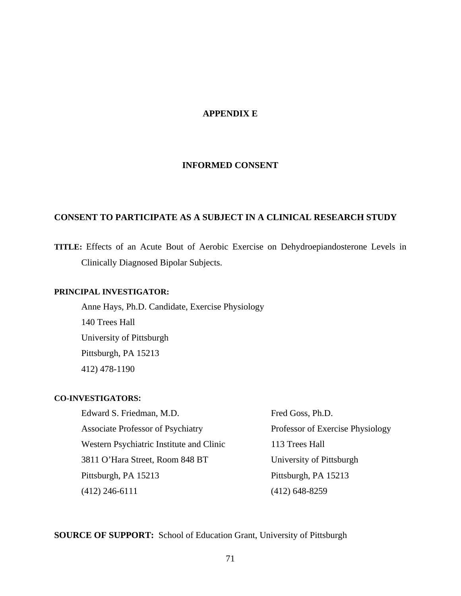## **APPENDIX E**

#### **INFORMED CONSENT**

## **CONSENT TO PARTICIPATE AS A SUBJECT IN A CLINICAL RESEARCH STUDY**

**TITLE:** Effects of an Acute Bout of Aerobic Exercise on Dehydroepiandosterone Levels in Clinically Diagnosed Bipolar Subjects.

## **PRINCIPAL INVESTIGATOR:**

Anne Hays, Ph.D. Candidate, Exercise Physiology 140 Trees Hall University of Pittsburgh Pittsburgh, PA 15213 412) 478-1190

#### **CO-INVESTIGATORS:**

Edward S. Friedman, M.D. Fred Goss, Ph.D. Associate Professor of Psychiatry Professor of Exercise Physiology Western Psychiatric Institute and Clinic 113 Trees Hall 3811 O'Hara Street, Room 848 BT University of Pittsburgh Pittsburgh, PA 15213 Pittsburgh, PA 15213 (412) 246-6111 (412) 648-8259

**SOURCE OF SUPPORT:** School of Education Grant, University of Pittsburgh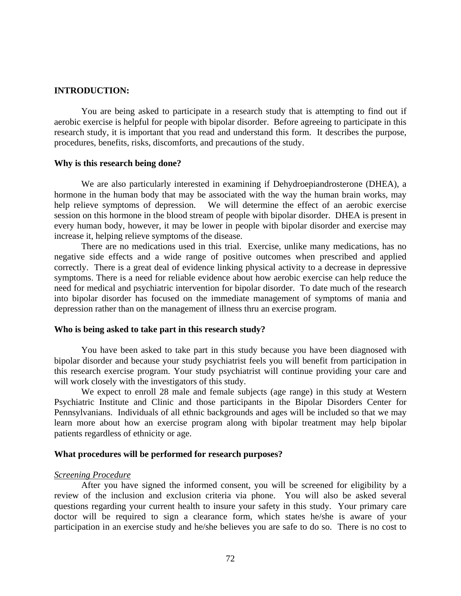#### **INTRODUCTION:**

You are being asked to participate in a research study that is attempting to find out if aerobic exercise is helpful for people with bipolar disorder. Before agreeing to participate in this research study, it is important that you read and understand this form. It describes the purpose, procedures, benefits, risks, discomforts, and precautions of the study.

#### **Why is this research being done?**

We are also particularly interested in examining if Dehydroepiandrosterone (DHEA), a hormone in the human body that may be associated with the way the human brain works, may help relieve symptoms of depression. We will determine the effect of an aerobic exercise session on this hormone in the blood stream of people with bipolar disorder. DHEA is present in every human body, however, it may be lower in people with bipolar disorder and exercise may increase it, helping relieve symptoms of the disease.

There are no medications used in this trial. Exercise, unlike many medications, has no negative side effects and a wide range of positive outcomes when prescribed and applied correctly. There is a great deal of evidence linking physical activity to a decrease in depressive symptoms. There is a need for reliable evidence about how aerobic exercise can help reduce the need for medical and psychiatric intervention for bipolar disorder. To date much of the research into bipolar disorder has focused on the immediate management of symptoms of mania and depression rather than on the management of illness thru an exercise program.

#### **Who is being asked to take part in this research study?**

You have been asked to take part in this study because you have been diagnosed with bipolar disorder and because your study psychiatrist feels you will benefit from participation in this research exercise program. Your study psychiatrist will continue providing your care and will work closely with the investigators of this study.

We expect to enroll 28 male and female subjects (age range) in this study at Western Psychiatric Institute and Clinic and those participants in the Bipolar Disorders Center for Pennsylvanians. Individuals of all ethnic backgrounds and ages will be included so that we may learn more about how an exercise program along with bipolar treatment may help bipolar patients regardless of ethnicity or age.

#### **What procedures will be performed for research purposes?**

#### *Screening Procedure*

After you have signed the informed consent, you will be screened for eligibility by a review of the inclusion and exclusion criteria via phone. You will also be asked several questions regarding your current health to insure your safety in this study. Your primary care doctor will be required to sign a clearance form, which states he/she is aware of your participation in an exercise study and he/she believes you are safe to do so. There is no cost to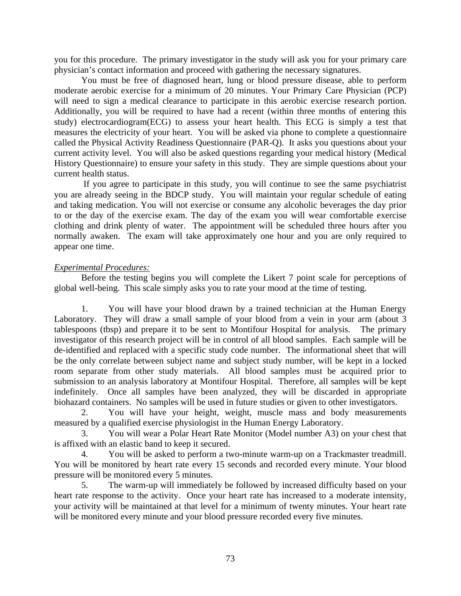you for this procedure. The primary investigator in the study will ask you for your primary care physician's contact information and proceed with gathering the necessary signatures.

You must be free of diagnosed heart, lung or blood pressure disease, able to perform moderate aerobic exercise for a minimum of 20 minutes. Your Primary Care Physician (PCP) will need to sign a medical clearance to participate in this aerobic exercise research portion. Additionally, you will be required to have had a recent (within three months of entering this study) electrocardiogram(ECG) to assess your heart health. This ECG is simply a test that measures the electricity of your heart. You will be asked via phone to complete a questionnaire called the Physical Activity Readiness Questionnaire (PAR-Q). It asks you questions about your current activity level. You will also be asked questions regarding your medical history (Medical History Questionnaire) to ensure your safety in this study. They are simple questions about your current health status.

 If you agree to participate in this study, you will continue to see the same psychiatrist you are already seeing in the BDCP study. You will maintain your regular schedule of eating and taking medication. You will not exercise or consume any alcoholic beverages the day prior to or the day of the exercise exam. The day of the exam you will wear comfortable exercise clothing and drink plenty of water. The appointment will be scheduled three hours after you normally awaken. The exam will take approximately one hour and you are only required to appear one time.

#### *Experimental Procedures:*

Before the testing begins you will complete the Likert 7 point scale for perceptions of global well-being. This scale simply asks you to rate your mood at the time of testing.

1. You will have your blood drawn by a trained technician at the Human Energy Laboratory. They will draw a small sample of your blood from a vein in your arm (about 3 tablespoons (tbsp) and prepare it to be sent to Montifour Hospital for analysis. The primary investigator of this research project will be in control of all blood samples. Each sample will be de-identified and replaced with a specific study code number. The informational sheet that will be the only correlate between subject name and subject study number, will be kept in a locked room separate from other study materials. All blood samples must be acquired prior to submission to an analysis laboratory at Montifour Hospital. Therefore, all samples will be kept indefinitely. Once all samples have been analyzed, they will be discarded in appropriate biohazard containers. No samples will be used in future studies or given to other investigators.

2. You will have your height, weight, muscle mass and body measurements measured by a qualified exercise physiologist in the Human Energy Laboratory.

3. You will wear a Polar Heart Rate Monitor (Model number A3) on your chest that is affixed with an elastic band to keep it secured.

4. You will be asked to perform a two-minute warm-up on a Trackmaster treadmill. You will be monitored by heart rate every 15 seconds and recorded every minute. Your blood pressure will be monitored every 5 minutes.

5. The warm-up will immediately be followed by increased difficulty based on your heart rate response to the activity. Once your heart rate has increased to a moderate intensity, your activity will be maintained at that level for a minimum of twenty minutes. Your heart rate will be monitored every minute and your blood pressure recorded every five minutes.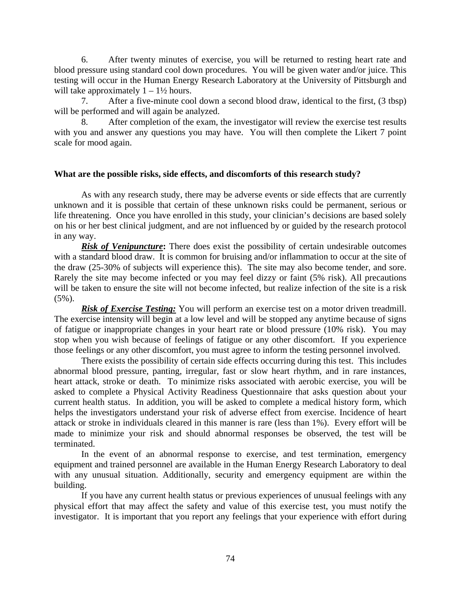6. After twenty minutes of exercise, you will be returned to resting heart rate and blood pressure using standard cool down procedures. You will be given water and/or juice. This testing will occur in the Human Energy Research Laboratory at the University of Pittsburgh and will take approximately  $1 - 1\frac{1}{2}$  hours.

7. After a five-minute cool down a second blood draw, identical to the first, (3 tbsp) will be performed and will again be analyzed.

8. After completion of the exam, the investigator will review the exercise test results with you and answer any questions you may have. You will then complete the Likert 7 point scale for mood again.

## **What are the possible risks, side effects, and discomforts of this research study?**

As with any research study, there may be adverse events or side effects that are currently unknown and it is possible that certain of these unknown risks could be permanent, serious or life threatening. Once you have enrolled in this study, your clinician's decisions are based solely on his or her best clinical judgment, and are not influenced by or guided by the research protocol in any way.

**Risk of Venipuncture:** There does exist the possibility of certain undesirable outcomes with a standard blood draw. It is common for bruising and/or inflammation to occur at the site of the draw (25-30% of subjects will experience this). The site may also become tender, and sore. Rarely the site may become infected or you may feel dizzy or faint (5% risk). All precautions will be taken to ensure the site will not become infected, but realize infection of the site is a risk  $(5\%)$ .

**Risk of Exercise Testing:** You will perform an exercise test on a motor driven treadmill. The exercise intensity will begin at a low level and will be stopped any anytime because of signs of fatigue or inappropriate changes in your heart rate or blood pressure (10% risk). You may stop when you wish because of feelings of fatigue or any other discomfort. If you experience those feelings or any other discomfort, you must agree to inform the testing personnel involved.

There exists the possibility of certain side effects occurring during this test. This includes abnormal blood pressure, panting, irregular, fast or slow heart rhythm, and in rare instances, heart attack, stroke or death. To minimize risks associated with aerobic exercise, you will be asked to complete a Physical Activity Readiness Questionnaire that asks question about your current health status. In addition, you will be asked to complete a medical history form, which helps the investigators understand your risk of adverse effect from exercise. Incidence of heart attack or stroke in individuals cleared in this manner is rare (less than 1%). Every effort will be made to minimize your risk and should abnormal responses be observed, the test will be terminated.

In the event of an abnormal response to exercise, and test termination, emergency equipment and trained personnel are available in the Human Energy Research Laboratory to deal with any unusual situation. Additionally, security and emergency equipment are within the building.

If you have any current health status or previous experiences of unusual feelings with any physical effort that may affect the safety and value of this exercise test, you must notify the investigator. It is important that you report any feelings that your experience with effort during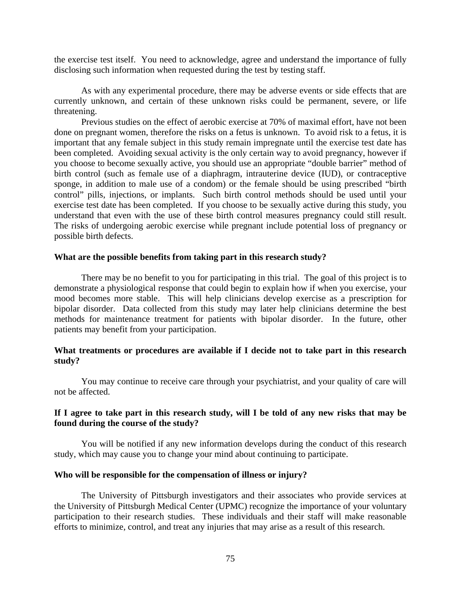the exercise test itself. You need to acknowledge, agree and understand the importance of fully disclosing such information when requested during the test by testing staff.

As with any experimental procedure, there may be adverse events or side effects that are currently unknown, and certain of these unknown risks could be permanent, severe, or life threatening.

Previous studies on the effect of aerobic exercise at 70% of maximal effort, have not been done on pregnant women, therefore the risks on a fetus is unknown. To avoid risk to a fetus, it is important that any female subject in this study remain impregnate until the exercise test date has been completed. Avoiding sexual activity is the only certain way to avoid pregnancy, however if you choose to become sexually active, you should use an appropriate "double barrier" method of birth control (such as female use of a diaphragm, intrauterine device (IUD), or contraceptive sponge, in addition to male use of a condom) or the female should be using prescribed "birth control" pills, injections, or implants. Such birth control methods should be used until your exercise test date has been completed. If you choose to be sexually active during this study, you understand that even with the use of these birth control measures pregnancy could still result. The risks of undergoing aerobic exercise while pregnant include potential loss of pregnancy or possible birth defects.

#### **What are the possible benefits from taking part in this research study?**

There may be no benefit to you for participating in this trial. The goal of this project is to demonstrate a physiological response that could begin to explain how if when you exercise, your mood becomes more stable. This will help clinicians develop exercise as a prescription for bipolar disorder. Data collected from this study may later help clinicians determine the best methods for maintenance treatment for patients with bipolar disorder. In the future, other patients may benefit from your participation.

### **What treatments or procedures are available if I decide not to take part in this research study?**

You may continue to receive care through your psychiatrist, and your quality of care will not be affected.

## **If I agree to take part in this research study, will I be told of any new risks that may be found during the course of the study?**

You will be notified if any new information develops during the conduct of this research study, which may cause you to change your mind about continuing to participate.

#### **Who will be responsible for the compensation of illness or injury?**

The University of Pittsburgh investigators and their associates who provide services at the University of Pittsburgh Medical Center (UPMC) recognize the importance of your voluntary participation to their research studies. These individuals and their staff will make reasonable efforts to minimize, control, and treat any injuries that may arise as a result of this research.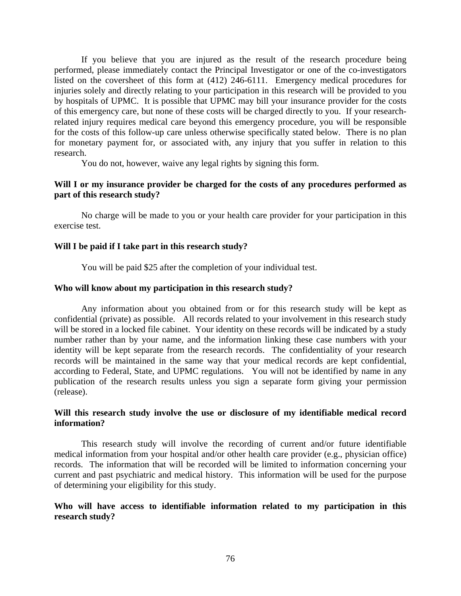If you believe that you are injured as the result of the research procedure being performed, please immediately contact the Principal Investigator or one of the co-investigators listed on the coversheet of this form at (412) 246-6111. Emergency medical procedures for injuries solely and directly relating to your participation in this research will be provided to you by hospitals of UPMC. It is possible that UPMC may bill your insurance provider for the costs of this emergency care, but none of these costs will be charged directly to you. If your researchrelated injury requires medical care beyond this emergency procedure, you will be responsible for the costs of this follow-up care unless otherwise specifically stated below. There is no plan for monetary payment for, or associated with, any injury that you suffer in relation to this research.

You do not, however, waive any legal rights by signing this form.

### **Will I or my insurance provider be charged for the costs of any procedures performed as part of this research study?**

No charge will be made to you or your health care provider for your participation in this exercise test.

#### **Will I be paid if I take part in this research study?**

You will be paid \$25 after the completion of your individual test.

#### **Who will know about my participation in this research study?**

Any information about you obtained from or for this research study will be kept as confidential (private) as possible. All records related to your involvement in this research study will be stored in a locked file cabinet. Your identity on these records will be indicated by a study number rather than by your name, and the information linking these case numbers with your identity will be kept separate from the research records. The confidentiality of your research records will be maintained in the same way that your medical records are kept confidential, according to Federal, State, and UPMC regulations. You will not be identified by name in any publication of the research results unless you sign a separate form giving your permission (release).

### **Will this research study involve the use or disclosure of my identifiable medical record information?**

This research study will involve the recording of current and/or future identifiable medical information from your hospital and/or other health care provider (e.g., physician office) records. The information that will be recorded will be limited to information concerning your current and past psychiatric and medical history. This information will be used for the purpose of determining your eligibility for this study.

### **Who will have access to identifiable information related to my participation in this research study?**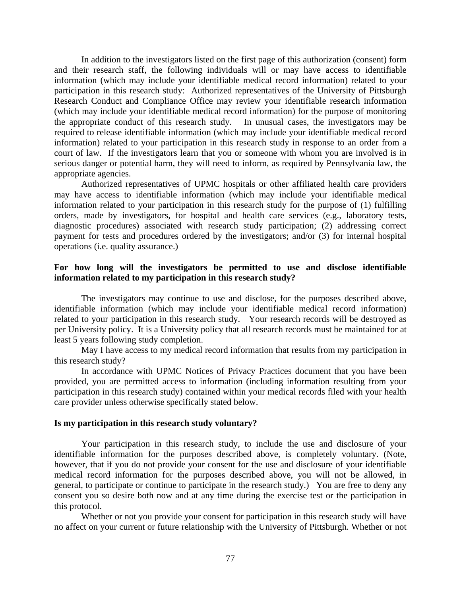In addition to the investigators listed on the first page of this authorization (consent) form and their research staff, the following individuals will or may have access to identifiable information (which may include your identifiable medical record information) related to your participation in this research study: Authorized representatives of the University of Pittsburgh Research Conduct and Compliance Office may review your identifiable research information (which may include your identifiable medical record information) for the purpose of monitoring the appropriate conduct of this research study. In unusual cases, the investigators may be required to release identifiable information (which may include your identifiable medical record information) related to your participation in this research study in response to an order from a court of law. If the investigators learn that you or someone with whom you are involved is in serious danger or potential harm, they will need to inform, as required by Pennsylvania law, the appropriate agencies.

Authorized representatives of UPMC hospitals or other affiliated health care providers may have access to identifiable information (which may include your identifiable medical information related to your participation in this research study for the purpose of (1) fulfilling orders, made by investigators, for hospital and health care services (e.g., laboratory tests, diagnostic procedures) associated with research study participation; (2) addressing correct payment for tests and procedures ordered by the investigators; and/or (3) for internal hospital operations (i.e. quality assurance.)

### **For how long will the investigators be permitted to use and disclose identifiable information related to my participation in this research study?**

The investigators may continue to use and disclose, for the purposes described above, identifiable information (which may include your identifiable medical record information) related to your participation in this research study. Your research records will be destroyed as per University policy. It is a University policy that all research records must be maintained for at least 5 years following study completion.

May I have access to my medical record information that results from my participation in this research study?

In accordance with UPMC Notices of Privacy Practices document that you have been provided, you are permitted access to information (including information resulting from your participation in this research study) contained within your medical records filed with your health care provider unless otherwise specifically stated below.

#### **Is my participation in this research study voluntary?**

Your participation in this research study, to include the use and disclosure of your identifiable information for the purposes described above, is completely voluntary. (Note, however, that if you do not provide your consent for the use and disclosure of your identifiable medical record information for the purposes described above, you will not be allowed, in general, to participate or continue to participate in the research study.) You are free to deny any consent you so desire both now and at any time during the exercise test or the participation in this protocol.

Whether or not you provide your consent for participation in this research study will have no affect on your current or future relationship with the University of Pittsburgh. Whether or not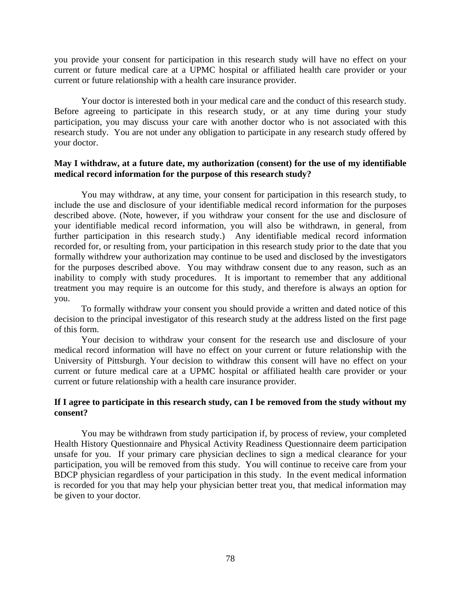you provide your consent for participation in this research study will have no effect on your current or future medical care at a UPMC hospital or affiliated health care provider or your current or future relationship with a health care insurance provider.

Your doctor is interested both in your medical care and the conduct of this research study. Before agreeing to participate in this research study, or at any time during your study participation, you may discuss your care with another doctor who is not associated with this research study. You are not under any obligation to participate in any research study offered by your doctor.

## **May I withdraw, at a future date, my authorization (consent) for the use of my identifiable medical record information for the purpose of this research study?**

You may withdraw, at any time, your consent for participation in this research study, to include the use and disclosure of your identifiable medical record information for the purposes described above. (Note, however, if you withdraw your consent for the use and disclosure of your identifiable medical record information, you will also be withdrawn, in general, from further participation in this research study.) Any identifiable medical record information recorded for, or resulting from, your participation in this research study prior to the date that you formally withdrew your authorization may continue to be used and disclosed by the investigators for the purposes described above. You may withdraw consent due to any reason, such as an inability to comply with study procedures. It is important to remember that any additional treatment you may require is an outcome for this study, and therefore is always an option for you.

To formally withdraw your consent you should provide a written and dated notice of this decision to the principal investigator of this research study at the address listed on the first page of this form.

Your decision to withdraw your consent for the research use and disclosure of your medical record information will have no effect on your current or future relationship with the University of Pittsburgh. Your decision to withdraw this consent will have no effect on your current or future medical care at a UPMC hospital or affiliated health care provider or your current or future relationship with a health care insurance provider.

## **If I agree to participate in this research study, can I be removed from the study without my consent?**

You may be withdrawn from study participation if, by process of review, your completed Health History Questionnaire and Physical Activity Readiness Questionnaire deem participation unsafe for you. If your primary care physician declines to sign a medical clearance for your participation, you will be removed from this study. You will continue to receive care from your BDCP physician regardless of your participation in this study. In the event medical information is recorded for you that may help your physician better treat you, that medical information may be given to your doctor.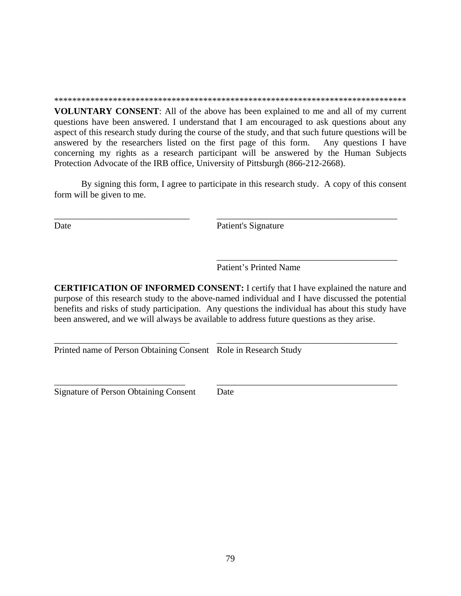\*\*\*\*\*\*\*\*\*\*\*\*\*\*\*\*\*\*\*\*\*\*\*\*\*\*\*\*\*\*\*\*\*\*\*\*\*\*\*\*\*\*\*\*\*\*\*\*\*\*\*\*\*\*\*\*\*\*\*\*\*\*\*\*\*\*\*\*\*\*\*\*\*\*\*\*\*\*

**VOLUNTARY CONSENT**: All of the above has been explained to me and all of my current questions have been answered. I understand that I am encouraged to ask questions about any aspect of this research study during the course of the study, and that such future questions will be answered by the researchers listed on the first page of this form. Any questions I have concerning my rights as a research participant will be answered by the Human Subjects Protection Advocate of the IRB office, University of Pittsburgh (866-212-2668).

By signing this form, I agree to participate in this research study. A copy of this consent form will be given to me.

\_\_\_\_\_\_\_\_\_\_\_\_\_\_\_\_\_\_\_\_\_\_\_\_\_\_\_\_\_\_ \_\_\_\_\_\_\_\_\_\_\_\_\_\_\_\_\_\_\_\_\_\_\_\_\_\_\_\_\_\_\_\_\_\_\_\_\_\_\_\_

Date Patient's Signature

Patient's Printed Name

 $\overline{\phantom{a}}$  ,  $\overline{\phantom{a}}$  ,  $\overline{\phantom{a}}$  ,  $\overline{\phantom{a}}$  ,  $\overline{\phantom{a}}$  ,  $\overline{\phantom{a}}$  ,  $\overline{\phantom{a}}$  ,  $\overline{\phantom{a}}$  ,  $\overline{\phantom{a}}$  ,  $\overline{\phantom{a}}$  ,  $\overline{\phantom{a}}$  ,  $\overline{\phantom{a}}$  ,  $\overline{\phantom{a}}$  ,  $\overline{\phantom{a}}$  ,  $\overline{\phantom{a}}$  ,  $\overline{\phantom{a}}$ 

**CERTIFICATION OF INFORMED CONSENT:** I certify that I have explained the nature and purpose of this research study to the above-named individual and I have discussed the potential benefits and risks of study participation. Any questions the individual has about this study have been answered, and we will always be available to address future questions as they arise.

Printed name of Person Obtaining Consent Role in Research Study

Signature of Person Obtaining Consent Date

\_\_\_\_\_\_\_\_\_\_\_\_\_\_\_\_\_\_\_\_\_\_\_\_\_\_\_\_\_ \_\_\_\_\_\_\_\_\_\_\_\_\_\_\_\_\_\_\_\_\_\_\_\_\_\_\_\_\_\_\_\_\_\_\_\_\_\_\_\_

\_\_\_\_\_\_\_\_\_\_\_\_\_\_\_\_\_\_\_\_\_\_\_\_\_\_\_\_\_\_ \_\_\_\_\_\_\_\_\_\_\_\_\_\_\_\_\_\_\_\_\_\_\_\_\_\_\_\_\_\_\_\_\_\_\_\_\_\_\_\_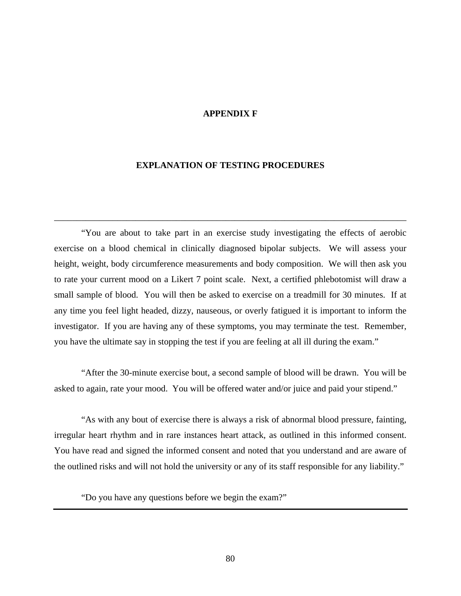#### **APPENDIX F**

#### **EXPLANATION OF TESTING PROCEDURES**

\_\_\_\_\_\_\_\_\_\_\_\_\_\_\_\_\_\_\_\_\_\_\_\_\_\_\_\_\_\_\_\_\_\_\_\_\_\_\_\_\_\_\_\_\_\_\_\_\_\_\_\_\_\_\_\_\_\_\_\_\_\_\_\_\_\_\_\_\_\_\_\_\_\_\_\_\_\_

"You are about to take part in an exercise study investigating the effects of aerobic exercise on a blood chemical in clinically diagnosed bipolar subjects. We will assess your height, weight, body circumference measurements and body composition. We will then ask you to rate your current mood on a Likert 7 point scale. Next, a certified phlebotomist will draw a small sample of blood. You will then be asked to exercise on a treadmill for 30 minutes. If at any time you feel light headed, dizzy, nauseous, or overly fatigued it is important to inform the investigator. If you are having any of these symptoms, you may terminate the test. Remember, you have the ultimate say in stopping the test if you are feeling at all ill during the exam."

"After the 30-minute exercise bout, a second sample of blood will be drawn. You will be asked to again, rate your mood. You will be offered water and/or juice and paid your stipend."

"As with any bout of exercise there is always a risk of abnormal blood pressure, fainting, irregular heart rhythm and in rare instances heart attack, as outlined in this informed consent. You have read and signed the informed consent and noted that you understand and are aware of the outlined risks and will not hold the university or any of its staff responsible for any liability."

"Do you have any questions before we begin the exam?"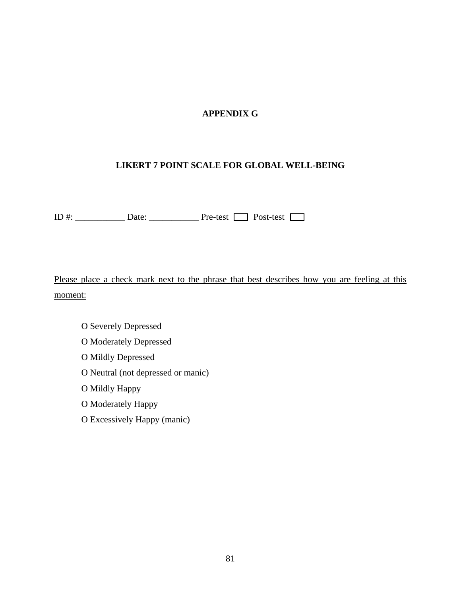# **APPENDIX G**

## **LIKERT 7 POINT SCALE FOR GLOBAL WELL-BEING**

ID #: \_\_\_\_\_\_\_\_\_\_\_ Date: \_\_\_\_\_\_\_\_\_\_\_ Pre-test Post-test

Please place a check mark next to the phrase that best describes how you are feeling at this moment:

- O Severely Depressed
- O Moderately Depressed
- O Mildly Depressed
- O Neutral (not depressed or manic)
- O Mildly Happy
- O Moderately Happy
- O Excessively Happy (manic)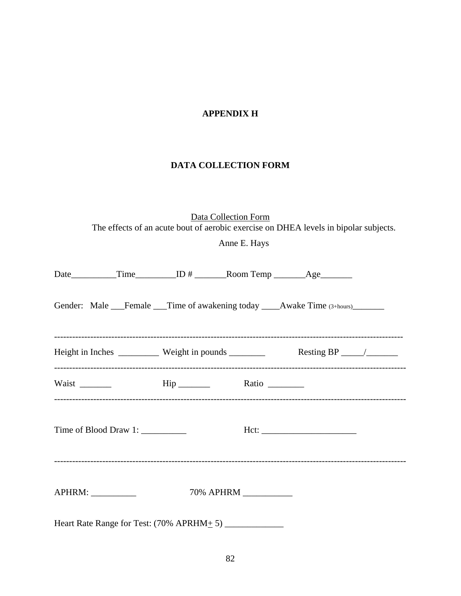# **APPENDIX H**

# **DATA COLLECTION FORM**

Data Collection Form The effects of an acute bout of aerobic exercise on DHEA levels in bipolar subjects.

Anne E. Hays

|  |  | Gender: Male Female Time of awakening today Awake Time (3+hours) |  |
|--|--|------------------------------------------------------------------|--|
|  |  |                                                                  |  |
|  |  |                                                                  |  |
|  |  |                                                                  |  |
|  |  |                                                                  |  |
|  |  |                                                                  |  |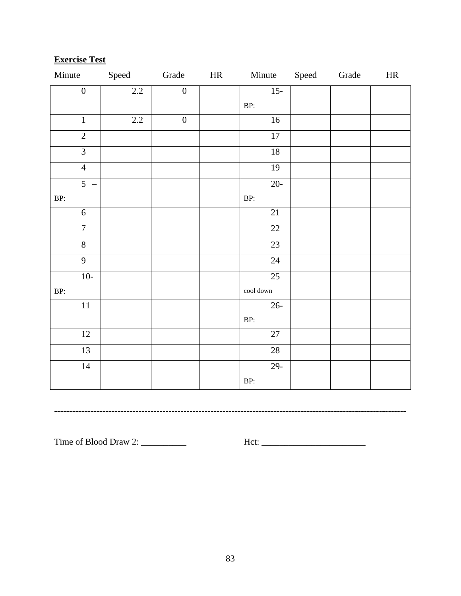# **Exercise Test**

| Minute                                     | Speed | Grade            | HR | Minute                     | Speed | Grade | HR |
|--------------------------------------------|-------|------------------|----|----------------------------|-------|-------|----|
| $\boldsymbol{0}$                           | 2.2   | $\boldsymbol{0}$ |    | $15-$                      |       |       |    |
|                                            |       |                  |    | BP:                        |       |       |    |
| $\overline{1}$                             | 2.2   | $\boldsymbol{0}$ |    | 16                         |       |       |    |
| $\overline{2}$                             |       |                  |    | $\overline{17}$            |       |       |    |
| $\overline{3}$                             |       |                  |    | 18                         |       |       |    |
| $\overline{4}$                             |       |                  |    | 19                         |       |       |    |
| $\overline{5}$<br>$\overline{\phantom{a}}$ |       |                  |    | $20 -$                     |       |       |    |
| BP:                                        |       |                  |    | BP:                        |       |       |    |
| 6                                          |       |                  |    | $\overline{21}$            |       |       |    |
| $\overline{7}$                             |       |                  |    | $22\,$                     |       |       |    |
| $\overline{8}$                             |       |                  |    | 23                         |       |       |    |
| $\overline{9}$                             |       |                  |    | $\overline{24}$            |       |       |    |
| $10-$                                      |       |                  |    | $\overline{25}$            |       |       |    |
| BP:                                        |       |                  |    | $\operatorname{cool}$ down |       |       |    |
| $11\,$                                     |       |                  |    | $26 -$                     |       |       |    |
|                                            |       |                  |    | BP:                        |       |       |    |
| $\overline{12}$                            |       |                  |    | 27                         |       |       |    |
| $\overline{13}$                            |       |                  |    | 28                         |       |       |    |
| $14\,$                                     |       |                  |    | $29-$                      |       |       |    |
|                                            |       |                  |    | BP:                        |       |       |    |

---------------------------------------------------------------------------------------------------------------------

Time of Blood Draw 2: \_\_\_\_\_\_\_\_\_\_ Hct: \_\_\_\_\_\_\_\_\_\_\_\_\_\_\_\_\_\_\_\_\_\_\_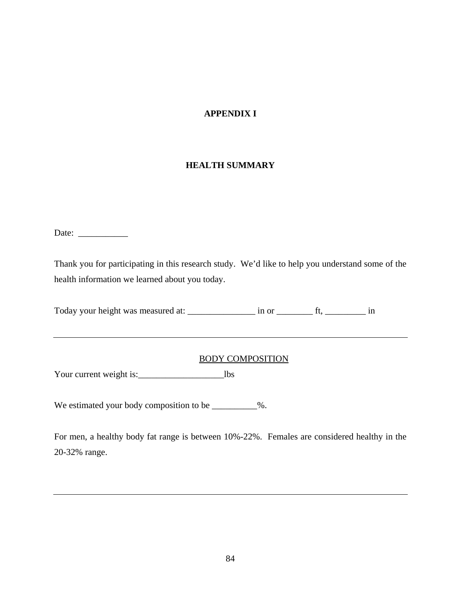# **APPENDIX I**

## **HEALTH SUMMARY**

Date: \_\_\_\_\_\_\_\_\_\_\_

Thank you for participating in this research study. We'd like to help you understand some of the health information we learned about you today.

Today your height was measured at: \_\_\_\_\_\_\_\_\_\_\_\_\_\_\_\_ in or \_\_\_\_\_\_\_\_\_\_\_\_ ft, \_\_\_\_\_\_\_\_\_\_\_\_ in

## BODY COMPOSITION

Your current weight is:\_\_\_\_\_\_\_\_\_\_\_\_\_\_\_\_\_\_\_lbs

We estimated your body composition to be \_\_\_\_\_\_\_\_\_\_%.

For men, a healthy body fat range is between 10%-22%. Females are considered healthy in the 20-32% range.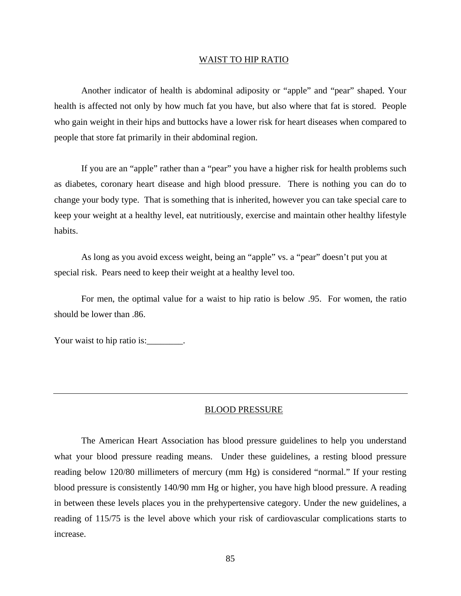#### WAIST TO HIP RATIO

Another indicator of health is abdominal adiposity or "apple" and "pear" shaped. Your health is affected not only by how much fat you have, but also where that fat is stored. People who gain weight in their hips and buttocks have a lower risk for heart diseases when compared to people that store fat primarily in their abdominal region.

If you are an "apple" rather than a "pear" you have a higher risk for health problems such as diabetes, coronary heart disease and high blood pressure. There is nothing you can do to change your body type. That is something that is inherited, however you can take special care to keep your weight at a healthy level, eat nutritiously, exercise and maintain other healthy lifestyle habits.

As long as you avoid excess weight, being an "apple" vs. a "pear" doesn't put you at special risk. Pears need to keep their weight at a healthy level too.

For men, the optimal value for a waist to hip ratio is below .95. For women, the ratio should be lower than .86.

Your waist to hip ratio is: \_\_\_\_\_\_\_\_.

#### BLOOD PRESSURE

The American Heart Association has blood pressure guidelines to help you understand what your blood pressure reading means. Under these guidelines, a resting blood pressure reading below 120/80 millimeters of mercury (mm Hg) is considered "normal." If your resting blood pressure is consistently 140/90 mm Hg or higher, you have high blood pressure. A reading in between these levels places you in the prehypertensive category. Under the new guidelines, a reading of 115/75 is the level above which your risk of cardiovascular complications starts to increase.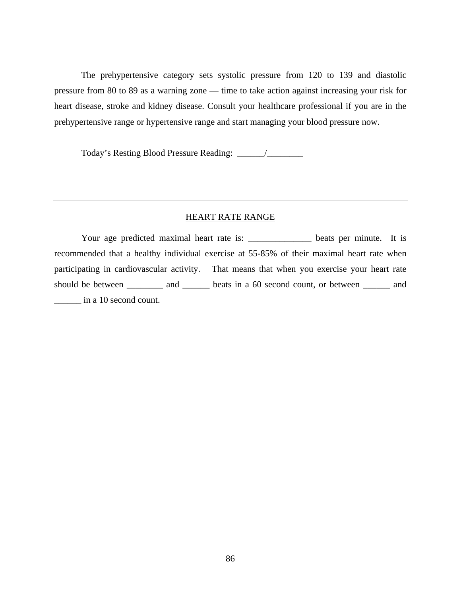The prehypertensive category sets systolic pressure from 120 to 139 and diastolic pressure from 80 to 89 as a warning zone — time to take action against increasing your risk for heart disease, stroke and kidney disease. Consult your healthcare professional if you are in the prehypertensive range or hypertensive range and start managing your blood pressure now.

Today's Resting Blood Pressure Reading: \_\_\_\_\_\_/\_\_\_\_\_\_\_\_

## HEART RATE RANGE

Your age predicted maximal heart rate is: \_\_\_\_\_\_\_\_\_\_\_\_\_\_\_ beats per minute. It is recommended that a healthy individual exercise at 55-85% of their maximal heart rate when participating in cardiovascular activity. That means that when you exercise your heart rate should be between \_\_\_\_\_\_\_\_\_\_ and \_\_\_\_\_\_\_ beats in a 60 second count, or between \_\_\_\_\_\_\_ and \_\_\_\_\_\_ in a 10 second count.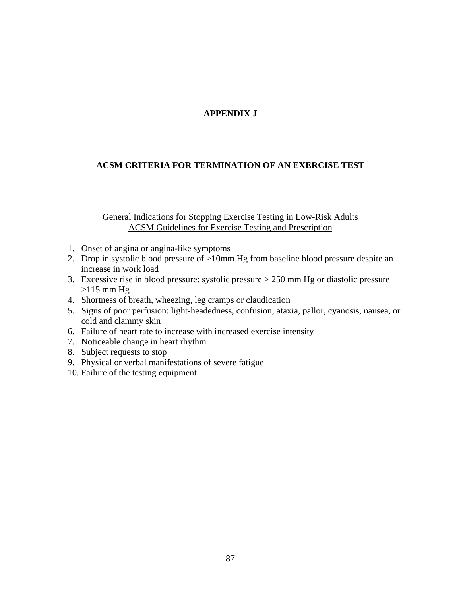# **APPENDIX J**

# **ACSM CRITERIA FOR TERMINATION OF AN EXERCISE TEST**

## General Indications for Stopping Exercise Testing in Low-Risk Adults ACSM Guidelines for Exercise Testing and Prescription

- 1. Onset of angina or angina-like symptoms
- 2. Drop in systolic blood pressure of >10mm Hg from baseline blood pressure despite an increase in work load
- 3. Excessive rise in blood pressure: systolic pressure > 250 mm Hg or diastolic pressure  $>115$  mm Hg
- 4. Shortness of breath, wheezing, leg cramps or claudication
- 5. Signs of poor perfusion: light-headedness, confusion, ataxia, pallor, cyanosis, nausea, or cold and clammy skin
- 6. Failure of heart rate to increase with increased exercise intensity
- 7. Noticeable change in heart rhythm
- 8. Subject requests to stop
- 9. Physical or verbal manifestations of severe fatigue
- 10. Failure of the testing equipment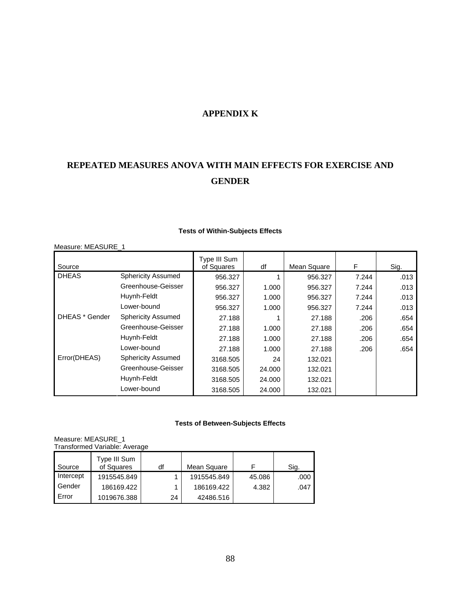# **APPENDIX K**

# **REPEATED MEASURES ANOVA WITH MAIN EFFECTS FOR EXERCISE AND GENDER**

| Measure: MEASURE_1 |                           |                            |        |             |       |      |
|--------------------|---------------------------|----------------------------|--------|-------------|-------|------|
| Source             |                           | Type III Sum<br>of Squares | df     | Mean Square | F     | Sig. |
| <b>DHEAS</b>       | <b>Sphericity Assumed</b> | 956.327                    |        | 956.327     | 7.244 | .013 |
|                    | Greenhouse-Geisser        | 956.327                    | 1.000  | 956.327     | 7.244 | .013 |
|                    | Huynh-Feldt               | 956.327                    | 1.000  | 956.327     | 7.244 | .013 |
|                    | Lower-bound               | 956.327                    | 1.000  | 956.327     | 7.244 | .013 |
| DHEAS * Gender     | <b>Sphericity Assumed</b> | 27.188                     |        | 27.188      | .206  | .654 |
|                    | Greenhouse-Geisser        | 27.188                     | 1.000  | 27.188      | .206  | .654 |
|                    | Huynh-Feldt               | 27.188                     | 1.000  | 27.188      | .206  | .654 |
|                    | Lower-bound               | 27.188                     | 1.000  | 27.188      | .206  | .654 |
| Error(DHEAS)       | <b>Sphericity Assumed</b> | 3168.505                   | 24     | 132.021     |       |      |
|                    | Greenhouse-Geisser        | 3168.505                   | 24.000 | 132.021     |       |      |
|                    | Huynh-Feldt               | 3168.505                   | 24.000 | 132.021     |       |      |
|                    | Lower-bound               | 3168.505                   | 24.000 | 132.021     |       |      |

#### **Tests of Within-Subjects Effects**

#### **Tests of Between-Subjects Effects**

Measure: MEASURE\_1 Transformed Variable: Average

| Source    | Type III Sum<br>of Squares | df | Mean Square |        | Sig. |
|-----------|----------------------------|----|-------------|--------|------|
| Intercept | 1915545.849                |    | 1915545.849 | 45.086 | .000 |
| Gender    | 186169.422                 |    | 186169.422  | 4.382  | .047 |
| Error     | 1019676.388                | 24 | 42486.516   |        |      |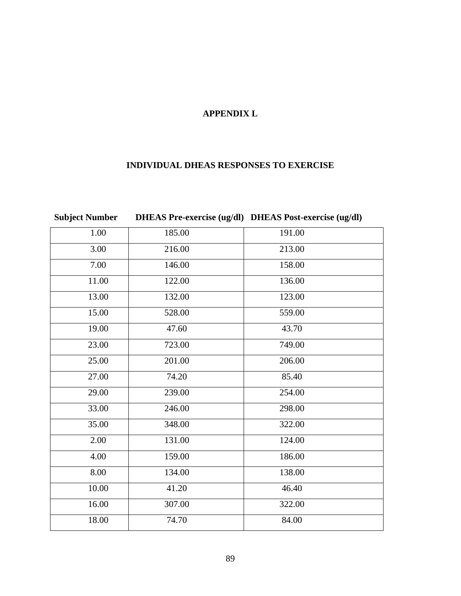# **APPENDIX L**

# **INDIVIDUAL DHEAS RESPONSES TO EXERCISE**

| <b>Subject Number</b> |        | DHEAS Pre-exercise (ug/dl) DHEAS Post-exercise (ug/dl) |
|-----------------------|--------|--------------------------------------------------------|
| 1.00                  | 185.00 | 191.00                                                 |
| 3.00                  | 216.00 | 213.00                                                 |
| 7.00                  | 146.00 | 158.00                                                 |
| 11.00                 | 122.00 | 136.00                                                 |
| 13.00                 | 132.00 | 123.00                                                 |
| 15.00                 | 528.00 | 559.00                                                 |
| 19.00                 | 47.60  | 43.70                                                  |
| 23.00                 | 723.00 | 749.00                                                 |
| 25.00                 | 201.00 | 206.00                                                 |
| 27.00                 | 74.20  | 85.40                                                  |
| 29.00                 | 239.00 | 254.00                                                 |
| 33.00                 | 246.00 | 298.00                                                 |
| 35.00                 | 348.00 | 322.00                                                 |
| 2.00                  | 131.00 | 124.00                                                 |
| 4.00                  | 159.00 | 186.00                                                 |
| 8.00                  | 134.00 | 138.00                                                 |
| 10.00                 | 41.20  | 46.40                                                  |
| 16.00                 | 307.00 | 322.00                                                 |
| 18.00                 | 74.70  | 84.00                                                  |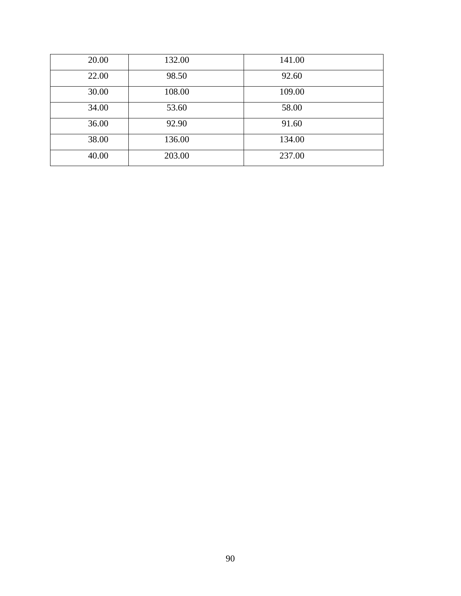| 20.00 | 132.00 | 141.00 |  |
|-------|--------|--------|--|
| 22.00 | 98.50  | 92.60  |  |
| 30.00 | 108.00 | 109.00 |  |
| 34.00 | 53.60  | 58.00  |  |
| 36.00 | 92.90  | 91.60  |  |
| 38.00 | 136.00 | 134.00 |  |
| 40.00 | 203.00 | 237.00 |  |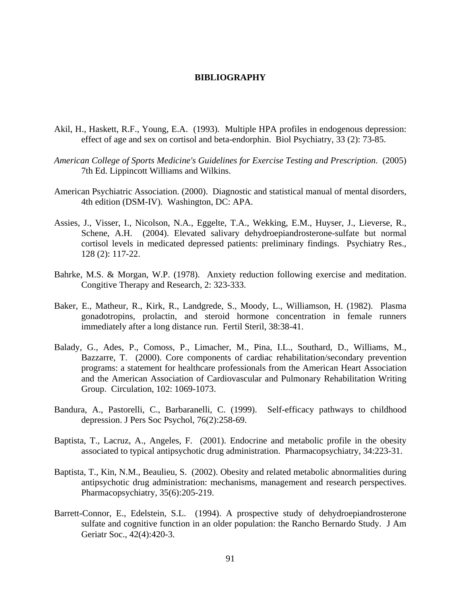#### **BIBLIOGRAPHY**

- Akil, H., Haskett, R.F., Young, E.A. (1993). Multiple HPA profiles in endogenous depression: effect of age and sex on cortisol and beta-endorphin. Biol Psychiatry, 33 (2): 73-85.
- *American College of Sports Medicine's Guidelines for Exercise Testing and Prescription*. (2005) 7th Ed. Lippincott Williams and Wilkins.
- American Psychiatric Association. (2000). Diagnostic and statistical manual of mental disorders, 4th edition (DSM-IV). Washington, DC: APA.
- Assies, J., Visser, I., Nicolson, N.A., Eggelte, T.A., Wekking, E.M., Huyser, J., Lieverse, R., Schene, A.H. (2004). Elevated salivary dehydroepiandrosterone-sulfate but normal cortisol levels in medicated depressed patients: preliminary findings. Psychiatry Res., 128 (2): 117-22.
- Bahrke, M.S. & Morgan, W.P. (1978). Anxiety reduction following exercise and meditation. Congitive Therapy and Research, 2: 323-333.
- Baker, E., Matheur, R., Kirk, R., Landgrede, S., Moody, L., Williamson, H. (1982). Plasma gonadotropins, prolactin, and steroid hormone concentration in female runners immediately after a long distance run. Fertil Steril, 38:38-41.
- Balady, G., Ades, P., Comoss, P., Limacher, M., Pina, I.L., Southard, D., Williams, M., Bazzarre, T. (2000). Core components of cardiac rehabilitation/secondary prevention programs: a statement for healthcare professionals from the American Heart Association and the American Association of Cardiovascular and Pulmonary Rehabilitation Writing Group. Circulation, 102: 1069-1073.
- Bandura, A., Pastorelli, C., Barbaranelli, C. (1999). Self-efficacy pathways to childhood depression. J Pers Soc Psychol, 76(2):258-69.
- Baptista, T., Lacruz, A., Angeles, F. (2001). Endocrine and metabolic profile in the obesity associated to typical antipsychotic drug administration. Pharmacopsychiatry, 34:223-31.
- Baptista, T., Kin, N.M., Beaulieu, S. (2002). Obesity and related metabolic abnormalities during antipsychotic drug administration: mechanisms, management and research perspectives. Pharmacopsychiatry, 35(6):205-219.
- Barrett-Connor, E., Edelstein, S.L. (1994). A prospective study of dehydroepiandrosterone sulfate and cognitive function in an older population: the Rancho Bernardo Study. J Am Geriatr Soc., 42(4):420-3.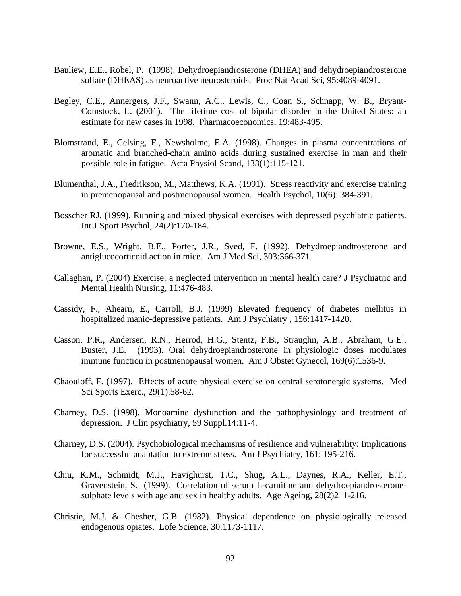- Bauliew, E.E., Robel, P. (1998). Dehydroepiandrosterone (DHEA) and dehydroepiandrosterone sulfate (DHEAS) as neuroactive neurosteroids. Proc Nat Acad Sci, 95:4089-4091.
- Begley, C.E., Annergers, J.F., Swann, A.C., Lewis, C., Coan S., Schnapp, W. B., Bryant-Comstock, L. (2001). The lifetime cost of bipolar disorder in the United States: an estimate for new cases in 1998. Pharmacoeconomics, 19:483-495.
- Blomstrand, E., Celsing, F., Newsholme, E.A. (1998). Changes in plasma concentrations of aromatic and branched-chain amino acids during sustained exercise in man and their possible role in fatigue. Acta Physiol Scand, 133(1):115-121.
- Blumenthal, J.A., Fredrikson, M., Matthews, K.A. (1991). Stress reactivity and exercise training in premenopausal and postmenopausal women. Health Psychol, 10(6): 384-391.
- Bosscher RJ. (1999). Running and mixed physical exercises with depressed psychiatric patients. Int J Sport Psychol, 24(2):170-184.
- Browne, E.S., Wright, B.E., Porter, J.R., Sved, F. (1992). Dehydroepiandtrosterone and antiglucocorticoid action in mice. Am J Med Sci, 303:366-371.
- Callaghan, P. (2004) Exercise: a neglected intervention in mental health care? J Psychiatric and Mental Health Nursing, 11:476-483.
- Cassidy, F., Ahearn, E., Carroll, B.J. (1999) Elevated frequency of diabetes mellitus in hospitalized manic-depressive patients. Am J Psychiatry , 156:1417-1420.
- Casson, P.R., Andersen, R.N., Herrod, H.G., Stentz, F.B., Straughn, A.B., Abraham, G.E., Buster, J.E. (1993). Oral dehydroepiandrosterone in physiologic doses modulates immune function in postmenopausal women. Am J Obstet Gynecol, 169(6):1536-9.
- Chaouloff, F. (1997). Effects of acute physical exercise on central serotonergic systems. Med Sci Sports Exerc., 29(1):58-62.
- Charney, D.S. (1998). Monoamine dysfunction and the pathophysiology and treatment of depression. J Clin psychiatry, 59 Suppl.14:11-4.
- Charney, D.S. (2004). Psychobiological mechanisms of resilience and vulnerability: Implications for successful adaptation to extreme stress. Am J Psychiatry, 161: 195-216.
- Chiu, K.M., Schmidt, M.J., Havighurst, T.C., Shug, A.L., Daynes, R.A., Keller, E.T., Gravenstein, S. (1999). Correlation of serum L-carnitine and dehydroepiandrosteronesulphate levels with age and sex in healthy adults. Age Ageing, 28(2)211-216.
- Christie, M.J. & Chesher, G.B. (1982). Physical dependence on physiologically released endogenous opiates. Lofe Science, 30:1173-1117.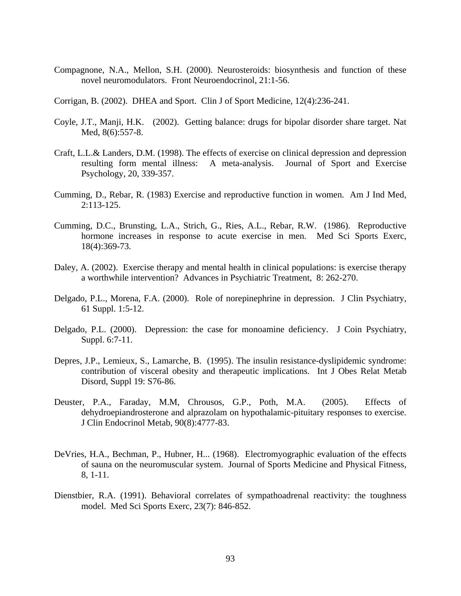- Compagnone, N.A., Mellon, S.H. (2000). Neurosteroids: biosynthesis and function of these novel neuromodulators. Front Neuroendocrinol, 21:1-56.
- Corrigan, B. (2002). DHEA and Sport. Clin J of Sport Medicine, 12(4):236-241.
- Coyle, J.T., Manji, H.K. (2002). Getting balance: drugs for bipolar disorder share target. Nat Med, 8(6):557-8.
- Craft, L.L.& Landers, D.M. (1998). The effects of exercise on clinical depression and depression resulting form mental illness: A meta-analysis. Journal of Sport and Exercise Psychology, 20, 339-357.
- Cumming, D., Rebar, R. (1983) Exercise and reproductive function in women. Am J Ind Med, 2:113-125.
- Cumming, D.C., Brunsting, L.A., Strich, G., Ries, A.L., Rebar, R.W. (1986). Reproductive hormone increases in response to acute exercise in men. Med Sci Sports Exerc, 18(4):369-73.
- Daley, A. (2002). Exercise therapy and mental health in clinical populations: is exercise therapy a worthwhile intervention? Advances in Psychiatric Treatment, 8: 262-270.
- Delgado, P.L., Morena, F.A. (2000). Role of norepinephrine in depression. J Clin Psychiatry, 61 Suppl. 1:5-12.
- Delgado, P.L. (2000). Depression: the case for monoamine deficiency. J Coin Psychiatry, Suppl. 6:7-11.
- Depres, J.P., Lemieux, S., Lamarche, B. (1995). The insulin resistance-dyslipidemic syndrome: contribution of visceral obesity and therapeutic implications. Int J Obes Relat Metab Disord, Suppl 19: S76-86.
- Deuster, P.A., Faraday, M.M, Chrousos, G.P., Poth, M.A. (2005). Effects of dehydroepiandrosterone and alprazolam on hypothalamic-pituitary responses to exercise. J Clin Endocrinol Metab, 90(8):4777-83.
- DeVries, H.A., Bechman, P., Hubner, H... (1968). Electromyographic evaluation of the effects of sauna on the neuromuscular system. Journal of Sports Medicine and Physical Fitness, 8, 1-11.
- Dienstbier, R.A. (1991). Behavioral correlates of sympathoadrenal reactivity: the toughness model. Med Sci Sports Exerc, 23(7): 846-852.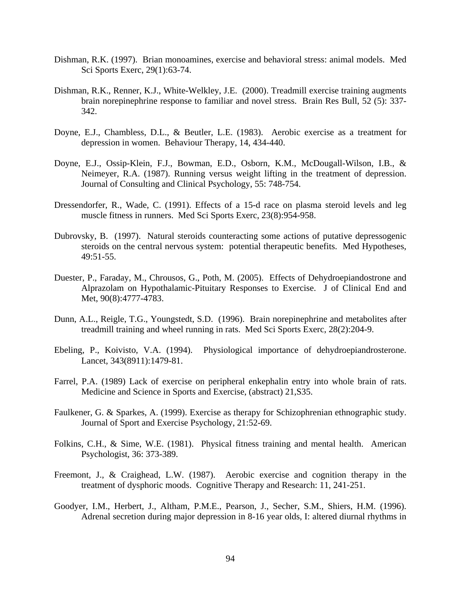- Dishman, R.K. (1997). Brian monoamines, exercise and behavioral stress: animal models. Med Sci Sports Exerc, 29(1):63-74.
- Dishman, R.K., Renner, K.J., White-Welkley, J.E. (2000). Treadmill exercise training augments brain norepinephrine response to familiar and novel stress. Brain Res Bull, 52 (5): 337- 342.
- Doyne, E.J., Chambless, D.L., & Beutler, L.E. (1983). Aerobic exercise as a treatment for depression in women. Behaviour Therapy, 14, 434-440.
- Doyne, E.J., Ossip-Klein, F.J., Bowman, E.D., Osborn, K.M., McDougall-Wilson, I.B., & Neimeyer, R.A. (1987). Running versus weight lifting in the treatment of depression. Journal of Consulting and Clinical Psychology, 55: 748-754.
- Dressendorfer, R., Wade, C. (1991). Effects of a 15-d race on plasma steroid levels and leg muscle fitness in runners. Med Sci Sports Exerc, 23(8):954-958.
- Dubrovsky, B. (1997). Natural steroids counteracting some actions of putative depressogenic steroids on the central nervous system: potential therapeutic benefits. Med Hypotheses, 49:51-55.
- Duester, P., Faraday, M., Chrousos, G., Poth, M. (2005). Effects of Dehydroepiandostrone and Alprazolam on Hypothalamic-Pituitary Responses to Exercise. J of Clinical End and Met, 90(8):4777-4783.
- Dunn, A.L., Reigle, T.G., Youngstedt, S.D. (1996). Brain norepinephrine and metabolites after treadmill training and wheel running in rats. Med Sci Sports Exerc, 28(2):204-9.
- Ebeling, P., Koivisto, V.A. (1994). Physiological importance of dehydroepiandrosterone. Lancet, 343(8911):1479-81.
- Farrel, P.A. (1989) Lack of exercise on peripheral enkephalin entry into whole brain of rats. Medicine and Science in Sports and Exercise, (abstract) 21,S35.
- Faulkener, G. & Sparkes, A. (1999). Exercise as therapy for Schizophrenian ethnographic study. Journal of Sport and Exercise Psychology, 21:52-69.
- Folkins, C.H., & Sime, W.E. (1981). Physical fitness training and mental health. American Psychologist, 36: 373-389.
- Freemont, J., & Craighead, L.W. (1987). Aerobic exercise and cognition therapy in the treatment of dysphoric moods. Cognitive Therapy and Research: 11, 241-251.
- Goodyer, I.M., Herbert, J., Altham, P.M.E., Pearson, J., Secher, S.M., Shiers, H.M. (1996). Adrenal secretion during major depression in 8-16 year olds, I: altered diurnal rhythms in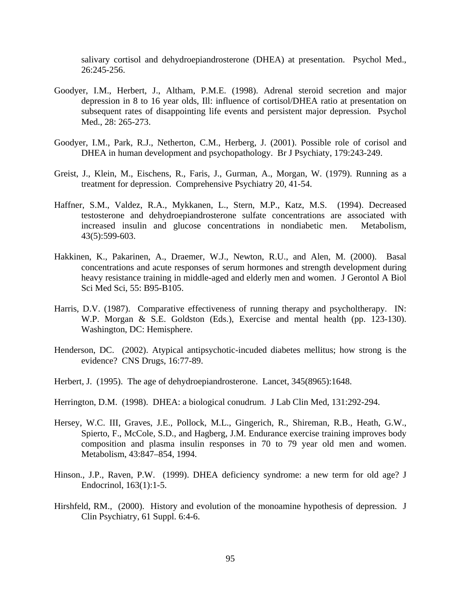salivary cortisol and dehydroepiandrosterone (DHEA) at presentation. Psychol Med., 26:245-256.

- Goodyer, I.M., Herbert, J., Altham, P.M.E. (1998). Adrenal steroid secretion and major depression in 8 to 16 year olds, Ill: influence of cortisol/DHEA ratio at presentation on subsequent rates of disappointing life events and persistent major depression. Psychol Med., 28: 265-273.
- Goodyer, I.M., Park, R.J., Netherton, C.M., Herberg, J. (2001). Possible role of corisol and DHEA in human development and psychopathology. Br J Psychiaty, 179:243-249.
- Greist, J., Klein, M., Eischens, R., Faris, J., Gurman, A., Morgan, W. (1979). Running as a treatment for depression. Comprehensive Psychiatry 20, 41-54.
- Haffner, S.M., Valdez, R.A., Mykkanen, L., Stern, M.P., Katz, M.S. (1994). Decreased testosterone and dehydroepiandrosterone sulfate concentrations are associated with increased insulin and glucose concentrations in nondiabetic men. Metabolism, 43(5):599-603.
- Hakkinen, K., Pakarinen, A., Draemer, W.J., Newton, R.U., and Alen, M. (2000). Basal concentrations and acute responses of serum hormones and strength development during heavy resistance training in middle-aged and elderly men and women. J Gerontol A Biol Sci Med Sci, 55: B95-B105.
- Harris, D.V. (1987). Comparative effectiveness of running therapy and psycholtherapy. IN: W.P. Morgan & S.E. Goldston (Eds.), Exercise and mental health (pp. 123-130). Washington, DC: Hemisphere.
- Henderson, DC. (2002). Atypical antipsychotic-incuded diabetes mellitus; how strong is the evidence? CNS Drugs, 16:77-89.
- Herbert, J. (1995). The age of dehydroepiandrosterone. Lancet, 345(8965):1648.
- Herrington, D.M. (1998). DHEA: a biological conudrum. J Lab Clin Med, 131:292-294.
- Hersey, W.C. III, Graves, J.E., Pollock, M.L., Gingerich, R., Shireman, R.B., Heath, G.W., Spierto, F., McCole, S.D., and Hagberg, J.M. Endurance exercise training improves body composition and plasma insulin responses in 70 to 79 year old men and women. Metabolism, 43:847–854, 1994.
- Hinson., J.P., Raven, P.W. (1999). DHEA deficiency syndrome: a new term for old age? J Endocrinol, 163(1):1-5.
- Hirshfeld, RM., (2000). History and evolution of the monoamine hypothesis of depression. J Clin Psychiatry, 61 Suppl. 6:4-6.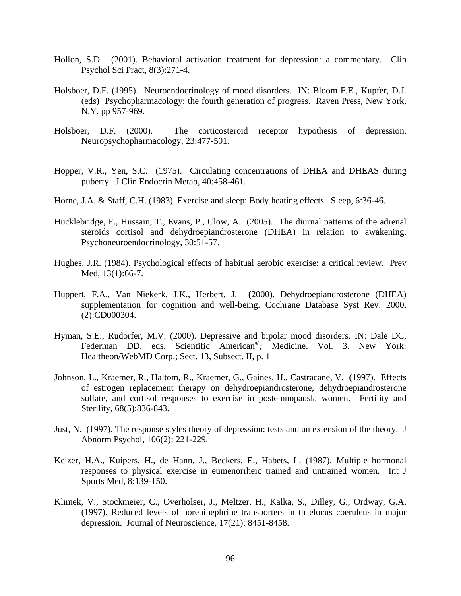- Hollon, S.D. (2001). Behavioral activation treatment for depression: a commentary. Clin Psychol Sci Pract, 8(3):271-4.
- Holsboer, D.F. (1995). Neuroendocrinology of mood disorders. IN: Bloom F.E., Kupfer, D.J. (eds) Psychopharmacology: the fourth generation of progress. Raven Press, New York, N.Y. pp 957-969.
- Holsboer, D.F. (2000). The corticosteroid receptor hypothesis of depression. Neuropsychopharmacology, 23:477-501.
- Hopper, V.R., Yen, S.C. (1975). Circulating concentrations of DHEA and DHEAS during puberty. J Clin Endocrin Metab, 40:458-461.
- Horne, J.A. & Staff, C.H. (1983). Exercise and sleep: Body heating effects. Sleep, 6:36-46.
- Hucklebridge, F., Hussain, T., Evans, P., Clow, A. (2005). The diurnal patterns of the adrenal steroids cortisol and dehydroepiandrosterone (DHEA) in relation to awakening. Psychoneuroendocrinology, 30:51-57.
- Hughes, J.R. (1984). Psychological effects of habitual aerobic exercise: a critical review. Prev Med, 13(1):66-7.
- Huppert, F.A., Van Niekerk, J.K., Herbert, J. (2000). Dehydroepiandrosterone (DHEA) supplementation for cognition and well-being. Cochrane Database Syst Rev. 2000, (2):CD000304.
- Hyman, S.E., Rudorfer, M.V. (2000). Depressive and bipolar mood disorders. IN: Dale DC, Federman DD, eds. Scientific American<sup>®</sup>; Medicine. Vol. 3. New York: Healtheon/WebMD Corp.; Sect. 13, Subsect. II, p. 1.
- Johnson, L., Kraemer, R., Haltom, R., Kraemer, G., Gaines, H., Castracane, V. (1997). Effects of estrogen replacement therapy on dehydroepiandrosterone, dehydroepiandrosterone sulfate, and cortisol responses to exercise in postemnopausla women. Fertility and Sterility, 68(5):836-843.
- Just, N. (1997). The response styles theory of depression: tests and an extension of the theory. J Abnorm Psychol, 106(2): 221-229.
- Keizer, H.A., Kuipers, H., de Hann, J., Beckers, E., Habets, L. (1987). Multiple hormonal responses to physical exercise in eumenorrheic trained and untrained women. Int J Sports Med, 8:139-150.
- Klimek, V., Stockmeier, C., Overholser, J., Meltzer, H., Kalka, S., Dilley, G., Ordway, G.A. (1997). Reduced levels of norepinephrine transporters in th elocus coeruleus in major depression. Journal of Neuroscience, 17(21): 8451-8458.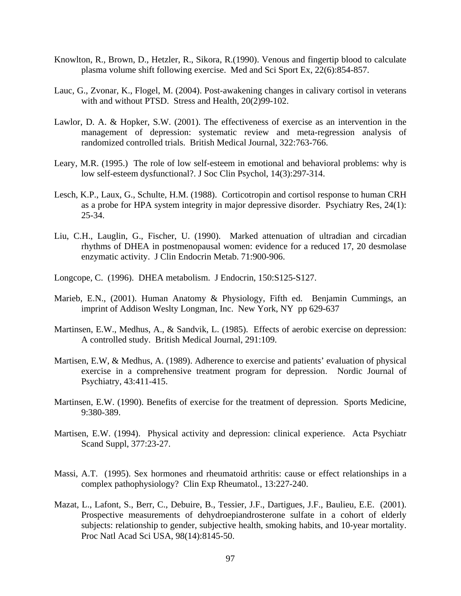- Knowlton, R., Brown, D., Hetzler, R., Sikora, R.(1990). Venous and fingertip blood to calculate plasma volume shift following exercise. Med and Sci Sport Ex, 22(6):854-857.
- Lauc, G., Zvonar, K., Flogel, M. (2004). Post-awakening changes in calivary cortisol in veterans with and without PTSD. Stress and Health, 20(2)99-102.
- Lawlor, D. A. & Hopker, S.W. (2001). The effectiveness of exercise as an intervention in the management of depression: systematic review and meta-regression analysis of randomized controlled trials. British Medical Journal, 322:763-766.
- Leary, M.R. (1995.) The role of low self-esteem in emotional and behavioral problems: why is low self-esteem dysfunctional?. J Soc Clin Psychol, 14(3):297-314.
- Lesch, K.P., Laux, G., Schulte, H.M. (1988). Corticotropin and cortisol response to human CRH as a probe for HPA system integrity in major depressive disorder. Psychiatry Res, 24(1): 25-34.
- Liu, C.H., Lauglin, G., Fischer, U. (1990). Marked attenuation of ultradian and circadian rhythms of DHEA in postmenopausal women: evidence for a reduced 17, 20 desmolase enzymatic activity. J Clin Endocrin Metab. 71:900-906.
- Longcope, C. (1996). DHEA metabolism. J Endocrin, 150:S125-S127.
- Marieb, E.N., (2001). Human Anatomy & Physiology, Fifth ed. Benjamin Cummings, an imprint of Addison Weslty Longman, Inc. New York, NY pp 629-637
- Martinsen, E.W., Medhus, A., & Sandvik, L. (1985). Effects of aerobic exercise on depression: A controlled study. British Medical Journal, 291:109.
- Martisen, E.W, & Medhus, A. (1989). Adherence to exercise and patients' evaluation of physical exercise in a comprehensive treatment program for depression. Nordic Journal of Psychiatry, 43:411-415.
- Martinsen, E.W. (1990). Benefits of exercise for the treatment of depression. Sports Medicine, 9:380-389.
- Martisen, E.W. (1994). Physical activity and depression: clinical experience. Acta Psychiatr Scand Suppl, 377:23-27.
- Massi, A.T. (1995). Sex hormones and rheumatoid arthritis: cause or effect relationships in a complex pathophysiology? Clin Exp Rheumatol., 13:227-240.
- Mazat, L., Lafont, S., Berr, C., Debuire, B., Tessier, J.F., Dartigues, J.F., Baulieu, E.E. (2001). Prospective measurements of dehydroepiandrosterone sulfate in a cohort of elderly subjects: relationship to gender, subjective health, smoking habits, and 10-year mortality. Proc Natl Acad Sci USA, 98(14):8145-50.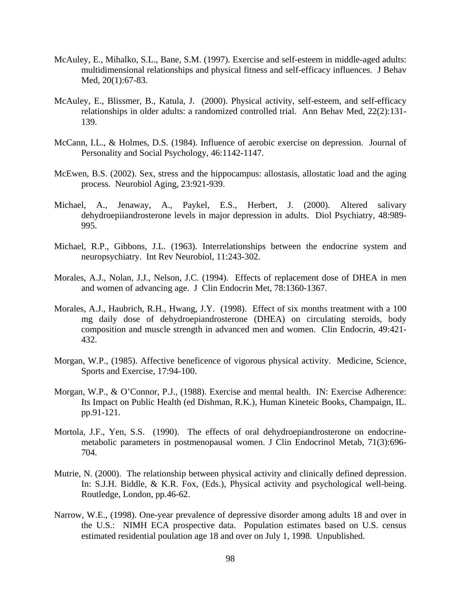- McAuley, E., Mihalko, S.L., Bane, S.M. (1997). Exercise and self-esteem in middle-aged adults: multidimensional relationships and physical fitness and self-efficacy influences. J Behav Med, 20(1):67-83.
- McAuley, E., Blissmer, B., Katula, J. (2000). Physical activity, self-esteem, and self-efficacy relationships in older adults: a randomized controlled trial. Ann Behav Med, 22(2):131- 139.
- McCann, I.L., & Holmes, D.S. (1984). Influence of aerobic exercise on depression. Journal of Personality and Social Psychology, 46:1142-1147.
- McEwen, B.S. (2002). Sex, stress and the hippocampus: allostasis, allostatic load and the aging process. Neurobiol Aging, 23:921-939.
- Michael, A., Jenaway, A., Paykel, E.S., Herbert, J. (2000). Altered salivary dehydroepiiandrosterone levels in major depression in adults. Diol Psychiatry, 48:989- 995.
- Michael, R.P., Gibbons, J.L. (1963). Interrelationships between the endocrine system and neuropsychiatry. Int Rev Neurobiol, 11:243-302.
- Morales, A.J., Nolan, J.J., Nelson, J.C. (1994). Effects of replacement dose of DHEA in men and women of advancing age. J Clin Endocrin Met, 78:1360-1367.
- Morales, A.J., Haubrich, R.H., Hwang, J.Y. (1998). Effect of six months treatment with a 100 mg daily dose of dehydroepiandrosterone (DHEA) on circulating steroids, body composition and muscle strength in advanced men and women. Clin Endocrin, 49:421- 432.
- Morgan, W.P., (1985). Affective beneficence of vigorous physical activity. Medicine, Science, Sports and Exercise, 17:94-100.
- Morgan, W.P., & O'Connor, P.J., (1988). Exercise and mental health. IN: Exercise Adherence: Its Impact on Public Health (ed Dishman, R.K.), Human Kineteic Books, Champaign, IL. pp.91-121.
- Mortola, J.F., Yen, S.S. (1990). The effects of oral dehydroepiandrosterone on endocrinemetabolic parameters in postmenopausal women. J Clin Endocrinol Metab, 71(3):696- 704.
- Mutrie, N. (2000). The relationship between physical activity and clinically defined depression. In: S.J.H. Biddle, & K.R. Fox, (Eds.), Physical activity and psychological well-being. Routledge, London, pp.46-62.
- Narrow, W.E., (1998). One-year prevalence of depressive disorder among adults 18 and over in the U.S.: NIMH ECA prospective data. Population estimates based on U.S. census estimated residential poulation age 18 and over on July 1, 1998. Unpublished.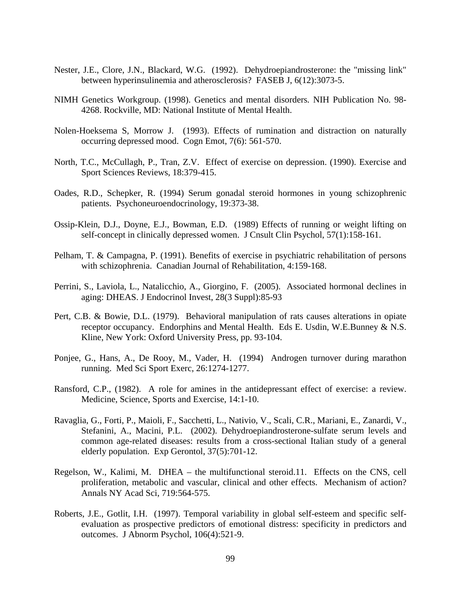- Nester, J.E., Clore, J.N., Blackard, W.G. (1992). Dehydroepiandrosterone: the "missing link" between hyperinsulinemia and atherosclerosis? FASEB J, 6(12):3073-5.
- NIMH Genetics Workgroup. (1998). Genetics and mental disorders*.* NIH Publication No. 98- 4268. Rockville, MD: National Institute of Mental Health.
- Nolen-Hoeksema S, Morrow J. (1993). Effects of rumination and distraction on naturally occurring depressed mood. Cogn Emot, 7(6): 561-570.
- North, T.C., McCullagh, P., Tran, Z.V. Effect of exercise on depression. (1990). Exercise and Sport Sciences Reviews, 18:379-415.
- Oades, R.D., Schepker, R. (1994) Serum gonadal steroid hormones in young schizophrenic patients. Psychoneuroendocrinology, 19:373-38.
- Ossip-Klein, D.J., Doyne, E.J., Bowman, E.D. (1989) Effects of running or weight lifting on self-concept in clinically depressed women. J Cnsult Clin Psychol, 57(1):158-161.
- Pelham, T. & Campagna, P. (1991). Benefits of exercise in psychiatric rehabilitation of persons with schizophrenia. Canadian Journal of Rehabilitation, 4:159-168.
- Perrini, S., Laviola, L., Natalicchio, A., Giorgino, F. (2005). Associated hormonal declines in aging: DHEAS. J Endocrinol Invest, 28(3 Suppl):85-93
- Pert, C.B. & Bowie, D.L. (1979). Behavioral manipulation of rats causes alterations in opiate receptor occupancy. Endorphins and Mental Health. Eds E. Usdin, W.E.Bunney & N.S. Kline, New York: Oxford University Press, pp. 93-104.
- Ponjee, G., Hans, A., De Rooy, M., Vader, H. (1994) Androgen turnover during marathon running. Med Sci Sport Exerc, 26:1274-1277.
- Ransford, C.P., (1982). A role for amines in the antidepressant effect of exercise: a review. Medicine, Science, Sports and Exercise, 14:1-10.
- Ravaglia, G., Forti, P., Maioli, F., Sacchetti, L., Nativio, V., Scali, C.R., Mariani, E., Zanardi, V., Stefanini, A., Macini, P.L. (2002). Dehydroepiandrosterone-sulfate serum levels and common age-related diseases: results from a cross-sectional Italian study of a general elderly population. Exp Gerontol, 37(5):701-12.
- Regelson, W., Kalimi, M. DHEA the multifunctional steroid.11. Effects on the CNS, cell proliferation, metabolic and vascular, clinical and other effects. Mechanism of action? Annals NY Acad Sci, 719:564-575.
- Roberts, J.E., Gotlit, I.H. (1997). Temporal variability in global self-esteem and specific selfevaluation as prospective predictors of emotional distress: specificity in predictors and outcomes. J Abnorm Psychol, 106(4):521-9.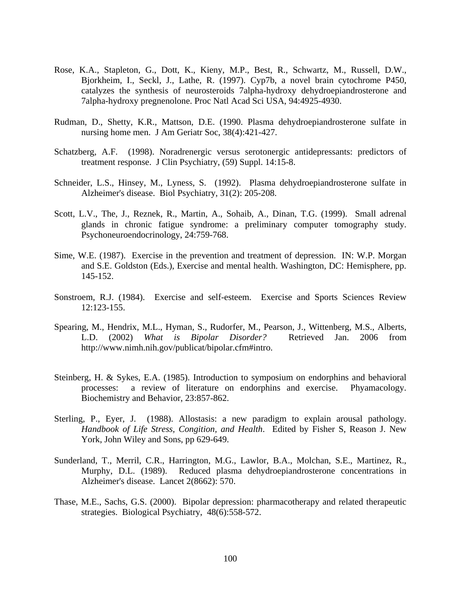- Rose, K.A., Stapleton, G., Dott, K., Kieny, M.P., Best, R., Schwartz, M., Russell, D.W., Bjorkheim, I., Seckl, J., Lathe, R. (1997). Cyp7b, a novel brain cytochrome P450, catalyzes the synthesis of neurosteroids 7alpha-hydroxy dehydroepiandrosterone and 7alpha-hydroxy pregnenolone. Proc Natl Acad Sci USA, 94:4925-4930.
- Rudman, D., Shetty, K.R., Mattson, D.E. (1990. Plasma dehydroepiandrosterone sulfate in nursing home men. J Am Geriatr Soc, 38(4):421-427.
- Schatzberg, A.F. (1998). Noradrenergic versus serotonergic antidepressants: predictors of treatment response. J Clin Psychiatry, (59) Suppl. 14:15-8.
- Schneider, L.S., Hinsey, M., Lyness, S. (1992). Plasma dehydroepiandrosterone sulfate in Alzheimer's disease. Biol Psychiatry, 31(2): 205-208.
- Scott, L.V., The, J., Reznek, R., Martin, A., Sohaib, A., Dinan, T.G. (1999). Small adrenal glands in chronic fatigue syndrome: a preliminary computer tomography study. Psychoneuroendocrinology, 24:759-768.
- Sime, W.E. (1987). Exercise in the prevention and treatment of depression. IN: W.P. Morgan and S.E. Goldston (Eds.), Exercise and mental health. Washington, DC: Hemisphere, pp. 145-152.
- Sonstroem, R.J. (1984). Exercise and self-esteem. Exercise and Sports Sciences Review 12:123-155.
- Spearing, M., Hendrix, M.L., Hyman, S., Rudorfer, M., Pearson, J., Wittenberg, M.S., Alberts, L.D. (2002) *What is Bipolar Disorder?* Retrieved Jan. 2006 from http://www.nimh.nih.gov/publicat/bipolar.cfm#intro.
- Steinberg, H. & Sykes, E.A. (1985). Introduction to symposium on endorphins and behavioral processes: a review of literature on endorphins and exercise. Phyamacology. Biochemistry and Behavior, 23:857-862.
- Sterling, P., Eyer, J. (1988). Allostasis: a new paradigm to explain arousal pathology. *Handbook of Life Stress, Congition, and Health*. Edited by Fisher S, Reason J. New York, John Wiley and Sons, pp 629-649.
- Sunderland, T., Merril, C.R., Harrington, M.G., Lawlor, B.A., Molchan, S.E., Martinez, R., Murphy, D.L. (1989). Reduced plasma dehydroepiandrosterone concentrations in Alzheimer's disease. Lancet 2(8662): 570.
- Thase, M.E., Sachs, G.S. (2000). Bipolar depression: pharmacotherapy and related therapeutic strategies. Biological Psychiatry, 48(6):558-572.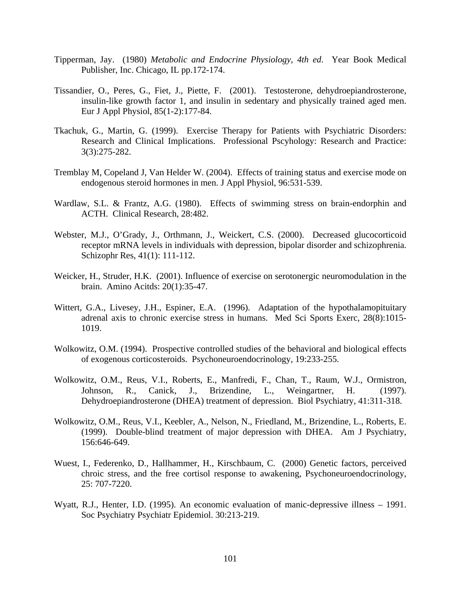- Tipperman, Jay. (1980) *Metabolic and Endocrine Physiology, 4th ed*. Year Book Medical Publisher, Inc. Chicago, IL pp.172-174.
- Tissandier, O., Peres, G., Fiet, J., Piette, F. (2001). Testosterone, dehydroepiandrosterone, insulin-like growth factor 1, and insulin in sedentary and physically trained aged men. Eur J Appl Physiol, 85(1-2):177-84.
- Tkachuk, G., Martin, G. (1999). Exercise Therapy for Patients with Psychiatric Disorders: Research and Clinical Implications. Professional Pscyhology: Research and Practice: 3(3):275-282.
- Tremblay M, Copeland J, Van Helder W. (2004). Effects of training status and exercise mode on endogenous steroid hormones in men. J Appl Physiol, 96:531-539.
- Wardlaw, S.L. & Frantz, A.G. (1980). Effects of swimming stress on brain-endorphin and ACTH. Clinical Research, 28:482.
- Webster, M.J., O'Grady, J., Orthmann, J., Weickert, C.S. (2000). Decreased glucocorticoid receptor mRNA levels in individuals with depression, bipolar disorder and schizophrenia. Schizophr Res, 41(1): 111-112.
- Weicker, H., Struder, H.K. (2001). Influence of exercise on serotonergic neuromodulation in the brain. Amino Acitds: 20(1):35-47.
- Wittert, G.A., Livesey, J.H., Espiner, E.A. (1996). Adaptation of the hypothalamopituitary adrenal axis to chronic exercise stress in humans. Med Sci Sports Exerc, 28(8):1015- 1019.
- Wolkowitz, O.M. (1994). Prospective controlled studies of the behavioral and biological effects of exogenous corticosteroids. Psychoneuroendocrinology, 19:233-255.
- Wolkowitz, O.M., Reus, V.I., Roberts, E., Manfredi, F., Chan, T., Raum, W.J., Ormistron, Johnson, R., Canick, J., Brizendine, L., Weingartner, H. (1997). Dehydroepiandrosterone (DHEA) treatment of depression. Biol Psychiatry, 41:311-318.
- Wolkowitz, O.M., Reus, V.I., Keebler, A., Nelson, N., Friedland, M., Brizendine, L., Roberts, E. (1999). Double-blind treatment of major depression with DHEA. Am J Psychiatry, 156:646-649.
- Wuest, I., Federenko, D., Hallhammer, H., Kirschbaum, C. (2000) Genetic factors, perceived chroic stress, and the free cortisol response to awakening, Psychoneuroendocrinology, 25: 707-7220.
- Wyatt, R.J., Henter, I.D. (1995). An economic evaluation of manic-depressive illness 1991. Soc Psychiatry Psychiatr Epidemiol. 30:213-219.